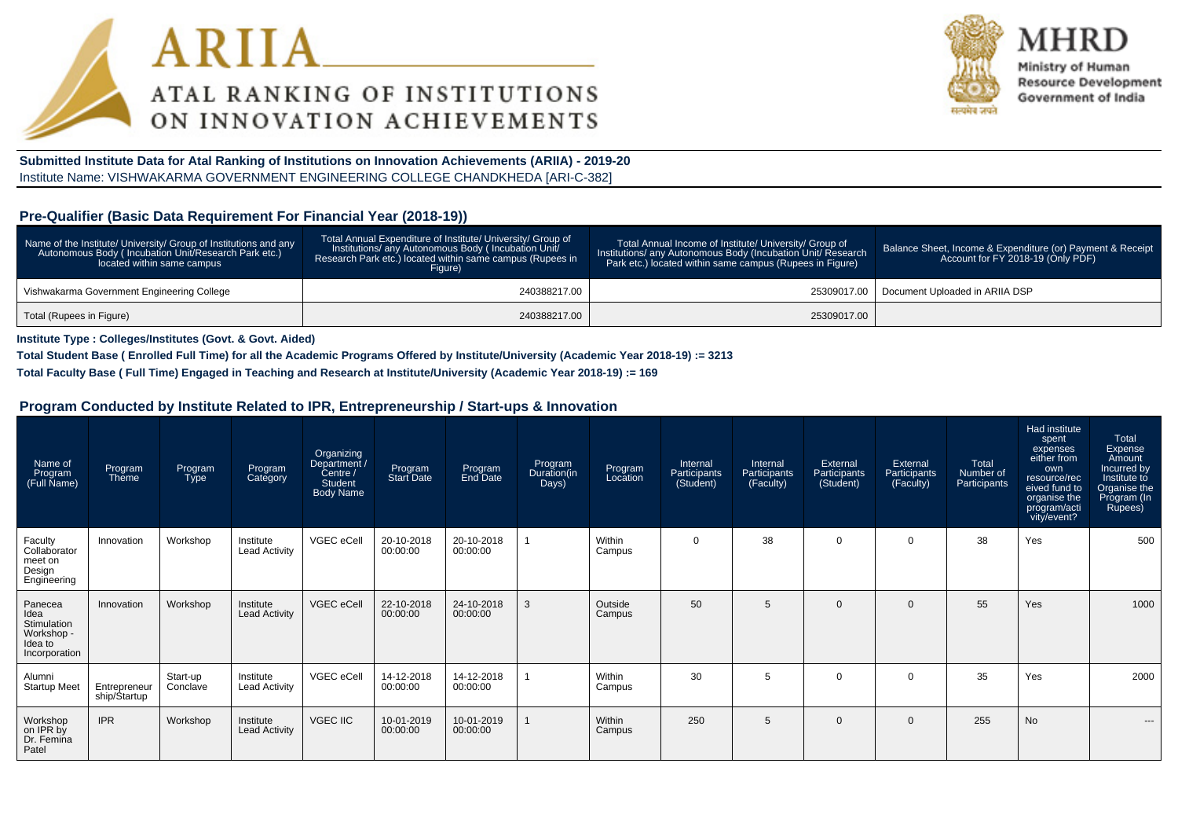



Ministry of Human **Resource Development** Government of India

**Submitted Institute Data for Atal Ranking of Institutions on Innovation Achievements (ARIIA) - 2019-20**Institute Name: VISHWAKARMA GOVERNMENT ENGINEERING COLLEGE CHANDKHEDA [ARI-C-382]

#### **Pre-Qualifier (Basic Data Requirement For Financial Year (2018-19))**

| Name of the Institute/ University/ Group of Institutions and any<br>Autonomous Body (Incubation Unit/Research Park etc.)<br>located within same campus | Total Annual Expenditure of Institute/ University/ Group of<br>Institutions/ any Autonomous Body (Incubation Unit/<br>Research Park etc.) located within same campus (Rupees in<br>Figure) | Total Annual Income of Institute/ University/ Group of<br>Institutions/ any Autonomous Body (Incubation Unit/ Research<br>Park etc.) located within same campus (Rupees in Figure) | Balance Sheet, Income & Expenditure (or) Payment & Receipt<br>Account for FY 2018-19 (Only PDF) |
|--------------------------------------------------------------------------------------------------------------------------------------------------------|--------------------------------------------------------------------------------------------------------------------------------------------------------------------------------------------|------------------------------------------------------------------------------------------------------------------------------------------------------------------------------------|-------------------------------------------------------------------------------------------------|
| Vishwakarma Government Engineering College                                                                                                             | 240388217.00                                                                                                                                                                               |                                                                                                                                                                                    | 25309017.00   Document Uploaded in ARIIA DSP                                                    |
| Total (Rupees in Figure)                                                                                                                               | 240388217.00                                                                                                                                                                               | 25309017.00                                                                                                                                                                        |                                                                                                 |

**Institute Type : Colleges/Institutes (Govt. & Govt. Aided)**

**Total Student Base ( Enrolled Full Time) for all the Academic Programs Offered by Institute/University (Academic Year 2018-19) := 3213**

**Total Faculty Base ( Full Time) Engaged in Teaching and Research at Institute/University (Academic Year 2018-19) := 169**

#### **Program Conducted by Institute Related to IPR, Entrepreneurship / Start-ups & Innovation**

| Name of<br>Program<br>(Full Name)                                        | Program<br>Theme             | Program<br><b>Type</b> | Program<br>Category               | Organizing<br>Department /<br>Centre /<br><b>Student</b><br><b>Body Name</b> | Program<br>Start Date  | Program<br>End Date    | Program<br>Duration(in<br>Days) | Program<br>Location | Internal<br>Participants<br>(Student) | Internal<br>Participants<br>(Faculty) | External<br>Participants<br>(Student) | External<br>Participants<br>(Faculty) | Total<br>Number of<br>Participants | Had institute<br>spent<br>expenses<br>either from<br>own<br>resource/rec<br>eived fund to<br>organise the<br>program/acti<br>vity/event? | Total<br>Expense<br>Amount<br>Incurred by<br>Institute to<br>Organise the<br>Program (In<br>Rupees) |
|--------------------------------------------------------------------------|------------------------------|------------------------|-----------------------------------|------------------------------------------------------------------------------|------------------------|------------------------|---------------------------------|---------------------|---------------------------------------|---------------------------------------|---------------------------------------|---------------------------------------|------------------------------------|------------------------------------------------------------------------------------------------------------------------------------------|-----------------------------------------------------------------------------------------------------|
| Faculty<br>Collaborator<br>meet on<br>Design<br>Engineering              | Innovation                   | Workshop               | Institute<br><b>Lead Activity</b> | VGEC eCell                                                                   | 20-10-2018<br>00:00:00 | 20-10-2018<br>00:00:00 |                                 | Within<br>Campus    | $\mathbf 0$                           | 38                                    | $\mathbf 0$                           | $\mathbf 0$                           | 38                                 | Yes                                                                                                                                      | 500                                                                                                 |
| Panecea<br>Idea<br>Stimulation<br>Workshop -<br>Idea to<br>Incorporation | Innovation                   | Workshop               | Institute<br><b>Lead Activity</b> | VGEC eCell                                                                   | 22-10-2018<br>00:00:00 | 24-10-2018<br>00:00:00 | 3                               | Outside<br>Campus   | 50                                    | 5                                     | $\Omega$                              | $\mathbf{0}$                          | 55                                 | Yes                                                                                                                                      | 1000                                                                                                |
| Alumni<br><b>Startup Meet</b>                                            | Entrepreneur<br>ship/Startup | Start-up<br>Conclave   | Institute<br><b>Lead Activity</b> | VGEC eCell                                                                   | 14-12-2018<br>00:00:00 | 14-12-2018<br>00:00:00 |                                 | Within<br>Campus    | 30                                    | 5                                     | $\Omega$                              | $\mathbf 0$                           | 35                                 | Yes                                                                                                                                      | 2000                                                                                                |
| Workshop<br>on IPR by<br>Dr. Femina<br>Patel                             | <b>IPR</b>                   | Workshop               | Institute<br><b>Lead Activity</b> | <b>VGEC IIC</b>                                                              | 10-01-2019<br>00:00:00 | 10-01-2019<br>00:00:00 |                                 | Within<br>Campus    | 250                                   | 5                                     | $\Omega$                              | $\mathbf{0}$                          | 255                                | <b>No</b>                                                                                                                                | ---                                                                                                 |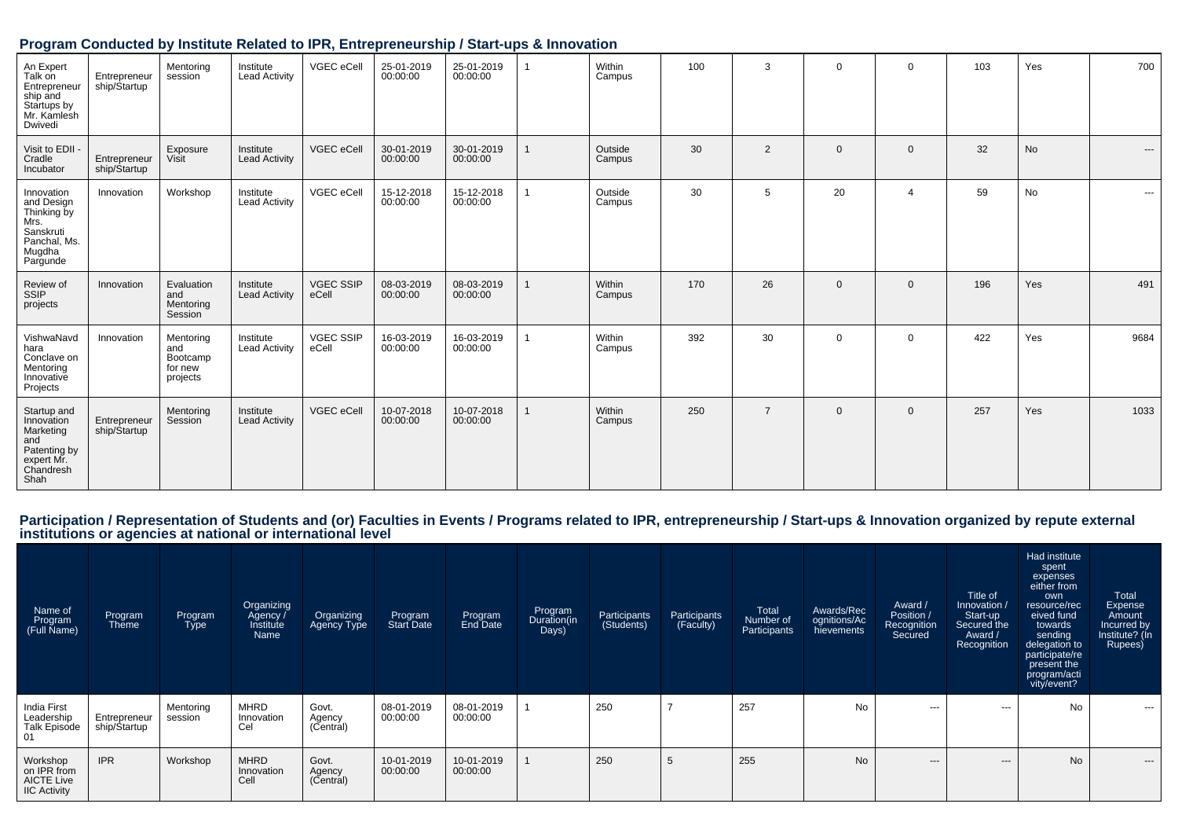|                                                                                                    |                              |                                                     | The prior conducted by institute iterated to it it, Littlepreneurship / Start-ups & Innovation |                           |                        |                        |                   |     |                |              |              |     |           |      |
|----------------------------------------------------------------------------------------------------|------------------------------|-----------------------------------------------------|------------------------------------------------------------------------------------------------|---------------------------|------------------------|------------------------|-------------------|-----|----------------|--------------|--------------|-----|-----------|------|
| An Expert<br>Talk on<br>Entrepreneur<br>ship and<br>Startups by<br>Mr. Kamlesh<br>Dwivedi          | Entrepreneur<br>ship/Startup | Mentoring<br>session                                | Institute<br><b>Lead Activity</b>                                                              | VGEC eCell                | 25-01-2019<br>00:00:00 | 25-01-2019<br>00:00:00 | Within<br>Campus  | 100 | 3              | $\Omega$     | $\Omega$     | 103 | Yes       | 700  |
| Visit to EDII -<br>Cradle<br>Incubator                                                             | Entrepreneur<br>ship/Startup | Exposure<br>Visit                                   | Institute<br>Lead Activity                                                                     | VGEC eCell                | 30-01-2019<br>00:00:00 | 30-01-2019<br>00:00:00 | Outside<br>Campus | 30  | 2              | $\mathbf{0}$ | $\mathbf{0}$ | 32  | <b>No</b> | ---  |
| Innovation<br>and Design<br>Thinking by<br>Mrs.<br>Sanskruti<br>Panchal, Ms.<br>Mugdha<br>Pargunde | Innovation                   | Workshop                                            | Institute<br>Lead Activity                                                                     | VGEC eCell                | 15-12-2018<br>00:00:00 | 15-12-2018<br>00:00:00 | Outside<br>Campus | 30  | 5              | 20           | 4            | 59  | <b>No</b> | ---  |
| Review of<br>SSIP<br>projects                                                                      | Innovation                   | Evaluation<br>and<br>Mentoring<br>Session           | Institute<br><b>Lead Activity</b>                                                              | <b>VGEC SSIP</b><br>eCell | 08-03-2019<br>00:00:00 | 08-03-2019<br>00:00:00 | Within<br>Campus  | 170 | 26             | $\mathbf{0}$ | $\mathbf{0}$ | 196 | Yes       | 491  |
| VishwaNavd<br>hara<br>Conclave on<br>Mentoring<br>Innovative<br>Projects                           | Innovation                   | Mentoring<br>and<br>Bootcamp<br>for new<br>projects | Institute<br><b>Lead Activity</b>                                                              | <b>VGEC SSIP</b><br>eCell | 16-03-2019<br>00:00:00 | 16-03-2019<br>00:00:00 | Within<br>Campus  | 392 | 30             | $\mathbf 0$  | $\mathbf{0}$ | 422 | Yes       | 9684 |
| Startup and<br>Innovation<br>Marketing<br>and<br>Patenting by<br>expert Mr.<br>Chandresh           | Entrepreneur<br>ship/Startup | Mentoring<br>Session                                | Institute<br><b>Lead Activity</b>                                                              | VGEC eCell                | 10-07-2018<br>00:00:00 | 10-07-2018<br>00:00:00 | Within<br>Campus  | 250 | $\overline{7}$ | $\mathbf{0}$ | $\mathbf{0}$ | 257 | Yes       | 1033 |

#### **Program Conducted by Institute Related to IPR, Entrepreneurship / Start-ups & Innovation**

Shah<sup>1</sup>

Participation / Representation of Students and (or) Faculties in Events / Programs related to IPR, entrepreneurship / Start-ups & Innovation organized by repute external<br>institutions or agencies at national or internationa

| Name of<br>Program<br>(Full Name)                                   | Program<br>Theme             | Program<br><b>Type</b> | Organizing<br>Agency /<br>Institute<br>Name | Organizing<br>Agency Type    | Program<br><b>Start Date</b> | Program<br>End Date    | Program<br>Duration(in<br>Days) | Participants<br>(Students) | Participants<br>(Faculty) | Total<br>Number of<br>Participants | Awards/Rec<br>ognitions/Ac<br>hievements | Award /<br>Position /<br>Recognition<br>Secured | Title of<br>Innovation /<br>Start-up<br>Secured the<br>Award /<br>Recognition | Had institute<br>spent<br>expenses<br>either from<br>own<br>resource/rec<br>eived fund<br>towards<br>sending<br>delegation to<br>participate/re<br>present the<br>program/acti<br>vity/event? | Total<br>Expense<br>Amount<br>Incurred by<br>Institute? (In<br>Rupees) |
|---------------------------------------------------------------------|------------------------------|------------------------|---------------------------------------------|------------------------------|------------------------------|------------------------|---------------------------------|----------------------------|---------------------------|------------------------------------|------------------------------------------|-------------------------------------------------|-------------------------------------------------------------------------------|-----------------------------------------------------------------------------------------------------------------------------------------------------------------------------------------------|------------------------------------------------------------------------|
| India First<br>Leadership<br>Talk Episode<br>01                     | Entrepreneur<br>ship/Startup | Mentoring<br>session   | <b>MHRD</b><br>Innovation<br>Cel            | Govt.<br>Agency<br>(Central) | 08-01-2019<br>00:00:00       | 08-01-2019<br>00:00:00 |                                 | 250                        | $\overline{ }$            | 257                                | No                                       | $\sim$ $\sim$                                   | $--$                                                                          | <b>No</b>                                                                                                                                                                                     | $\cdots$                                                               |
| Workshop<br>on IPR from<br><b>AICTE Live</b><br><b>IIC Activity</b> | <b>IPR</b>                   | Workshop               | <b>MHRD</b><br>Innovation<br>Cell           | Govt.<br>Agency<br>(Central) | 10-01-2019<br>00:00:00       | 10-01-2019<br>00:00:00 |                                 | 250                        | 5                         | 255                                | <b>No</b>                                | $---$                                           | ---                                                                           | <b>No</b>                                                                                                                                                                                     | $---$                                                                  |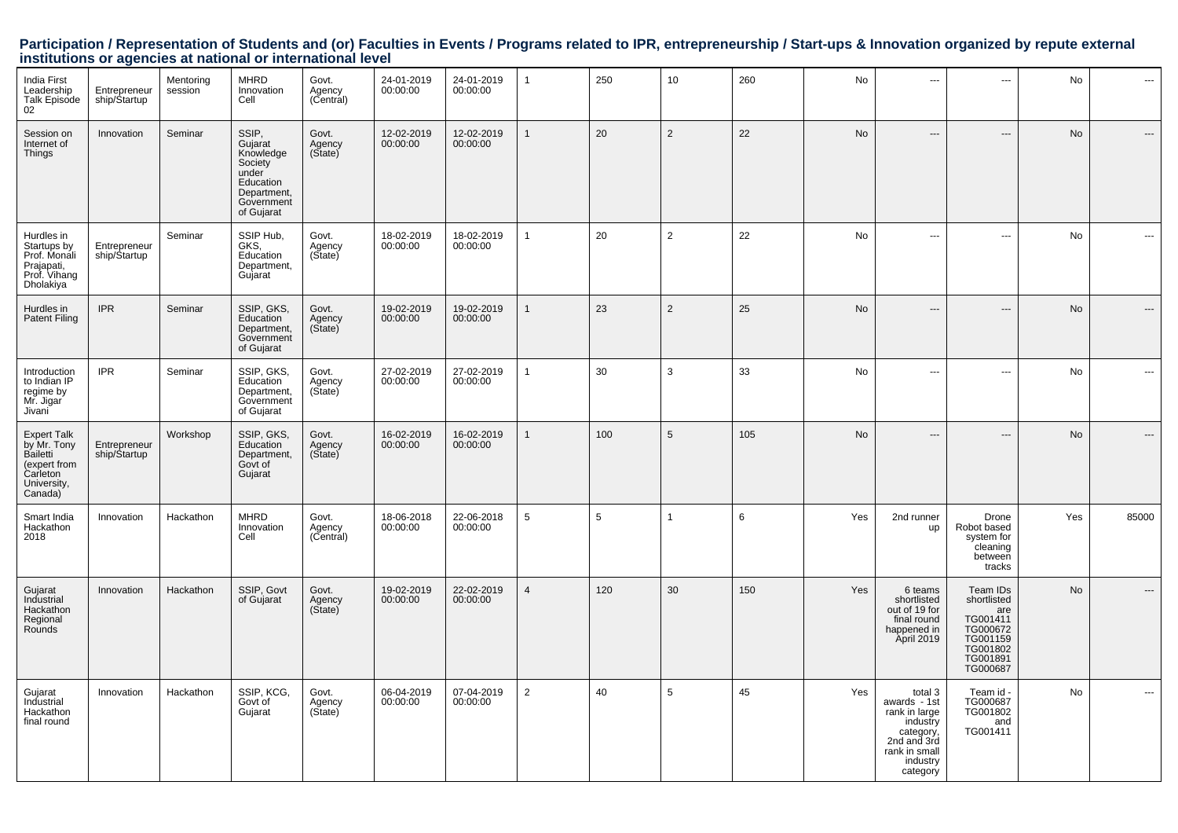# Participation / Representation of Students and (or) Faculties in Events / Programs related to IPR, entrepreneurship / Start-ups & Innovation organized by repute external<br>institutions or agencies at national or internationa

| <b>India First</b><br>Leadership<br><b>Talk Episode</b><br>02                                       | Entrepreneur<br>ship/Startup | Mentoring<br>session | <b>MHRD</b><br>Innovation<br>Cell                                                                         | Govt.<br>Agency<br>(Central) | 24-01-2019<br>00:00:00 | 24-01-2019<br>00:00:00 | $\mathbf{1}$   | 250 | 10              | 260 | No        | $\sim$                                                                                                                    | ---                                                                                                    | No  | ---                      |
|-----------------------------------------------------------------------------------------------------|------------------------------|----------------------|-----------------------------------------------------------------------------------------------------------|------------------------------|------------------------|------------------------|----------------|-----|-----------------|-----|-----------|---------------------------------------------------------------------------------------------------------------------------|--------------------------------------------------------------------------------------------------------|-----|--------------------------|
| Session on<br>Internet of<br>Things                                                                 | Innovation                   | Seminar              | SSIP,<br>Gujarat<br>Knowledge<br>Society<br>under<br>Education<br>Department,<br>Government<br>of Gujarat | Govt.<br>Agency<br>(Sitate)  | 12-02-2019<br>00:00:00 | 12-02-2019<br>00:00:00 | $\overline{1}$ | 20  | $\overline{2}$  | 22  | No        | $\overline{a}$                                                                                                            | $---$                                                                                                  | No  | $\overline{\phantom{a}}$ |
| Hurdles in<br>Startups by<br>Prof. Monali<br>Prajapati,<br>Prof. Vihang<br>Dholakiya                | Entrepreneur<br>ship/Startup | Seminar              | SSIP Hub,<br>GKS,<br>Education<br>Department,<br>Gujarat                                                  | Govt.<br>Agency<br>(State)   | 18-02-2019<br>00:00:00 | 18-02-2019<br>00:00:00 | $\overline{1}$ | 20  | $\overline{2}$  | 22  | <b>No</b> | $\sim$                                                                                                                    | $\overline{a}$                                                                                         | No  | $\overline{\phantom{a}}$ |
| Hurdles in<br><b>Patent Filing</b>                                                                  | <b>IPR</b>                   | Seminar              | SSIP, GKS,<br>Education<br>Department,<br>Government<br>of Gujarat                                        | Govt.<br>Agency<br>(Sitate)  | 19-02-2019<br>00:00:00 | 19-02-2019<br>00:00:00 |                | 23  | 2               | 25  | No        | $---$                                                                                                                     | $---$                                                                                                  | No  | ---                      |
| Introduction<br>to Indian IP<br>regime by<br>Mr. Jigar<br>Jivani                                    | <b>IPR</b>                   | Seminar              | SSIP, GKS,<br>Education<br>Department,<br>Government<br>of Gujarat                                        | Govt.<br>Agency<br>(Sitate)  | 27-02-2019<br>00:00:00 | 27-02-2019<br>00:00:00 | $\overline{1}$ | 30  | $\mathbf{3}$    | 33  | No        | $\hspace{0.05cm} \ldots$                                                                                                  | ---                                                                                                    | No  | $\hspace{0.05cm} \ldots$ |
| <b>Expert Talk</b><br>by Mr. Tony<br>Bailetti<br>(expert from<br>Carleton<br>University,<br>Canada) | Entrepreneur<br>ship/Startup | Workshop             | SSIP, GKS,<br>Education<br>Department,<br>Govt of<br>Gujarat                                              | Govt.<br>Agency<br>(Sitate)  | 16-02-2019<br>00:00:00 | 16-02-2019<br>00:00:00 |                | 100 | $5\phantom{.0}$ | 105 | No        | $---$                                                                                                                     | $\overline{\phantom{a}}$                                                                               | No  | $\hspace{0.05cm} \cdots$ |
| Smart India<br>Hackathon<br>2018                                                                    | Innovation                   | Hackathon            | <b>MHRD</b><br>Innovation<br>Cell                                                                         | Govt.<br>Agency<br>(Central) | 18-06-2018<br>00:00:00 | 22-06-2018<br>00:00:00 | 5              | 5   | $\mathbf{1}$    | 6   | Yes       | 2nd runner<br>up                                                                                                          | Drone<br>Robot based<br>system for<br>cleaning<br>between<br>tracks                                    | Yes | 85000                    |
| Gujarat<br>Industrial<br>Hackathon<br>Regional<br>Rounds                                            | Innovation                   | Hackathon            | SSIP, Govt<br>of Gujarat                                                                                  | Govt.<br>Agency<br>(Sitate)  | 19-02-2019<br>00:00:00 | 22-02-2019<br>00:00:00 | $\overline{4}$ | 120 | 30              | 150 | Yes       | 6 teams<br>shortlisted<br>out of 19 for<br>final round<br>happened in<br>April 2019                                       | Team IDs<br>shortlisted<br>are<br>TG001411<br>TG000672<br>TG001159<br>TG001802<br>TG001891<br>TG000687 | No  | ---                      |
| Gujarat<br>Industrial<br>Hackathon<br>final round                                                   | Innovation                   | Hackathon            | SSIP, KCG,<br>Govt of<br>Gujarat                                                                          | Govt.<br>Agency<br>(State)   | 06-04-2019<br>00:00:00 | 07-04-2019<br>00:00:00 | $\overline{2}$ | 40  | $5\phantom{.0}$ | 45  | Yes       | total 3<br>awards - 1st<br>rank in large<br>industry<br>category,<br>2nd and 3rd<br>rank in small<br>industry<br>category | Team id -<br>TG000687<br>TG001802<br>and<br>TG001411                                                   | No  | $\overline{\phantom{a}}$ |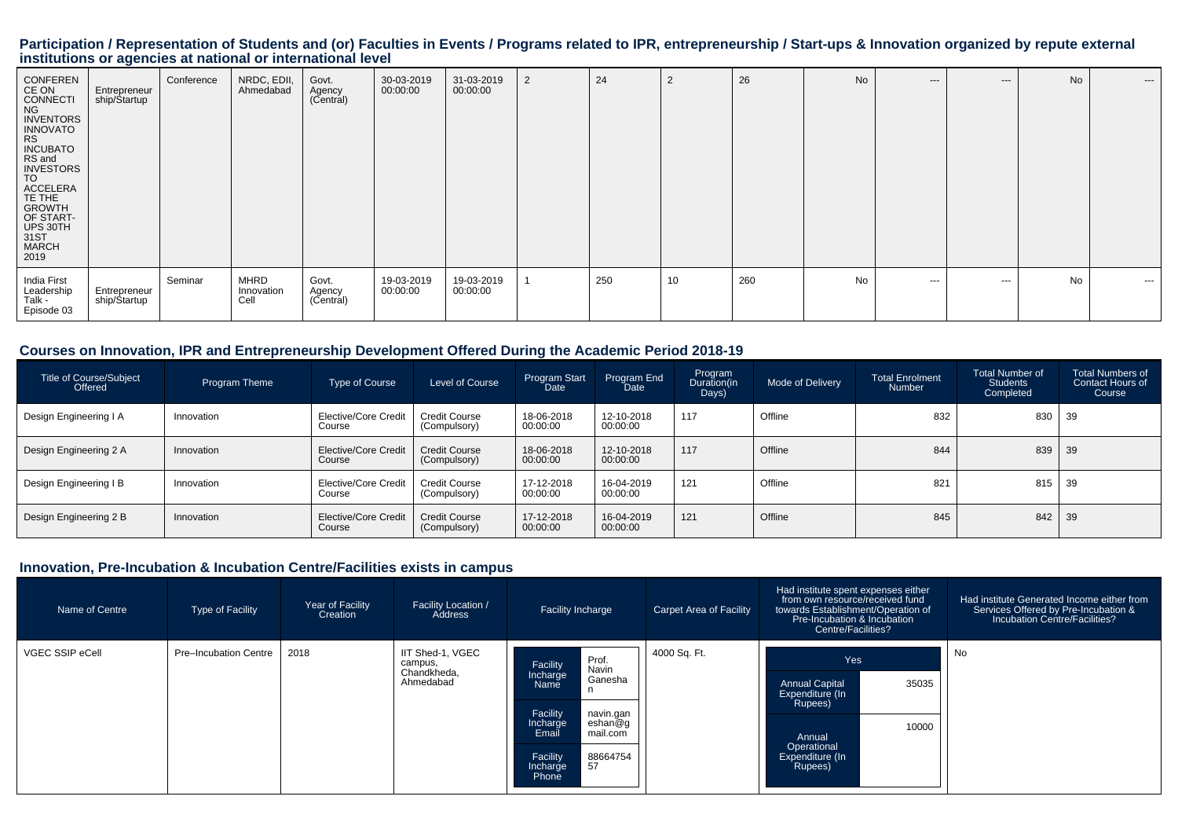# Participation / Representation of Students and (or) Faculties in Events / Programs related to IPR, entrepreneurship / Start-ups & Innovation organized by repute external<br>institutions or agencies at national or internationa

| CONFEREN<br>CE ON<br>CONNECTI<br><b>NG</b><br>INVENTORS<br>INNOVATO<br>RS<br><b>INCUBATO</b><br>RS and<br>INVESTORS<br>TO<br>ACCELERA<br>TE THE<br>GROWTH<br>OF START-<br>UPS 30TH<br>31ST<br>MARCH<br>2019 | Entrepreneur<br>ship/Startup | Conference | NRDC, EDII,<br>Ahmedabad          | Govt.<br>Agency<br>(Central) | 30-03-2019<br>00:00:00 | 31-03-2019<br>00:00:00 | $\overline{2}$ | 24  | 2  | 26  | No | $---$   | $---$ | No        | $---$         |
|-------------------------------------------------------------------------------------------------------------------------------------------------------------------------------------------------------------|------------------------------|------------|-----------------------------------|------------------------------|------------------------|------------------------|----------------|-----|----|-----|----|---------|-------|-----------|---------------|
| India First<br>Leadership<br>Talk -<br>Episode 03                                                                                                                                                           | Entrepreneur<br>ship/Startup | Seminar    | <b>MHRD</b><br>Innovation<br>Cell | Govt.<br>Agency<br>(Central) | 19-03-2019<br>00:00:00 | 19-03-2019<br>00:00:00 |                | 250 | 10 | 260 | No | $- - -$ | $--$  | <b>No</b> | $\sim$ $\sim$ |

#### **Courses on Innovation, IPR and Entrepreneurship Development Offered During the Academic Period 2018-19**

| <b>Title of Course/Subject</b><br>Offered | Program Theme | Type of Course                 | Level of Course                      | Program Start<br>Date  | Program End<br>Date    | Program<br>Duration(in<br>Days) | <b>Mode of Delivery</b> | <b>Total Enrolment</b><br><b>Number</b> | Total Number of<br><b>Students</b><br>Completed | <b>Total Numbers of</b><br><b>Contact Hours of</b><br>Course |
|-------------------------------------------|---------------|--------------------------------|--------------------------------------|------------------------|------------------------|---------------------------------|-------------------------|-----------------------------------------|-------------------------------------------------|--------------------------------------------------------------|
| Design Engineering I A                    | Innovation    | Elective/Core Credit<br>Course | <b>Credit Course</b><br>(Compulsory) | 18-06-2018<br>00:00:00 | 12-10-2018<br>00:00:00 | 117                             | Offline                 | 832                                     | 830                                             | 39                                                           |
| Design Engineering 2 A                    | Innovation    | Elective/Core Credit<br>Course | <b>Credit Course</b><br>(Compulsory) | 18-06-2018<br>00:00:00 | 12-10-2018<br>00:00:00 | 117                             | Offline                 | 844                                     | 839                                             | 39                                                           |
| Design Engineering I B                    | Innovation    | Elective/Core Credit<br>Course | <b>Credit Course</b><br>(Compulsory) | 17-12-2018<br>00:00:00 | 16-04-2019<br>00:00:00 | 121                             | Offline                 | 821                                     | 815                                             | 39                                                           |
| Design Engineering 2 B                    | Innovation    | Elective/Core Credit<br>Course | <b>Credit Course</b><br>(Compulsory) | 17-12-2018<br>00:00:00 | 16-04-2019<br>00:00:00 | 121                             | Offline                 | 845                                     | 842                                             | 39                                                           |

#### **Innovation, Pre-Incubation & Incubation Centre/Facilities exists in campus**

| Name of Centre  | <b>Type of Facility</b> | Year of Facility<br>Creation | <b>Facility Location /</b><br>Address                   | <b>Facility Incharge</b>                                                                                             | Carpet Area of Facility | Had institute spent expenses either<br>from own resource/received fund<br>towards Establishment/Operation of<br>Pre-Incubation & Incubation<br>Centre/Facilities? | Had institute Generated Income either from<br>Services Offered by Pre-Incubation &<br>Incubation Centre/Facilities? |
|-----------------|-------------------------|------------------------------|---------------------------------------------------------|----------------------------------------------------------------------------------------------------------------------|-------------------------|-------------------------------------------------------------------------------------------------------------------------------------------------------------------|---------------------------------------------------------------------------------------------------------------------|
| VGEC SSIP eCell | Pre-Incubation Centre   | 2018                         | IIT Shed-1, VGEC<br>campus,<br>Chandkheda,<br>Ahmedabad | Prof.<br>Facility<br>Navin<br>Incharge<br>Ganesha<br>Name                                                            | 4000 Sq. Ft.            | Yes<br>35035<br><b>Annual Capital</b><br>Expenditure (In                                                                                                          | No                                                                                                                  |
|                 |                         |                              |                                                         | Facility<br>navin.gan<br>eshan@g<br>Incharge<br>Email<br>mail.com<br>Facility<br>88664754<br>57<br>Incharge<br>Phone |                         | Rupees)<br>10000<br>Annual<br>Operational<br>Expenditure (In<br>Rupees)                                                                                           |                                                                                                                     |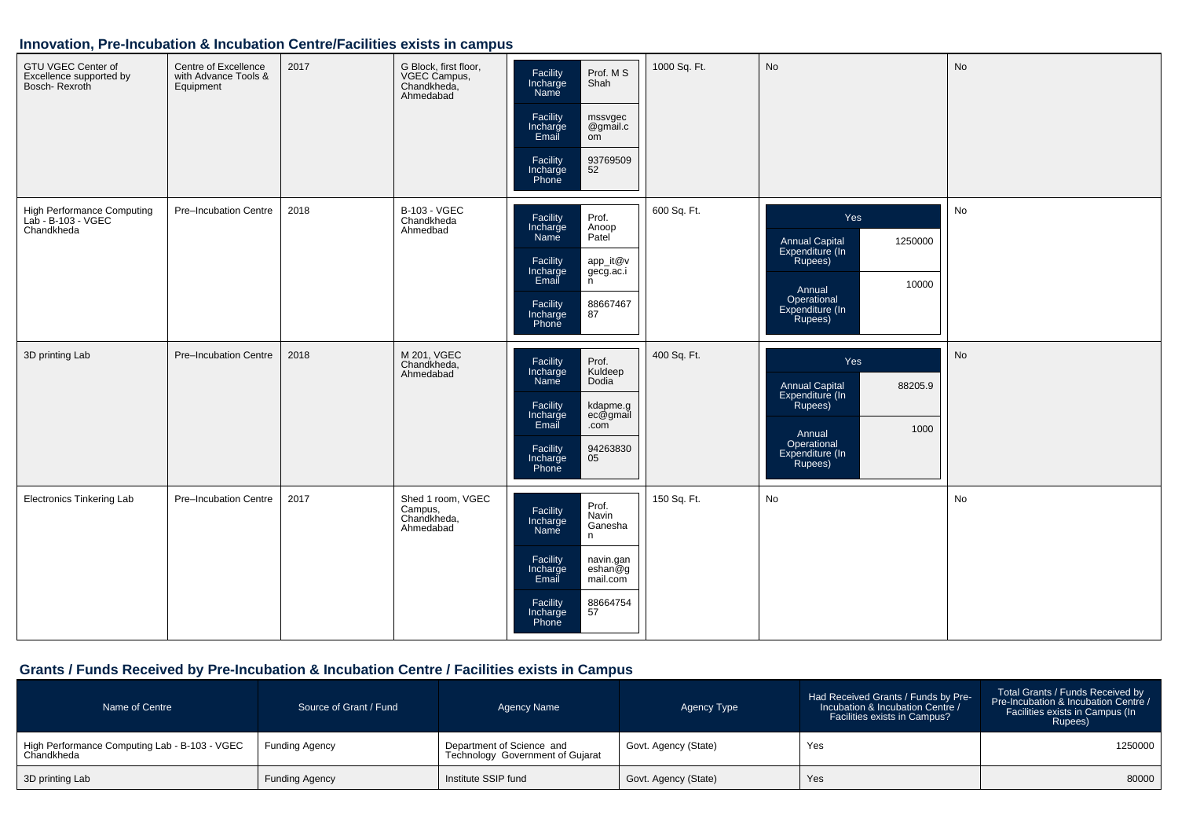#### **Innovation, Pre-Incubation & Incubation Centre/Facilities exists in campus**

| GTU VGEC Center of<br>Excellence supported by<br>Bosch- Rexroth | Centre of Excellence<br>with Advance Tools &<br>Equipment | 2017 | G Block, first floor,<br>VGEC Campus,<br>Chandkheda,<br>Ahmedabad | Prof. M S<br>Facility<br>Incharge<br>Shah<br>Name<br>Facility<br>mssvgec<br>Incharge<br>@gmail.c<br>Email<br>om<br>93769509<br>Facility<br>52<br>Incharge<br>Phone                     | 1000 Sq. Ft. | No                                                                                                                                   | <b>No</b> |
|-----------------------------------------------------------------|-----------------------------------------------------------|------|-------------------------------------------------------------------|----------------------------------------------------------------------------------------------------------------------------------------------------------------------------------------|--------------|--------------------------------------------------------------------------------------------------------------------------------------|-----------|
| High Performance Computing<br>Lab - B-103 - VGEC<br>Chandkheda  | Pre-Incubation Centre                                     | 2018 | <b>B-103 - VGEC</b><br>Chandkheda<br>Ahmedbad                     | Facility<br>Prof.<br>Incharge<br>Anoop<br>Patel <sup>'</sup><br>Name<br>Facility<br>app_it@v<br>gecg.ac.i<br>n<br>Incharge<br>Email<br>88667467<br>87<br>Facility<br>Incharge<br>Phone | 600 Sq. Ft.  | Yes<br>Annual Capital<br>Expenditure (In<br>1250000<br>Rupees)<br>10000<br>Annual<br>Operational<br>Expenditure (In<br>Rupees)       | No        |
| 3D printing Lab                                                 | Pre-Incubation Centre                                     | 2018 | M 201, VGEC<br>Chandkheda,<br>Ahmedabad                           | Facility<br>Prof.<br>Incharge<br>Name<br>Kuldeep<br>Dodia<br>Facility<br>kdapme.g<br>ec@gmail<br>Incharge<br>Email<br>.com<br>Facility<br>94263830<br>05<br>Incharge<br>Phone          | 400 Sq. Ft.  | Yes<br><b>Annual Capital</b><br>88205.9<br>Expenditure (In<br>Rupees)<br>1000<br>Annual<br>Operational<br>Expenditure (In<br>Rupees) | No        |
| <b>Electronics Tinkering Lab</b>                                | Pre-Incubation Centre                                     | 2017 | Shed 1 room, VGEC<br>Campus,<br>Chandkheda,<br>Ahmedabad          | Prof.<br>Facility<br>Navin<br>Incharge<br>Ganesha<br>Name<br>n<br>Facility<br>navin.gan<br>eshan@g<br>Incharge<br>Email<br>mail.com<br>Facility<br>88664754<br>57<br>Incharge<br>Phone | 150 Sq. Ft.  | No                                                                                                                                   | No        |

## **Grants / Funds Received by Pre-Incubation & Incubation Centre / Facilities exists in Campus**

| Name of Centre                                              | Source of Grant / Fund | Agency Name                                                   | Agency Type          | Had Received Grants / Funds by Pre-<br>Incubation & Incubation Centre /<br>Facilities exists in Campus? | Total Grants / Funds Received by<br>Pre-Incubation & Incubation Centre /<br>Facilities exists in Campus (In<br>Rupees) |
|-------------------------------------------------------------|------------------------|---------------------------------------------------------------|----------------------|---------------------------------------------------------------------------------------------------------|------------------------------------------------------------------------------------------------------------------------|
| High Performance Computing Lab - B-103 - VGEC<br>Chandkheda | <b>Funding Agency</b>  | Department of Science and<br>Technology Government of Gujarat | Govt. Agency (State) | Yes                                                                                                     | 1250000                                                                                                                |
| 3D printing Lab                                             | <b>Funding Agency</b>  | Institute SSIP fund                                           | Govt. Agency (State) | Yes                                                                                                     | 80000                                                                                                                  |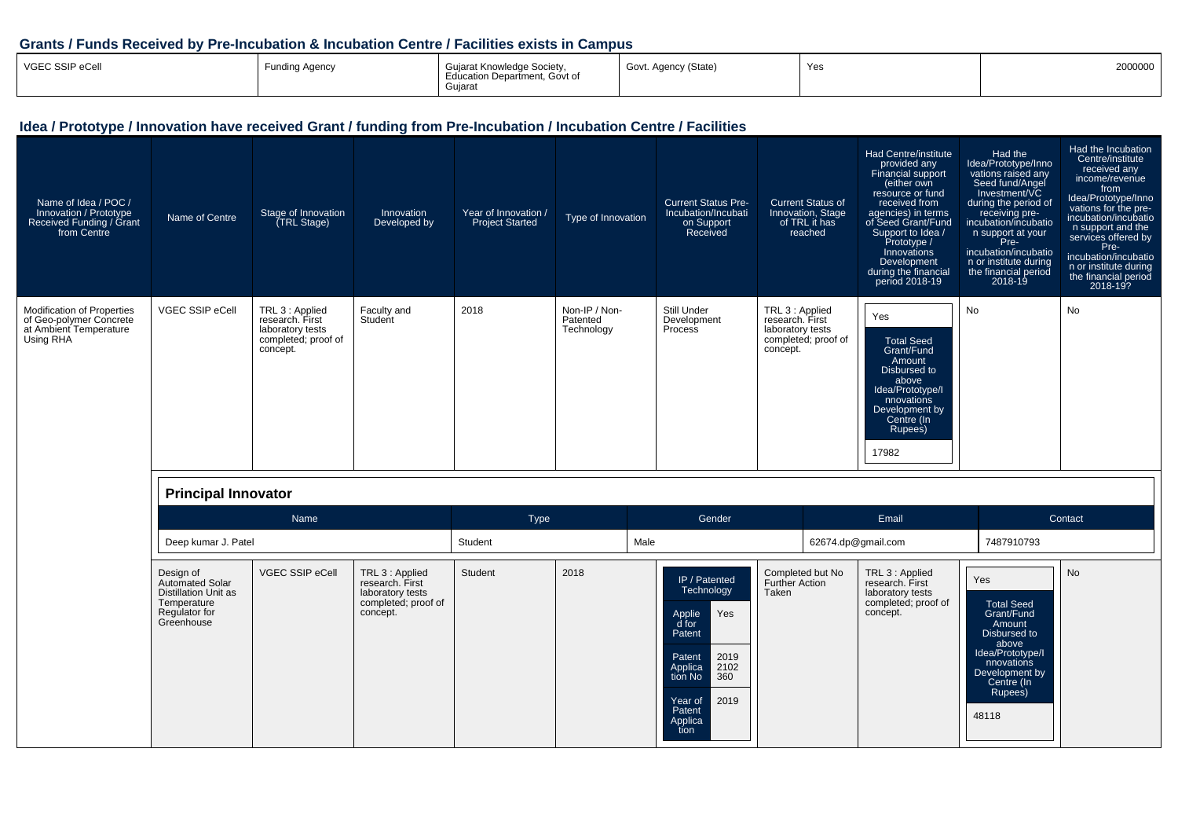#### **Grants / Funds Received by Pre-Incubation & Incubation Centre / Facilities exists in Campus**

| Name of Idea / POC /<br>Innovation / Prototype<br>Received Funding / Grant<br>from Centre           | Name of Centre             | Stage of Innovation<br>(TRL Stage)                                                        | Innovation<br>Developed by | Year of Innovation /<br><b>Project Started</b> | Type of Innovation                      | <b>Current Status Pre-</b><br>Incubation/Incubati<br>on Support<br>Received | <b>Current Status of</b><br>Innovation, Stage<br>of TRL it has<br>reached                 | Had Centre/institute<br>provided any<br>Financial support<br>(either own<br>resource or fund<br>received from<br>agencies) in terms<br>of Seed Grant/Fund<br>Support to Idea /<br>Prototype /<br>Innovations<br>Development<br>during the financial<br>period 2018-19 | Had the<br>Idea/Prototype/Inno<br>vations raised any<br>Seed fund/Angel<br>Investment/VC<br>during the period of<br>receiving pre-<br>incubation/incubatio<br>n support at your<br>Pre-<br>incubation/incubatio<br>n or institute during<br>the financial period<br>2018-19 | Had the Incubation<br>Centre/institute<br>received any<br>income/revenue<br>from<br>Idea/Prototype/Inno<br>vations for the pre-<br>incubation/incubatio<br>n support and the<br>services offered by<br>Pre-<br>incubation/incubatio<br>n or institute during<br>the financial period<br>2018-19? |
|-----------------------------------------------------------------------------------------------------|----------------------------|-------------------------------------------------------------------------------------------|----------------------------|------------------------------------------------|-----------------------------------------|-----------------------------------------------------------------------------|-------------------------------------------------------------------------------------------|-----------------------------------------------------------------------------------------------------------------------------------------------------------------------------------------------------------------------------------------------------------------------|-----------------------------------------------------------------------------------------------------------------------------------------------------------------------------------------------------------------------------------------------------------------------------|--------------------------------------------------------------------------------------------------------------------------------------------------------------------------------------------------------------------------------------------------------------------------------------------------|
| <b>Modification of Properties</b><br>of Geo-polymer Concrete<br>at Ambient Temperature<br>Using RHA | <b>VGEC SSIP eCell</b>     | TRL 3 : Applied<br>research. First<br>laboratory tests<br>completed; proof of<br>concept. | Faculty and<br>Student     | 2018                                           | Non-IP / Non-<br>Patented<br>Technology | Still Under<br>Development<br>Process                                       | TRL 3 : Applied<br>research. First<br>laboratory tests<br>completed; proof of<br>concept. | Yes<br><b>Total Seed</b><br>Grant/Fund<br>Amount<br>Disbursed to<br>above<br>Idea/Prototype/I<br>nnovations<br>Development by<br>Centre (In<br>Rupees)<br>17982                                                                                                       | No                                                                                                                                                                                                                                                                          | No                                                                                                                                                                                                                                                                                               |
|                                                                                                     | <b>Principal Innovator</b> |                                                                                           |                            |                                                |                                         |                                                                             |                                                                                           |                                                                                                                                                                                                                                                                       |                                                                                                                                                                                                                                                                             |                                                                                                                                                                                                                                                                                                  |
|                                                                                                     |                            | Name                                                                                      |                            | Type                                           |                                         | Gender                                                                      |                                                                                           | Email                                                                                                                                                                                                                                                                 |                                                                                                                                                                                                                                                                             | Contact                                                                                                                                                                                                                                                                                          |
|                                                                                                     | Deep kumar J. Patel        |                                                                                           |                            | Student                                        | Male                                    |                                                                             | 62674.dp@gmail.com                                                                        |                                                                                                                                                                                                                                                                       | 7487910793                                                                                                                                                                                                                                                                  |                                                                                                                                                                                                                                                                                                  |
|                                                                                                     |                            |                                                                                           |                            |                                                |                                         |                                                                             |                                                                                           |                                                                                                                                                                                                                                                                       |                                                                                                                                                                                                                                                                             |                                                                                                                                                                                                                                                                                                  |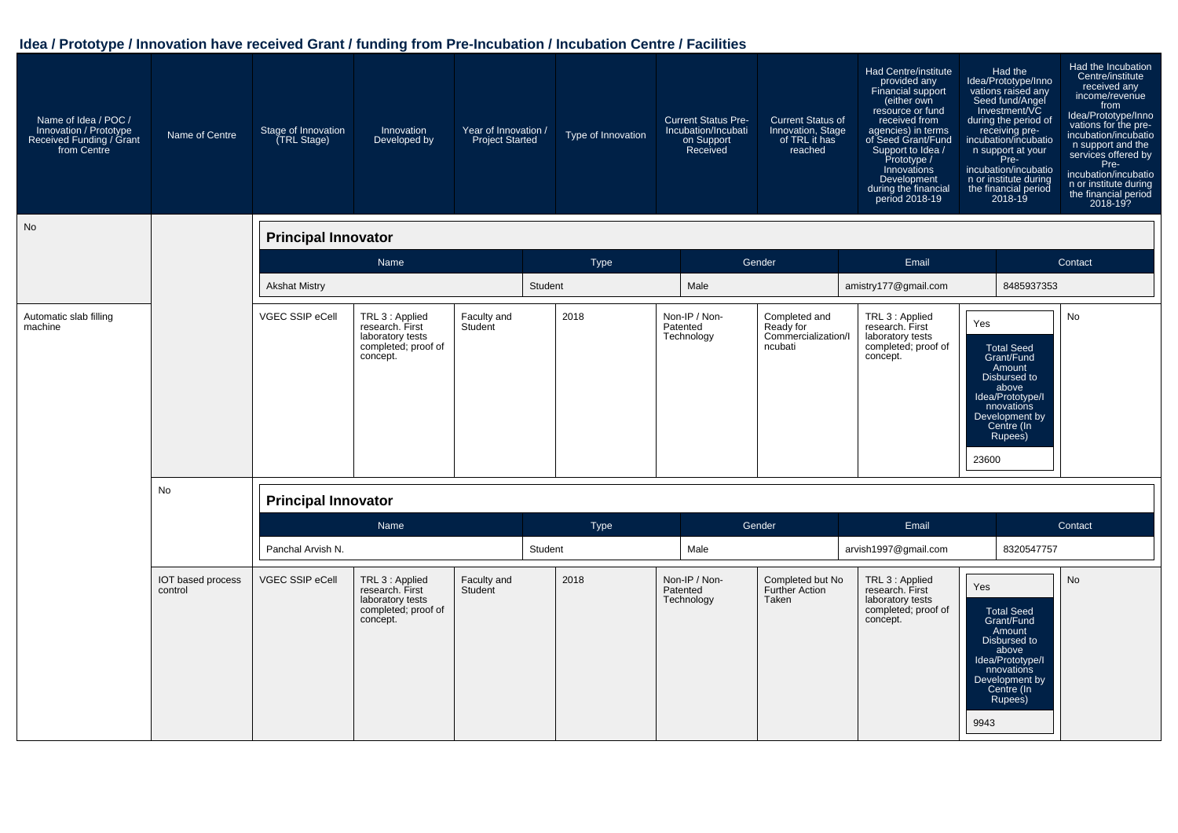| Name of Idea / POC /<br>Innovation / Prototype<br>Received Funding / Grant<br>from Centre | Name of Centre               | Stage of Innovation<br>(TRL Stage) | Innovation<br>Developed by                                                                | Year of Innovation /<br><b>Project Started</b> |         | Type of Innovation | <b>Current Status Pre-</b><br>Incubation/Incubati<br>on Support<br>Received | <b>Current Status of</b><br>Innovation, Stage<br>of TRL it has<br>reached | Had Centre/institute<br>provided any<br>Financial support<br>(either own<br>resource or fund<br>received from<br>agencies) in terms<br>of Seed Grant/Fund<br>Support to Idea /<br>Prototype /<br>Innovations<br>Development<br>during the financial<br>period 2018-19 |              | Had the<br>Idea/Prototype/Inno<br>vations raised any<br>Seed fund/Angel<br>Investment/VC<br>during the period of<br>receiving pre-<br>incubation/incubatio<br>n support at your<br>Pre-<br>incubation/incubatio<br>n or institute during<br>the financial period<br>2018-19 | Had the Incubation<br>Centre/institute<br>received any<br>income/revenue<br>from<br>Idea/Prototype/Inno<br>vations for the pre-<br>incubation/incubatio<br>n support and the<br>services offered by<br>Pre-<br>incubation/incubatio<br>n or institute during<br>the financial period<br>2018-19? |
|-------------------------------------------------------------------------------------------|------------------------------|------------------------------------|-------------------------------------------------------------------------------------------|------------------------------------------------|---------|--------------------|-----------------------------------------------------------------------------|---------------------------------------------------------------------------|-----------------------------------------------------------------------------------------------------------------------------------------------------------------------------------------------------------------------------------------------------------------------|--------------|-----------------------------------------------------------------------------------------------------------------------------------------------------------------------------------------------------------------------------------------------------------------------------|--------------------------------------------------------------------------------------------------------------------------------------------------------------------------------------------------------------------------------------------------------------------------------------------------|
| No                                                                                        |                              | <b>Principal Innovator</b>         |                                                                                           |                                                |         |                    |                                                                             |                                                                           |                                                                                                                                                                                                                                                                       |              |                                                                                                                                                                                                                                                                             |                                                                                                                                                                                                                                                                                                  |
|                                                                                           |                              |                                    | Name                                                                                      |                                                |         | Type               |                                                                             | Gender                                                                    | Email                                                                                                                                                                                                                                                                 |              |                                                                                                                                                                                                                                                                             | Contact                                                                                                                                                                                                                                                                                          |
|                                                                                           |                              | <b>Akshat Mistry</b>               |                                                                                           |                                                | Student |                    | Male                                                                        |                                                                           | amistry177@gmail.com                                                                                                                                                                                                                                                  |              | 8485937353                                                                                                                                                                                                                                                                  |                                                                                                                                                                                                                                                                                                  |
| Automatic slab filling<br>machine                                                         |                              | VGEC SSIP eCell                    | TRL 3 : Applied<br>research. First<br>laboratory tests<br>completed; proof of<br>concept. | Faculty and<br>Student                         |         | 2018               | Non-IP / Non-<br>Patented<br>Technology                                     | Completed and<br>Ready for<br>Commercialization/I<br>ncubati              | TRL 3 : Applied<br>research. First<br>laboratory tests<br>completed; proof of<br>concept.                                                                                                                                                                             | Yes<br>23600 | <b>Total Seed</b><br>Grant/Fund<br>Amount<br>Disbursed to<br>above<br>Idea/Prototype/I<br>nnovations<br>Development by<br>Centre (In<br>Rupees)                                                                                                                             | <b>No</b>                                                                                                                                                                                                                                                                                        |
|                                                                                           | <b>No</b>                    | <b>Principal Innovator</b>         |                                                                                           |                                                |         |                    |                                                                             |                                                                           |                                                                                                                                                                                                                                                                       |              |                                                                                                                                                                                                                                                                             |                                                                                                                                                                                                                                                                                                  |
|                                                                                           |                              |                                    | Name                                                                                      |                                                |         | Type               |                                                                             | Gender                                                                    | Email                                                                                                                                                                                                                                                                 |              |                                                                                                                                                                                                                                                                             | Contact                                                                                                                                                                                                                                                                                          |
|                                                                                           |                              | Panchal Arvish N.                  |                                                                                           |                                                | Student |                    | Male                                                                        |                                                                           | arvish1997@gmail.com                                                                                                                                                                                                                                                  |              | 8320547757                                                                                                                                                                                                                                                                  |                                                                                                                                                                                                                                                                                                  |
|                                                                                           | IOT based process<br>control | VGEC SSIP eCell                    | TRL 3 : Applied<br>research. First<br>laboratory tests<br>completed; proof of<br>concept. | Faculty and<br>Student                         |         | 2018               | Non-IP / Non-<br>Patented<br>Technology                                     | Completed but No<br>Further Action<br>Taken                               | TRL 3 : Applied<br>research. First<br>laboratory tests<br>completed; proof of<br>concept.                                                                                                                                                                             | Yes<br>9943  | <b>Total Seed</b><br>Grant/Fund<br>Amount<br>Disbursed to<br>above<br>Idea/Prototype/I<br>nnovations<br>Development by<br>Centre (In<br>Rupees)                                                                                                                             | <b>No</b>                                                                                                                                                                                                                                                                                        |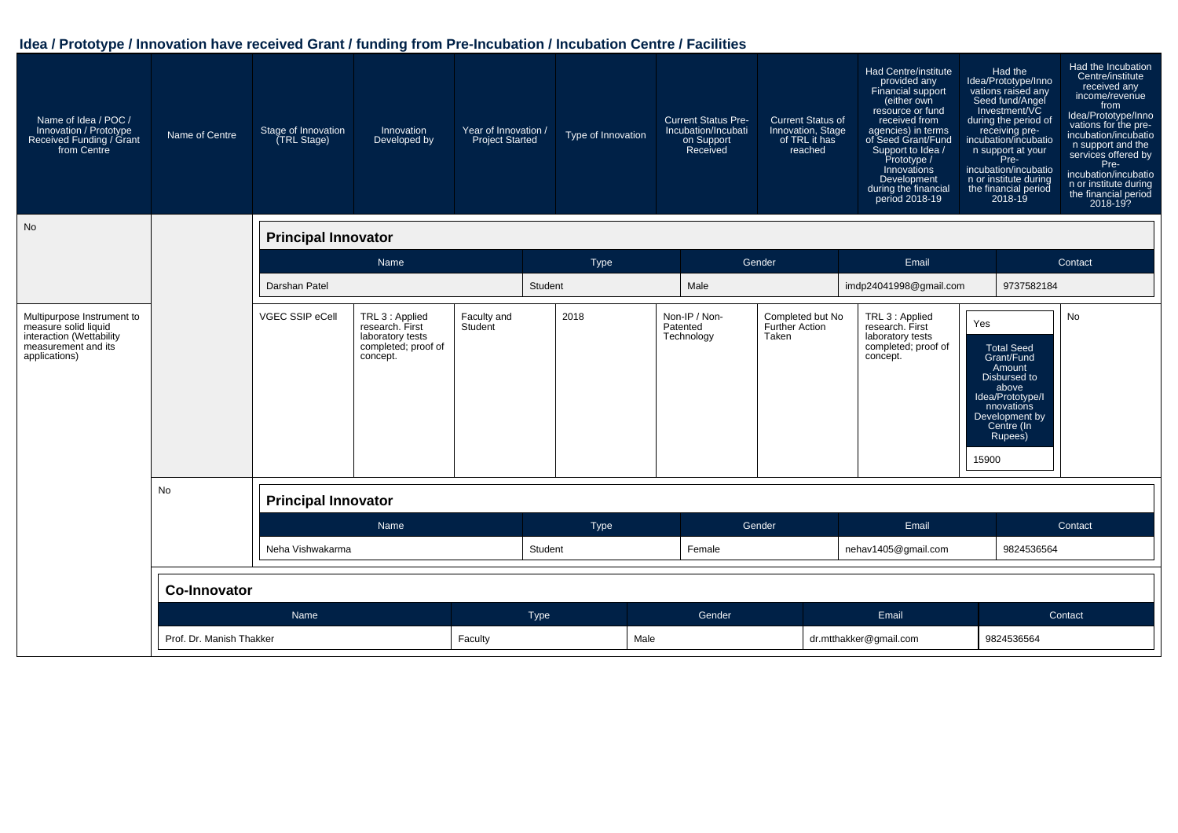| Name of Idea / POC /<br>Innovation / Prototype<br>Received Funding / Grant<br>from Centre                              | Name of Centre      | Stage of Innovation<br>(TRL Stage) | Innovation<br>Developed by                                                                | Year of Innovation /<br>Project Started |         | Type of Innovation | <b>Current Status Pre-</b><br>Incubation/Incubati<br>on Support<br>Received |        | <b>Current Status of</b><br>Innovation, Stage<br>of TRL it has<br>reached | <b>Had Centre/institute</b><br>provided any<br>Financial support<br>(either own<br>resource or fund<br>received from<br>agencies) in terms<br>of Seed Grant/Fund<br>Support to Idea /<br>Prototype /<br>Innovations<br>Development<br>during the financial<br>period 2018-19 |              | Had the<br>Idea/Prototype/Inno<br>vations raised any<br>Seed fund/Angel<br>Investment/VC<br>during the period of<br>receiving pre-<br>incubation/incubatio<br>n support at your<br>Pre-<br>incubation/incubatio<br>n or institute during<br>the financial period<br>2018-19 | Had the Incubation<br>Centre/institute<br>received any<br>income/revenue<br>from<br>Idea/Prototype/Inno<br>vations for the pre-<br>incubation/incubatio<br>n support and the<br>services offered by<br>Pre-<br>incubation/incubatio<br>n or institute during<br>the financial period<br>2018-19? |
|------------------------------------------------------------------------------------------------------------------------|---------------------|------------------------------------|-------------------------------------------------------------------------------------------|-----------------------------------------|---------|--------------------|-----------------------------------------------------------------------------|--------|---------------------------------------------------------------------------|------------------------------------------------------------------------------------------------------------------------------------------------------------------------------------------------------------------------------------------------------------------------------|--------------|-----------------------------------------------------------------------------------------------------------------------------------------------------------------------------------------------------------------------------------------------------------------------------|--------------------------------------------------------------------------------------------------------------------------------------------------------------------------------------------------------------------------------------------------------------------------------------------------|
| No                                                                                                                     |                     | <b>Principal Innovator</b>         |                                                                                           |                                         |         |                    |                                                                             |        |                                                                           |                                                                                                                                                                                                                                                                              |              |                                                                                                                                                                                                                                                                             |                                                                                                                                                                                                                                                                                                  |
|                                                                                                                        |                     |                                    | Name                                                                                      |                                         |         | Type               |                                                                             | Gender |                                                                           | Email                                                                                                                                                                                                                                                                        |              |                                                                                                                                                                                                                                                                             | Contact                                                                                                                                                                                                                                                                                          |
|                                                                                                                        |                     | Darshan Patel                      |                                                                                           |                                         | Student |                    | Male                                                                        |        |                                                                           | imdp24041998@gmail.com                                                                                                                                                                                                                                                       |              | 9737582184                                                                                                                                                                                                                                                                  |                                                                                                                                                                                                                                                                                                  |
| Multipurpose Instrument to<br>measure solid liquid<br>interaction (Wettability<br>measurement and its<br>applications) |                     | VGEC SSIP eCell                    | TRL 3 : Applied<br>research. First<br>laboratory tests<br>completed; proof of<br>concept. | Faculty and<br>Student                  |         | 2018               | Non-IP / Non-<br>Patented<br>Technology                                     | Taken  | Completed but No<br>Further Action                                        | TRL 3 : Applied<br>research. First<br>laboratory tests<br>completed; proof of<br>concept.                                                                                                                                                                                    | Yes<br>15900 | <b>Total Seed</b><br>Grant/Fund<br>Amount<br>Disbursed to<br>above<br>Idea/Prototype/I<br>nnovations<br>Development by<br>Centre (In<br>Rupees)                                                                                                                             | No                                                                                                                                                                                                                                                                                               |
|                                                                                                                        | No                  | <b>Principal Innovator</b>         |                                                                                           |                                         |         |                    |                                                                             |        |                                                                           |                                                                                                                                                                                                                                                                              |              |                                                                                                                                                                                                                                                                             |                                                                                                                                                                                                                                                                                                  |
|                                                                                                                        |                     |                                    | <b>Name</b>                                                                               |                                         |         | Type               |                                                                             | Gender |                                                                           | Email                                                                                                                                                                                                                                                                        |              |                                                                                                                                                                                                                                                                             | Contact                                                                                                                                                                                                                                                                                          |
|                                                                                                                        | Neha Vishwakarma    |                                    |                                                                                           |                                         | Student |                    | Female                                                                      |        |                                                                           | nehav1405@gmail.com                                                                                                                                                                                                                                                          |              | 9824536564                                                                                                                                                                                                                                                                  |                                                                                                                                                                                                                                                                                                  |
|                                                                                                                        | <b>Co-Innovator</b> |                                    |                                                                                           |                                         |         |                    |                                                                             |        |                                                                           |                                                                                                                                                                                                                                                                              |              |                                                                                                                                                                                                                                                                             |                                                                                                                                                                                                                                                                                                  |
|                                                                                                                        |                     | Name                               |                                                                                           |                                         | Type    |                    | Gender                                                                      |        |                                                                           | Email                                                                                                                                                                                                                                                                        |              |                                                                                                                                                                                                                                                                             | Contact                                                                                                                                                                                                                                                                                          |
|                                                                                                                        |                     | Prof. Dr. Manish Thakker           |                                                                                           | Faculty                                 |         | Male               |                                                                             |        |                                                                           | dr.mtthakker@gmail.com                                                                                                                                                                                                                                                       |              | 9824536564                                                                                                                                                                                                                                                                  |                                                                                                                                                                                                                                                                                                  |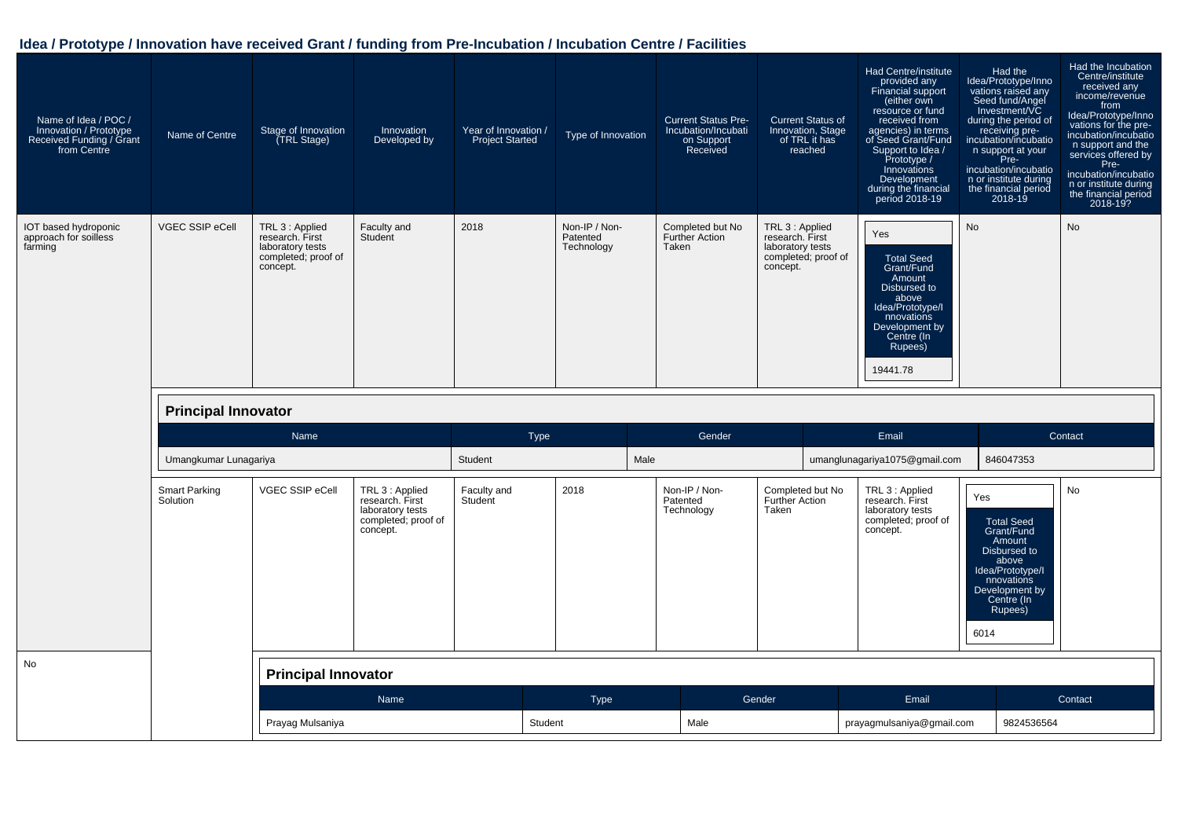| Name of Idea / POC /<br>Innovation / Prototype<br>Received Funding / Grant<br>from Centre | Name of Centre                   | Stage of Innovation<br>(TRL Stage)                                                        | Innovation<br>Developed by                                                                | Year of Innovation /<br><b>Project Started</b> | Type of Innovation                      | <b>Current Status Pre-</b><br>Incubation/Incubati<br>on Support<br>Received | <b>Current Status of</b><br>Innovation, Stage<br>of TRL it has<br>reached                 | Had Centre/institute<br>provided any<br>Financial support<br>(either own<br>resource or fund<br>received from<br>agencies) in terms<br>of Seed Grant/Fund<br>Support to Idea /<br>Prototype /<br>Innovations<br>Development<br>during the financial<br>period 2018-19 | Had the<br>Idea/Prototype/Inno<br>vations raised any<br>Seed fund/Angel<br>Investment/VC<br>during the period of<br>receiving pre-<br>incubation/incubatio<br>n support at your<br>Pre-<br>incubation/incubatio<br>n or institute during<br>the financial period<br>$2018 - 19$ | Had the Incubation<br>Centre/institute<br>received any<br>income/revenue<br>from<br>Idea/Prototype/Inno<br>vations for the pre-<br>incubation/incubatio<br>n support and the<br>services offered by<br>Pre-<br>incubation/incubatio<br>n or institute during<br>the financial period<br>2018-19? |
|-------------------------------------------------------------------------------------------|----------------------------------|-------------------------------------------------------------------------------------------|-------------------------------------------------------------------------------------------|------------------------------------------------|-----------------------------------------|-----------------------------------------------------------------------------|-------------------------------------------------------------------------------------------|-----------------------------------------------------------------------------------------------------------------------------------------------------------------------------------------------------------------------------------------------------------------------|---------------------------------------------------------------------------------------------------------------------------------------------------------------------------------------------------------------------------------------------------------------------------------|--------------------------------------------------------------------------------------------------------------------------------------------------------------------------------------------------------------------------------------------------------------------------------------------------|
| IOT based hydroponic<br>approach for soilless<br>farming                                  | VGEC SSIP eCell                  | TRL 3 : Applied<br>research. First<br>laboratory tests<br>completed; proof of<br>concept. | Faculty and<br>Student                                                                    | 2018                                           | Non-IP / Non-<br>Patented<br>Technology | Completed but No<br>Further Action<br>Taken                                 | TRL 3 : Applied<br>research. First<br>laboratory tests<br>completed; proof of<br>concept. | Yes<br><b>Total Seed</b><br>Grant/Fund<br>Amount<br>Disbursed to<br>above<br>Idea/Prototype/I<br>nnovations<br>Development by<br>Centre (In<br>Rupees)<br>19441.78                                                                                                    | <b>No</b>                                                                                                                                                                                                                                                                       | No                                                                                                                                                                                                                                                                                               |
|                                                                                           | <b>Principal Innovator</b>       |                                                                                           |                                                                                           |                                                |                                         |                                                                             |                                                                                           |                                                                                                                                                                                                                                                                       |                                                                                                                                                                                                                                                                                 |                                                                                                                                                                                                                                                                                                  |
|                                                                                           |                                  | <b>Name</b>                                                                               |                                                                                           | Type                                           |                                         | Gender                                                                      |                                                                                           | Email                                                                                                                                                                                                                                                                 |                                                                                                                                                                                                                                                                                 | Contact                                                                                                                                                                                                                                                                                          |
|                                                                                           | Umangkumar Lunagariya            |                                                                                           |                                                                                           | Student                                        | Male                                    |                                                                             |                                                                                           | umanglunagariya1075@gmail.com                                                                                                                                                                                                                                         | 846047353                                                                                                                                                                                                                                                                       |                                                                                                                                                                                                                                                                                                  |
|                                                                                           | <b>Smart Parking</b><br>Solution | VGEC SSIP eCell                                                                           | TRL 3 : Applied<br>research. First<br>laboratory tests<br>completed; proof of<br>concept. | Faculty and<br>Student                         | 2018                                    | Non-IP / Non-<br>Patented<br>Technology                                     | Completed but No<br><b>Further Action</b><br>Taken                                        | TRL 3 : Applied<br>research. First<br>laboratory tests<br>completed; proof of<br>concept.                                                                                                                                                                             | Yes<br><b>Total Seed</b><br>Grant/Fund<br>Amount<br>Disbursed to<br>above<br>Idea/Prototype/I<br>nnovations<br>Development by<br>Centre (In<br>Rupees)<br>6014                                                                                                                  | No                                                                                                                                                                                                                                                                                               |
| No                                                                                        |                                  | <b>Principal Innovator</b>                                                                |                                                                                           |                                                |                                         |                                                                             |                                                                                           |                                                                                                                                                                                                                                                                       |                                                                                                                                                                                                                                                                                 |                                                                                                                                                                                                                                                                                                  |
|                                                                                           |                                  |                                                                                           | Name                                                                                      |                                                | <b>Type</b>                             |                                                                             | Gender                                                                                    | Email                                                                                                                                                                                                                                                                 |                                                                                                                                                                                                                                                                                 | Contact                                                                                                                                                                                                                                                                                          |
|                                                                                           |                                  | Prayag Mulsaniya                                                                          |                                                                                           | Student                                        |                                         | Male                                                                        |                                                                                           | prayagmulsaniya@gmail.com                                                                                                                                                                                                                                             | 9824536564                                                                                                                                                                                                                                                                      |                                                                                                                                                                                                                                                                                                  |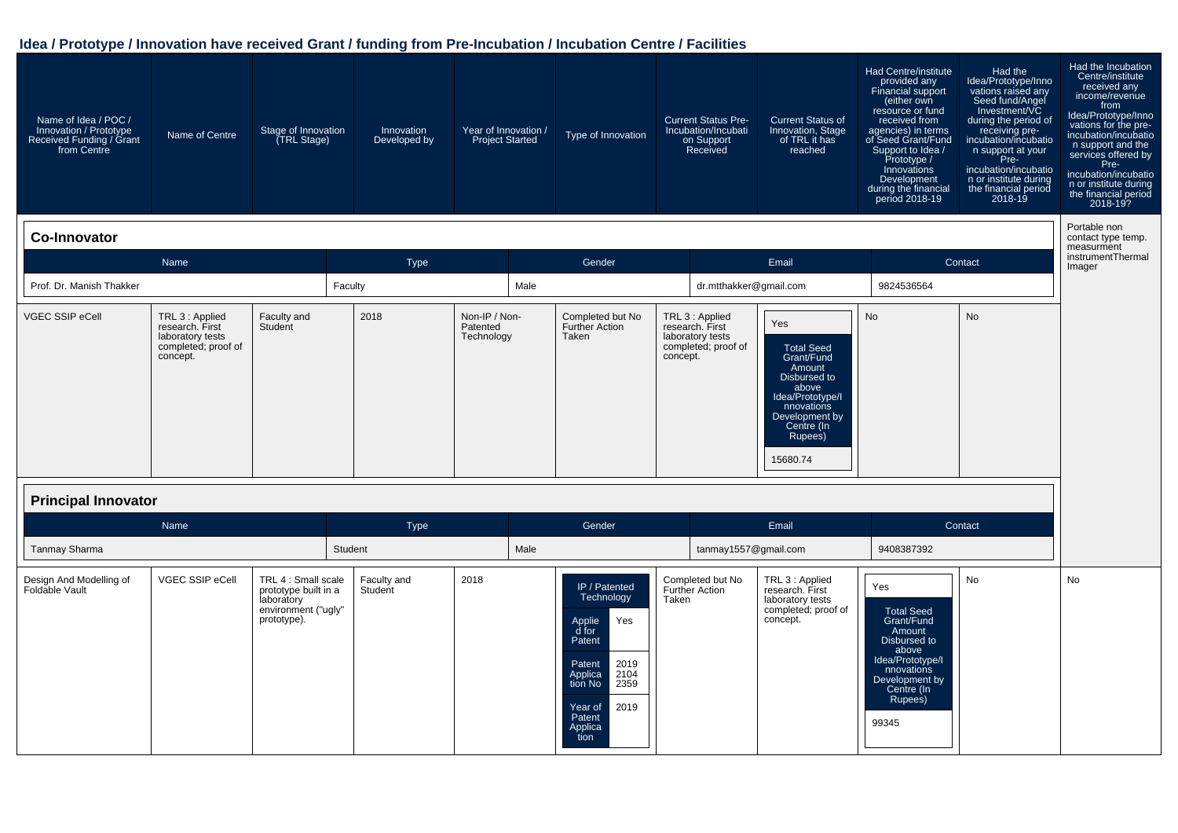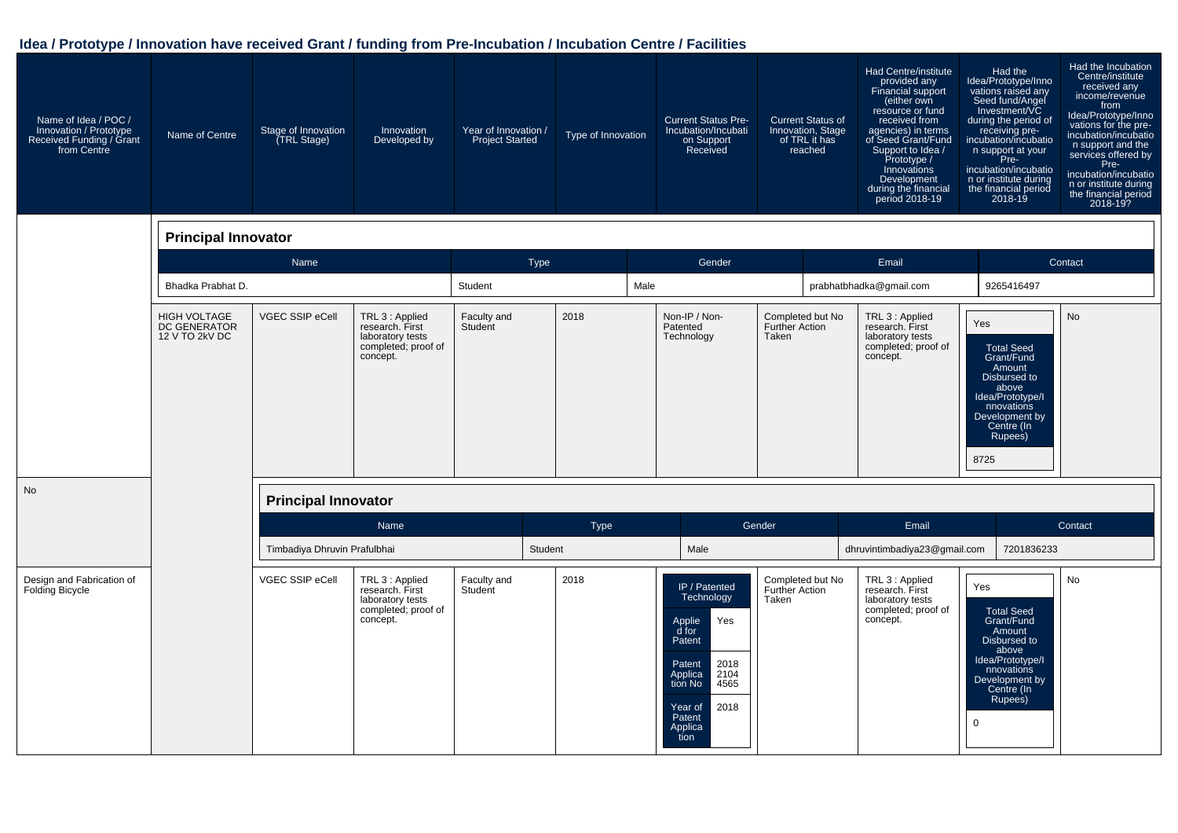| Name of Idea / POC /<br>Innovation / Prototype<br>Received Funding / Grant<br>from Centre | Name of Centre                                               | Stage of Innovation<br>(TRL Stage) | Innovation<br>Developed by                                                                | Year of Innovation /<br><b>Project Started</b> | Type of Innovation | <b>Current Status Pre-</b><br>Incubation/Incubati<br>on Support<br>Received                                                                                                    | <b>Current Status of</b><br>Innovation, Stage<br>of TRL it has<br>reached | <b>Had Centre/institute</b><br>provided any<br><b>Financial support</b><br>(either own<br>resource or fund<br>received from<br>agencies) in terms<br>of Seed Grant/Fund<br>Support to Idea /<br>Prototype /<br>Innovations<br>Development<br>during the financial<br>period 2018-19 | Had the<br>Idea/Prototype/Inno<br>vations raised any<br>Seed fund/Angel<br>Investment/VC<br>during the period of<br>receiving pre-<br>incubation/incubatio<br>n support at your<br>Pre-<br>incubation/incubatio<br>n or institute during<br>the financial period<br>2018-19 | Had the Incubation<br>Centre/institute<br>received any<br>income/revenue<br>from<br>Idea/Prototype/Inno<br>vations for the pre-<br>incubation/incubatio<br>n support and the<br>services offered by<br>Pre-<br>incubation/incubatio<br>n or institute during<br>the financial period<br>$\overline{2018}$ -192 |
|-------------------------------------------------------------------------------------------|--------------------------------------------------------------|------------------------------------|-------------------------------------------------------------------------------------------|------------------------------------------------|--------------------|--------------------------------------------------------------------------------------------------------------------------------------------------------------------------------|---------------------------------------------------------------------------|-------------------------------------------------------------------------------------------------------------------------------------------------------------------------------------------------------------------------------------------------------------------------------------|-----------------------------------------------------------------------------------------------------------------------------------------------------------------------------------------------------------------------------------------------------------------------------|----------------------------------------------------------------------------------------------------------------------------------------------------------------------------------------------------------------------------------------------------------------------------------------------------------------|
|                                                                                           | <b>Principal Innovator</b>                                   |                                    |                                                                                           |                                                |                    |                                                                                                                                                                                |                                                                           |                                                                                                                                                                                                                                                                                     |                                                                                                                                                                                                                                                                             |                                                                                                                                                                                                                                                                                                                |
|                                                                                           |                                                              | Name                               |                                                                                           | <b>Type</b>                                    |                    | Gender                                                                                                                                                                         |                                                                           | Email                                                                                                                                                                                                                                                                               |                                                                                                                                                                                                                                                                             | Contact                                                                                                                                                                                                                                                                                                        |
|                                                                                           | Bhadka Prabhat D.                                            |                                    |                                                                                           | Student                                        | Male               |                                                                                                                                                                                |                                                                           | prabhatbhadka@gmail.com                                                                                                                                                                                                                                                             | 9265416497                                                                                                                                                                                                                                                                  |                                                                                                                                                                                                                                                                                                                |
|                                                                                           | <b>HIGH VOLTAGE</b><br><b>DC GENERATOR</b><br>12 V TO 2kV DC | <b>VGEC SSIP eCell</b>             | TRL 3 : Applied<br>research. First<br>laboratory tests<br>completed; proof of<br>concept. | Faculty and<br>Student                         | 2018               | Non-IP / Non-<br>Patented<br>Technology                                                                                                                                        | Completed but No<br>Further Action<br>Taken                               | TRL 3 : Applied<br>research. First<br>laboratory tests<br>completed; proof of<br>concept.                                                                                                                                                                                           | Yes<br><b>Total Seed</b><br>Grant/Fund<br>Amount<br>Disbursed to<br>above<br>Idea/Prototype/I<br>nnovations<br>Development by<br>Centre (In<br>Rupees)<br>8725                                                                                                              | <b>No</b>                                                                                                                                                                                                                                                                                                      |
| <b>No</b>                                                                                 |                                                              | <b>Principal Innovator</b>         |                                                                                           |                                                |                    |                                                                                                                                                                                |                                                                           |                                                                                                                                                                                                                                                                                     |                                                                                                                                                                                                                                                                             |                                                                                                                                                                                                                                                                                                                |
|                                                                                           |                                                              |                                    | Name                                                                                      |                                                | Type               |                                                                                                                                                                                | Gender                                                                    | Email                                                                                                                                                                                                                                                                               |                                                                                                                                                                                                                                                                             | Contact                                                                                                                                                                                                                                                                                                        |
|                                                                                           |                                                              | Timbadiya Dhruvin Prafulbhai       |                                                                                           |                                                | Student            | Male                                                                                                                                                                           |                                                                           | dhruvintimbadiya23@gmail.com                                                                                                                                                                                                                                                        | 7201836233                                                                                                                                                                                                                                                                  |                                                                                                                                                                                                                                                                                                                |
| Design and Fabrication of<br>Folding Bicycle                                              |                                                              | VGEC SSIP eCell                    | TRL 3 : Applied<br>research. First<br>laboratory tests<br>completed; proof of<br>concept. | Faculty and<br>Student                         | 2018               | <b>IP</b> / Patented<br>Technology<br>Yes<br>Applie<br>d for<br>Patent<br>2018<br>Patent<br>2104<br>Applica<br>tion No<br>4565<br>2018<br>Year of<br>Patent<br>Applica<br>tion | Completed but No<br><b>Further Action</b><br>Taken                        | TRL 3 : Applied<br>research. First<br>laboratory tests<br>completed; proof of<br>concept.                                                                                                                                                                                           | Yes<br><b>Total Seed</b><br>Grant/Fund<br>Amount<br>Disbursed to<br>above<br>Idea/Prototype/I<br>nnovations<br>Development by<br>Centre (In<br>Rupees)<br>$\mathbf 0$                                                                                                       | <b>No</b>                                                                                                                                                                                                                                                                                                      |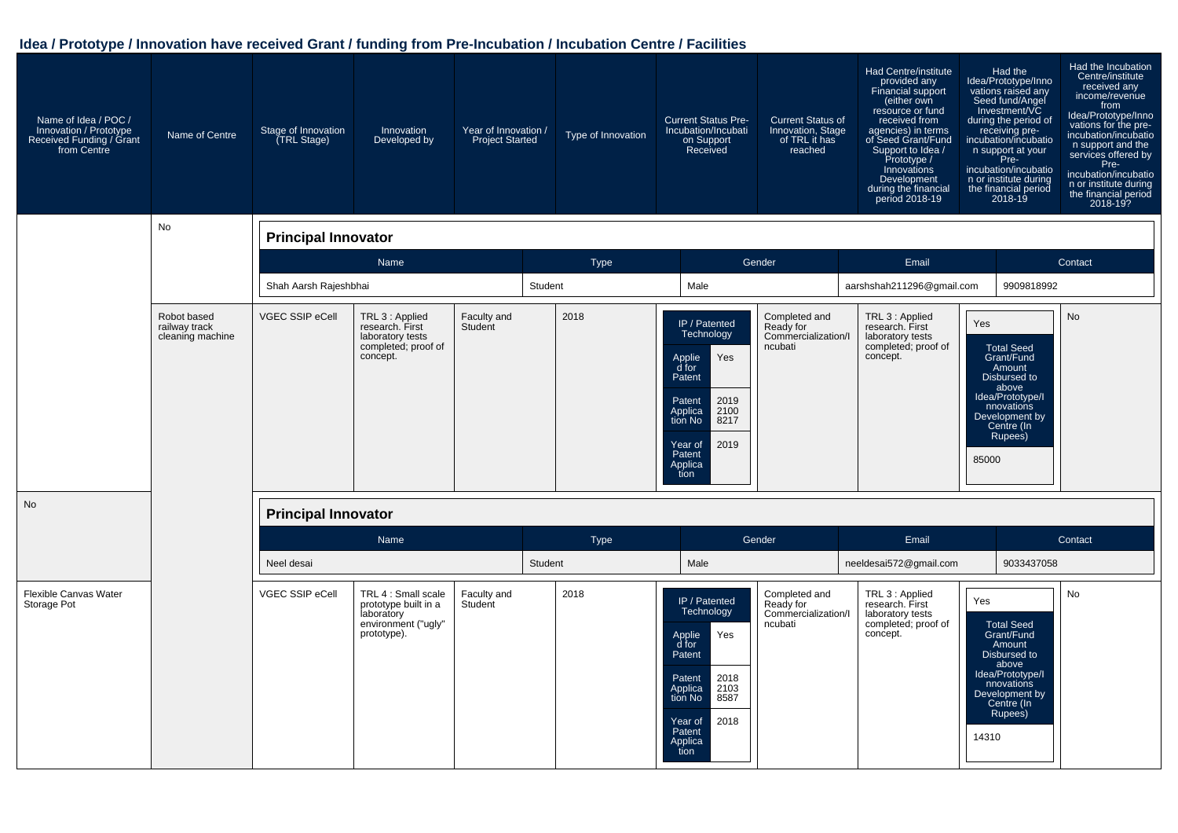| Name of Idea / POC /<br>Innovation / Prototype<br>Received Funding / Grant<br>from Centre | Name of Centre                                   | Stage of Innovation<br>(TRL Stage) | Innovation<br>Developed by                                                                      | Year of Innovation /<br><b>Project Started</b> |         | Type of Innovation | <b>Current Status Pre-</b><br>Incubation/Incubati<br>on Support<br>Received                                                                                                          | <b>Current Status of</b><br>Innovation, Stage<br>of TRL it has<br>reached | Had Centre/institute<br>provided any<br>Financial support<br>(either own<br>resource or fund<br>received from<br>agencies) in terms<br>of Seed Grant/Fund<br>Support to Idea /<br>Prototype /<br>Innovations<br>Development<br>during the financial<br>period 2018-19 | Had the<br>Idea/Prototype/Inno<br>vations raised any<br>Seed fund/Angel<br>Investment/VC<br>during the period of<br>receiving pre-<br>incubation/incubatio<br>n support at your<br>Pre-<br>incubation/incubatio<br>n or institute during<br>the financial period<br>2018-19 | Had the Incubation<br>Centre/institute<br>received any<br>income/revenue<br>from<br>Idea/Prototype/Inno<br>vations for the pre-<br>incubation/incubatio<br>n support and the<br>services offered by<br>Pre-<br>incubation/incubatio<br>n or institute during<br>the financial period<br>2018-19? |
|-------------------------------------------------------------------------------------------|--------------------------------------------------|------------------------------------|-------------------------------------------------------------------------------------------------|------------------------------------------------|---------|--------------------|--------------------------------------------------------------------------------------------------------------------------------------------------------------------------------------|---------------------------------------------------------------------------|-----------------------------------------------------------------------------------------------------------------------------------------------------------------------------------------------------------------------------------------------------------------------|-----------------------------------------------------------------------------------------------------------------------------------------------------------------------------------------------------------------------------------------------------------------------------|--------------------------------------------------------------------------------------------------------------------------------------------------------------------------------------------------------------------------------------------------------------------------------------------------|
|                                                                                           | No                                               | <b>Principal Innovator</b>         |                                                                                                 |                                                |         |                    |                                                                                                                                                                                      |                                                                           |                                                                                                                                                                                                                                                                       |                                                                                                                                                                                                                                                                             |                                                                                                                                                                                                                                                                                                  |
|                                                                                           |                                                  |                                    | Name                                                                                            |                                                |         | <b>Type</b>        |                                                                                                                                                                                      | Gender                                                                    | Email                                                                                                                                                                                                                                                                 |                                                                                                                                                                                                                                                                             | Contact                                                                                                                                                                                                                                                                                          |
|                                                                                           |                                                  | Shah Aarsh Rajeshbhai              |                                                                                                 |                                                | Student |                    | Male                                                                                                                                                                                 |                                                                           | aarshshah211296@gmail.com                                                                                                                                                                                                                                             | 9909818992                                                                                                                                                                                                                                                                  |                                                                                                                                                                                                                                                                                                  |
|                                                                                           | Robot based<br>railway track<br>cleaning machine | VGEC SSIP eCell                    | TRL 3 : Applied<br>research. First<br>laboratory tests<br>completed; proof of<br>concept.       | Faculty and<br>Student                         |         | 2018               | IP / Patented<br>Technology<br>Applie<br>Yes<br>$\overline{d}$ for<br>Patent<br>2019<br>Patent<br>2100<br>Applica<br>8217<br>tion No<br>2019<br>Year of<br>Patent<br>Applica<br>tion | Completed and<br>Ready for<br>Commercialization/I<br>ncubati              | TRL 3 : Applied<br>research. First<br>laboratory tests<br>completed; proof of<br>concept.                                                                                                                                                                             | Yes<br><b>Total Seed</b><br>Grant/Fund<br>Amount<br>Disbursed to<br>above<br>Idea/Prototype/I<br>nnovations<br>Development by<br>Centre (In<br>Rupees)<br>85000                                                                                                             | <b>No</b>                                                                                                                                                                                                                                                                                        |
| <b>No</b>                                                                                 |                                                  | <b>Principal Innovator</b>         |                                                                                                 |                                                |         |                    |                                                                                                                                                                                      |                                                                           |                                                                                                                                                                                                                                                                       |                                                                                                                                                                                                                                                                             |                                                                                                                                                                                                                                                                                                  |
|                                                                                           |                                                  |                                    | Name                                                                                            |                                                |         | Type               |                                                                                                                                                                                      | Gender                                                                    | Email                                                                                                                                                                                                                                                                 |                                                                                                                                                                                                                                                                             | Contact                                                                                                                                                                                                                                                                                          |
|                                                                                           |                                                  | Neel desai                         |                                                                                                 |                                                | Student |                    | Male                                                                                                                                                                                 |                                                                           | neeldesai572@gmail.com                                                                                                                                                                                                                                                | 9033437058                                                                                                                                                                                                                                                                  |                                                                                                                                                                                                                                                                                                  |
| Flexible Canvas Water<br>Storage Pot                                                      |                                                  | VGEC SSIP eCell                    | TRL 4 : Small scale<br>prototype built in a<br>laboratory<br>environment ("ugly"<br>prototype). | Faculty and<br>Student                         |         | 2018               | IP / Patented<br>Technology<br>Applie<br>Yes<br>$\overline{d}$ for<br>Patent<br>2018<br>Patent<br>2103<br>8587<br>Applica<br>tion No<br>2018<br>Year of<br>Patent<br>Applica<br>tion | Completed and<br>Ready for<br>Commercialization/I<br>ncubati              | TRL 3 : Applied<br>research. First<br>laboratory tests<br>completed; proof of<br>concept.                                                                                                                                                                             | Yes<br><b>Total Seed</b><br>Grant/Fund<br>Amount<br>Disbursed to<br>above<br>Idea/Prototype/I<br>nnovations<br>Development by<br>Centre (In<br>Rupees)<br>14310                                                                                                             | No                                                                                                                                                                                                                                                                                               |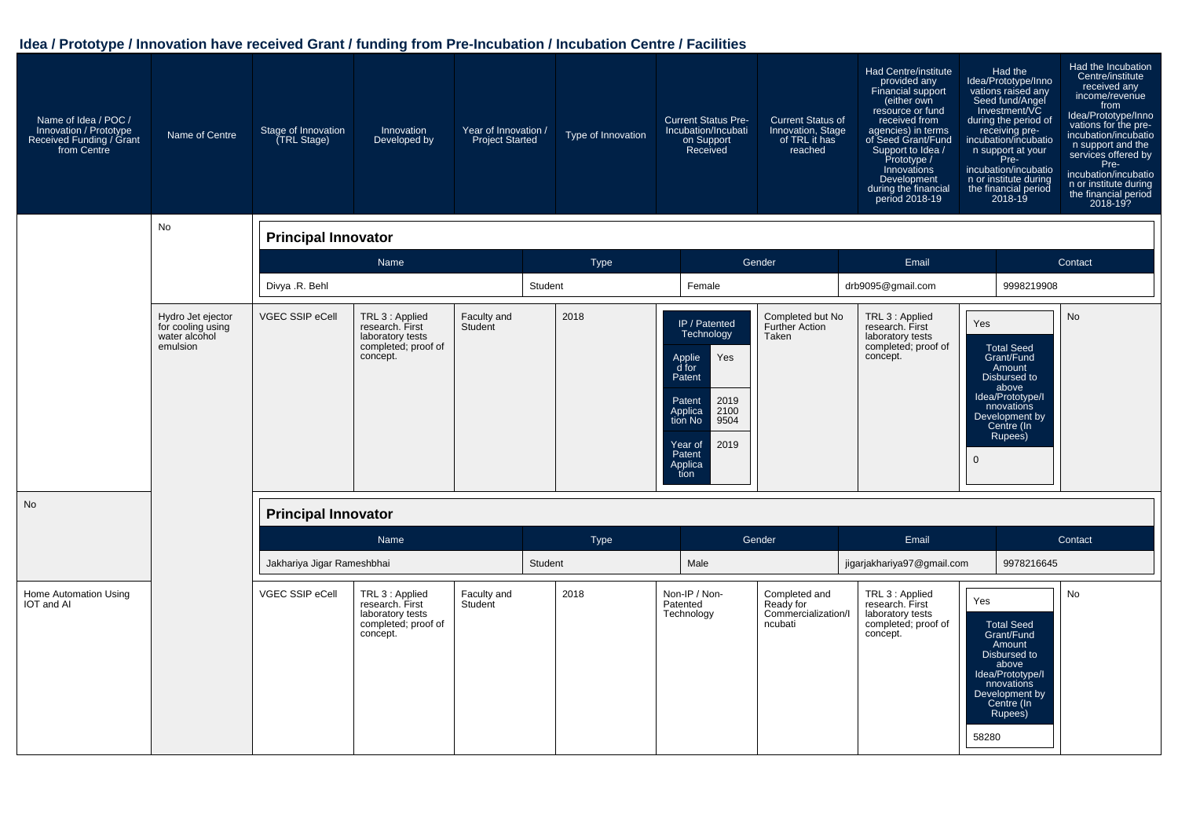| Name of Idea / POC /<br>Innovation / Prototype<br>Received Funding / Grant<br>from Centre | Name of Centre                                                      | Stage of Innovation<br>(TRL Stage) | Innovation<br>Developed by                                                                | Year of Innovation /<br><b>Project Started</b> |         | Type of Innovation | <b>Current Status Pre-</b><br>Incubation/Incubati<br>on Support<br>Received                                                                                             | <b>Current Status of</b><br>Innovation, Stage<br>of TRL it has<br>reached | <b>Had Centre/institute</b><br>provided any<br>Financial support<br>(either own<br>resource or fund<br>received from<br>agencies) in terms<br>of Seed Grant/Fund<br>Support to Idea /<br>Prototype /<br>Innovations<br>Development<br>during the financial<br>period 2018-19 |                     | Had the<br>Idea/Prototype/Inno<br>vations raised any<br>Seed fund/Angel<br>Investment/VC<br>during the period of<br>receiving pre-<br>incubation/incubatio<br>n support at your<br>Pre-<br>incubation/incubatio<br>n or institute during<br>the financial period<br>$2018 - 19$ | Had the Incubation<br>Centre/institute<br>received any<br>income/revenue<br>from<br>Idea/Prototype/Inno<br>vations for the pre-<br>incubation/incubatio<br>n support and the<br>services offered by<br>Pre-<br>incubation/incubatio<br>n or institute during<br>the financial period<br>2018-19? |
|-------------------------------------------------------------------------------------------|---------------------------------------------------------------------|------------------------------------|-------------------------------------------------------------------------------------------|------------------------------------------------|---------|--------------------|-------------------------------------------------------------------------------------------------------------------------------------------------------------------------|---------------------------------------------------------------------------|------------------------------------------------------------------------------------------------------------------------------------------------------------------------------------------------------------------------------------------------------------------------------|---------------------|---------------------------------------------------------------------------------------------------------------------------------------------------------------------------------------------------------------------------------------------------------------------------------|--------------------------------------------------------------------------------------------------------------------------------------------------------------------------------------------------------------------------------------------------------------------------------------------------|
|                                                                                           | <b>No</b>                                                           | <b>Principal Innovator</b>         |                                                                                           |                                                |         |                    |                                                                                                                                                                         |                                                                           |                                                                                                                                                                                                                                                                              |                     |                                                                                                                                                                                                                                                                                 |                                                                                                                                                                                                                                                                                                  |
|                                                                                           |                                                                     |                                    | Name                                                                                      |                                                |         | <b>Type</b>        |                                                                                                                                                                         | Gender                                                                    | Email                                                                                                                                                                                                                                                                        |                     |                                                                                                                                                                                                                                                                                 | Contact                                                                                                                                                                                                                                                                                          |
|                                                                                           |                                                                     | Divya .R. Behl                     |                                                                                           |                                                | Student |                    | Female                                                                                                                                                                  |                                                                           | drb9095@gmail.com                                                                                                                                                                                                                                                            |                     | 9998219908                                                                                                                                                                                                                                                                      |                                                                                                                                                                                                                                                                                                  |
|                                                                                           | Hydro Jet ejector<br>for cooling using<br>water alcohol<br>emulsion | VGEC SSIP eCell                    | TRL 3 : Applied<br>research. First<br>laboratory tests<br>completed; proof of<br>concept. | Faculty and<br>Student                         |         | 2018               | IP / Patented<br>Technology<br>Applie<br>d for<br>Yes<br>Patent<br>2019<br>Patent<br>Applica<br>2100<br>tion No<br>9504<br>2019<br>Year of<br>Patent<br>Applica<br>tion | Completed but No<br><b>Further Action</b><br>Taken                        | TRL 3 : Applied<br>research. First<br>laboratory tests<br>completed; proof of<br>concept.                                                                                                                                                                                    | Yes<br>$\mathbf{0}$ | <b>Total Seed</b><br>Grant/Fund<br>Amount<br>Disbursed to<br>above<br>Idea/Prototype/I<br>nnovations<br>Development by<br>Centre (In<br>Rupees)                                                                                                                                 | No                                                                                                                                                                                                                                                                                               |
| No                                                                                        |                                                                     | <b>Principal Innovator</b>         |                                                                                           |                                                |         |                    |                                                                                                                                                                         |                                                                           |                                                                                                                                                                                                                                                                              |                     |                                                                                                                                                                                                                                                                                 |                                                                                                                                                                                                                                                                                                  |
|                                                                                           |                                                                     |                                    | Name                                                                                      |                                                |         | Type               |                                                                                                                                                                         | Gender                                                                    | Email                                                                                                                                                                                                                                                                        |                     |                                                                                                                                                                                                                                                                                 | Contact                                                                                                                                                                                                                                                                                          |
|                                                                                           |                                                                     | Jakhariya Jigar Rameshbhai         |                                                                                           |                                                | Student |                    | Male                                                                                                                                                                    |                                                                           | jigarjakhariya97@gmail.com                                                                                                                                                                                                                                                   |                     | 9978216645                                                                                                                                                                                                                                                                      |                                                                                                                                                                                                                                                                                                  |
| Home Automation Using<br>IOT and AI                                                       |                                                                     | VGEC SSIP eCell                    | TRL 3 : Applied<br>research. First<br>laboratory tests<br>completed; proof of<br>concept. | Faculty and<br>Student                         |         | 2018               | Non-IP / Non-<br>Patented<br>Technology                                                                                                                                 | Completed and<br>Ready for<br>Commercialization/I<br>ncubati              | TRL 3 : Applied<br>research. First<br>laboratory tests<br>completed; proof of<br>concept.                                                                                                                                                                                    | Yes<br>58280        | <b>Total Seed</b><br>Grant/Fund<br>Amount<br>Disbursed to<br>above<br>Idea/Prototype/I<br>nnovations<br>Development by<br>Centre (In<br>Rupees)                                                                                                                                 | <b>No</b>                                                                                                                                                                                                                                                                                        |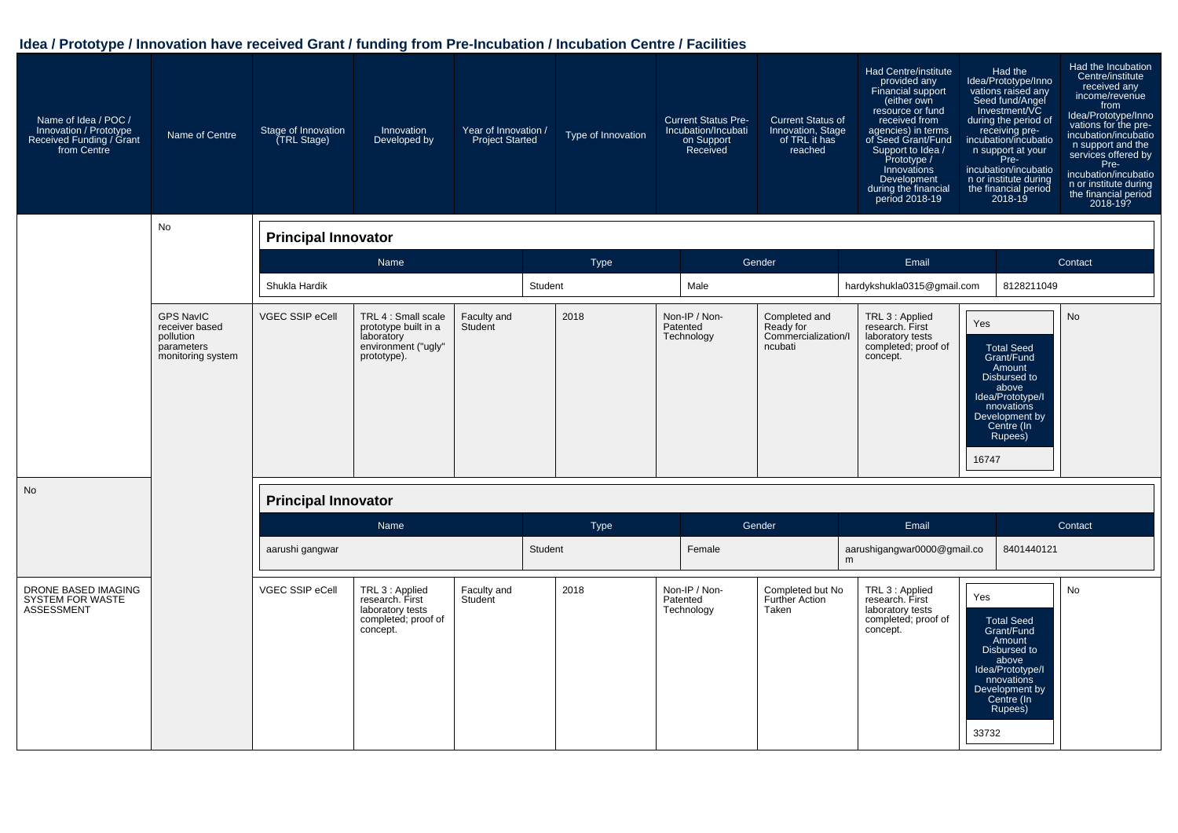| Name of Idea / POC /<br>Innovation / Prototype<br>Received Funding / Grant<br>from Centre | Name of Centre                                                                     | Stage of Innovation<br><b>TRL Stage)</b> | Innovation<br>Developed by                                                                      | Year of Innovation /<br><b>Project Started</b> |         | Type of Innovation | <b>Current Status Pre-</b><br>Incubation/Incubati<br>on Support<br>Received | <b>Current Status of</b><br>Innovation, Stage<br>of TRL it has<br>reached | Had Centre/institute<br>provided any<br>Financial support<br>(either own<br>resource or fund<br>received from<br>agencies) in terms<br>of Seed Grant/Fund<br>Support to Idea /<br>Prototype /<br>Innovations<br>Development<br>during the financial<br>period 2018-19 |              | Had the<br>Idea/Prototype/Inno<br>vations raised any<br>Seed fund/Angel<br>Investment/VC<br>during the period of<br>receiving pre-<br>incubation/incubatio<br>n support at your<br>Pre-<br>incubation/incubatio<br>n or institute during<br>the financial period<br>2018-19 | Had the Incubation<br>Centre/institute<br>received any<br>income/revenue<br>from<br>Idea/Prototype/Inno<br>vations for the pre-<br>incubation/incubatio<br>n support and the<br>services offered by<br>Pre-<br>incubation/incubatio<br>n or institute during<br>the financial period<br>2018-19? |
|-------------------------------------------------------------------------------------------|------------------------------------------------------------------------------------|------------------------------------------|-------------------------------------------------------------------------------------------------|------------------------------------------------|---------|--------------------|-----------------------------------------------------------------------------|---------------------------------------------------------------------------|-----------------------------------------------------------------------------------------------------------------------------------------------------------------------------------------------------------------------------------------------------------------------|--------------|-----------------------------------------------------------------------------------------------------------------------------------------------------------------------------------------------------------------------------------------------------------------------------|--------------------------------------------------------------------------------------------------------------------------------------------------------------------------------------------------------------------------------------------------------------------------------------------------|
|                                                                                           | No                                                                                 | <b>Principal Innovator</b>               |                                                                                                 |                                                |         |                    |                                                                             |                                                                           |                                                                                                                                                                                                                                                                       |              |                                                                                                                                                                                                                                                                             |                                                                                                                                                                                                                                                                                                  |
|                                                                                           |                                                                                    |                                          | Name                                                                                            |                                                |         | <b>Type</b>        |                                                                             | Gender                                                                    | Email                                                                                                                                                                                                                                                                 |              |                                                                                                                                                                                                                                                                             | Contact                                                                                                                                                                                                                                                                                          |
|                                                                                           |                                                                                    | Shukla Hardik                            |                                                                                                 |                                                | Student |                    | Male                                                                        |                                                                           | hardykshukla0315@gmail.com                                                                                                                                                                                                                                            |              | 8128211049                                                                                                                                                                                                                                                                  |                                                                                                                                                                                                                                                                                                  |
|                                                                                           | <b>GPS NavIC</b><br>receiver based<br>pollution<br>parameters<br>monitoring system | <b>VGEC SSIP eCell</b>                   | TRL 4 : Small scale<br>prototype built in a<br>laboratory<br>environment ("ugly"<br>prototype). | Faculty and<br>Student                         |         | 2018               | Non-IP / Non-<br>Patented<br>Technology                                     | Completed and<br>Ready for<br>Commercialization/I<br>ncubati              | TRL 3 : Applied<br>research. First<br>laboratory tests<br>completed; proof of<br>concept.                                                                                                                                                                             | Yes<br>16747 | <b>Total Seed</b><br>Grant/Fund<br>Amount<br>Disbursed to<br>above<br>Idea/Prototype/I<br>nnovations<br>Development by<br>Centre (In<br>Rupees)                                                                                                                             | <b>No</b>                                                                                                                                                                                                                                                                                        |
| <b>No</b>                                                                                 |                                                                                    | <b>Principal Innovator</b>               |                                                                                                 |                                                |         |                    |                                                                             |                                                                           |                                                                                                                                                                                                                                                                       |              |                                                                                                                                                                                                                                                                             |                                                                                                                                                                                                                                                                                                  |
|                                                                                           |                                                                                    |                                          | Name                                                                                            |                                                |         | Type               |                                                                             | Gender                                                                    | Email                                                                                                                                                                                                                                                                 |              |                                                                                                                                                                                                                                                                             | Contact                                                                                                                                                                                                                                                                                          |
|                                                                                           |                                                                                    | aarushi gangwar                          |                                                                                                 |                                                | Student |                    | Female                                                                      |                                                                           | aarushigangwar0000@gmail.co<br>m                                                                                                                                                                                                                                      |              | 8401440121                                                                                                                                                                                                                                                                  |                                                                                                                                                                                                                                                                                                  |
| DRONE BASED IMAGING<br><b>SYSTEM FOR WASTE</b><br>ASSESSMENT                              |                                                                                    | VGEC SSIP eCell                          | TRL 3 : Applied<br>research. First<br>laboratory tests<br>completed; proof of<br>concept.       | Faculty and<br>Student                         |         | 2018               | Non-IP / Non-<br>Patented<br>Technology                                     | Completed but No<br><b>Further Action</b><br>Taken                        | TRL 3 : Applied<br>research. First<br>laboratory tests<br>completed; proof of<br>concept.                                                                                                                                                                             | Yes<br>33732 | Total Seed<br>Grant/Fund<br>Amount<br>Disbursed to<br>above<br>Idea/Prototype/I<br>nnovations<br>Development by<br>Centre (In<br>Rupees)                                                                                                                                    | No                                                                                                                                                                                                                                                                                               |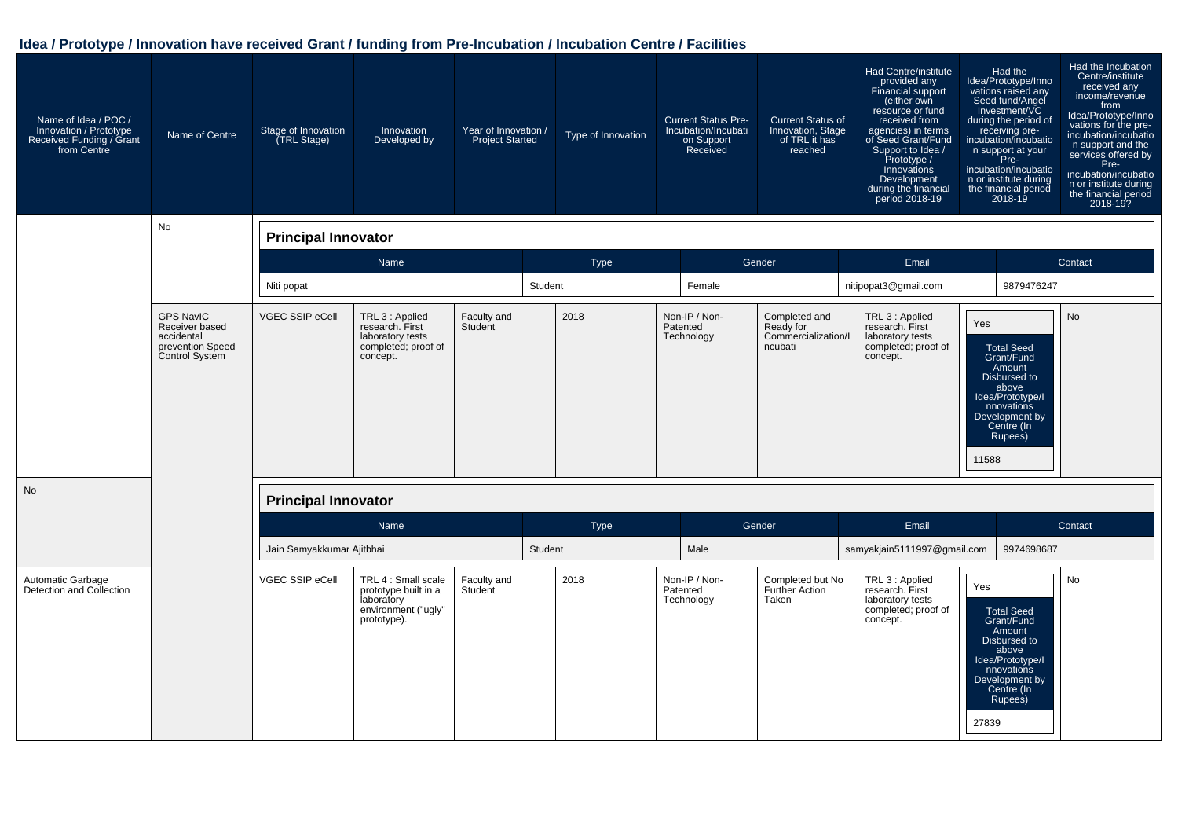| Name of Idea / POC /<br>Innovation / Prototype<br>Received Funding / Grant<br>from Centre | Name of Centre                                                                         | Stage of Innovation<br>(TRL Stage) | Innovation<br>Developed by                                                                      | Year of Innovation /<br><b>Project Started</b> |         | Type of Innovation | <b>Current Status Pre-</b><br>Incubation/Incubati<br>on Support<br>Received | <b>Current Status of</b><br>Innovation, Stage<br>of TRL it has<br>reached | Had Centre/institute<br>provided any<br>Financial support<br>(either own<br>resource or fund<br>received from<br>agencies) in terms<br>of Seed Grant/Fund<br>Support to Idea /<br>Prototype /<br>Innovations<br>Development<br>during the financial<br>period 2018-19 | Had the<br>Idea/Prototype/Inno<br>vations raised any<br>Seed fund/Angel<br>Investment/VC<br>during the period of<br>receiving pre-<br>incubation/incubatio<br>n support at your<br>Pre-<br>incubation/incubatio<br>n or institute during<br>the financial period<br>2018-19 | Had the Incubation<br>Centre/institute<br>received any<br>income/revenue<br>from<br>Idea/Prototype/Inno<br>vations for the pre-<br>incubation/incubatio<br>n support and the<br>services offered by<br>Pre-<br>incubation/incubatio<br>n or institute during<br>the financial period<br>2018-19? |
|-------------------------------------------------------------------------------------------|----------------------------------------------------------------------------------------|------------------------------------|-------------------------------------------------------------------------------------------------|------------------------------------------------|---------|--------------------|-----------------------------------------------------------------------------|---------------------------------------------------------------------------|-----------------------------------------------------------------------------------------------------------------------------------------------------------------------------------------------------------------------------------------------------------------------|-----------------------------------------------------------------------------------------------------------------------------------------------------------------------------------------------------------------------------------------------------------------------------|--------------------------------------------------------------------------------------------------------------------------------------------------------------------------------------------------------------------------------------------------------------------------------------------------|
|                                                                                           | No                                                                                     | <b>Principal Innovator</b>         |                                                                                                 |                                                |         |                    |                                                                             |                                                                           |                                                                                                                                                                                                                                                                       |                                                                                                                                                                                                                                                                             |                                                                                                                                                                                                                                                                                                  |
|                                                                                           |                                                                                        |                                    | Name                                                                                            |                                                |         | Type               |                                                                             | Gender                                                                    | Email                                                                                                                                                                                                                                                                 |                                                                                                                                                                                                                                                                             | Contact                                                                                                                                                                                                                                                                                          |
|                                                                                           |                                                                                        | Niti popat                         |                                                                                                 |                                                | Student |                    | Female                                                                      |                                                                           | nitipopat3@gmail.com                                                                                                                                                                                                                                                  | 9879476247                                                                                                                                                                                                                                                                  |                                                                                                                                                                                                                                                                                                  |
|                                                                                           | <b>GPS NavIC</b><br>Receiver based<br>accidental<br>prevention Speed<br>Control System | <b>VGEC SSIP eCell</b>             | TRL 3 : Applied<br>research. First<br>laboratory tests<br>completed; proof of<br>concept.       | Faculty and<br>Student                         |         | 2018               | Non-IP / Non-<br>Patented<br>Technology                                     | Completed and<br>Ready for<br>Commercialization/I<br>ncubati              | TRL 3 : Applied<br>research. First<br>laboratory tests<br>completed; proof of<br>concept.                                                                                                                                                                             | Yes<br><b>Total Seed</b><br>Grant/Fund<br>Amount<br>Disbursed to<br>above<br>Idea/Prototype/I<br>nnovations<br>Development by<br>Centre (In<br>Rupees)<br>11588                                                                                                             | <b>No</b>                                                                                                                                                                                                                                                                                        |
| No                                                                                        |                                                                                        | <b>Principal Innovator</b>         |                                                                                                 |                                                |         |                    |                                                                             |                                                                           |                                                                                                                                                                                                                                                                       |                                                                                                                                                                                                                                                                             |                                                                                                                                                                                                                                                                                                  |
|                                                                                           |                                                                                        |                                    | Name                                                                                            |                                                |         | Type               |                                                                             | Gender                                                                    | Email                                                                                                                                                                                                                                                                 |                                                                                                                                                                                                                                                                             | Contact                                                                                                                                                                                                                                                                                          |
|                                                                                           |                                                                                        | Jain Samyakkumar Ajitbhai          |                                                                                                 |                                                | Student |                    | Male                                                                        |                                                                           | samyakjain5111997@gmail.com                                                                                                                                                                                                                                           | 9974698687                                                                                                                                                                                                                                                                  |                                                                                                                                                                                                                                                                                                  |
| Automatic Garbage<br>Detection and Collection                                             |                                                                                        | <b>VGEC SSIP eCell</b>             | TRL 4 : Small scale<br>prototype built in a<br>laboratory<br>environment ("ugly"<br>prototype). | Faculty and<br>Student                         |         | 2018               | Non-IP / Non-<br>Patented<br>Technology                                     | Completed but No<br><b>Further Action</b><br>Taken                        | TRL 3 : Applied<br>research. First<br>laboratory tests<br>completed; proof of<br>concept.                                                                                                                                                                             | Yes<br><b>Total Seed</b><br>Grant/Fund<br>Amount<br>Disbursed to<br>above<br>Idea/Prototype/I<br>nnovations<br>Development by<br>Centre (In<br>Rupees)<br>27839                                                                                                             | No                                                                                                                                                                                                                                                                                               |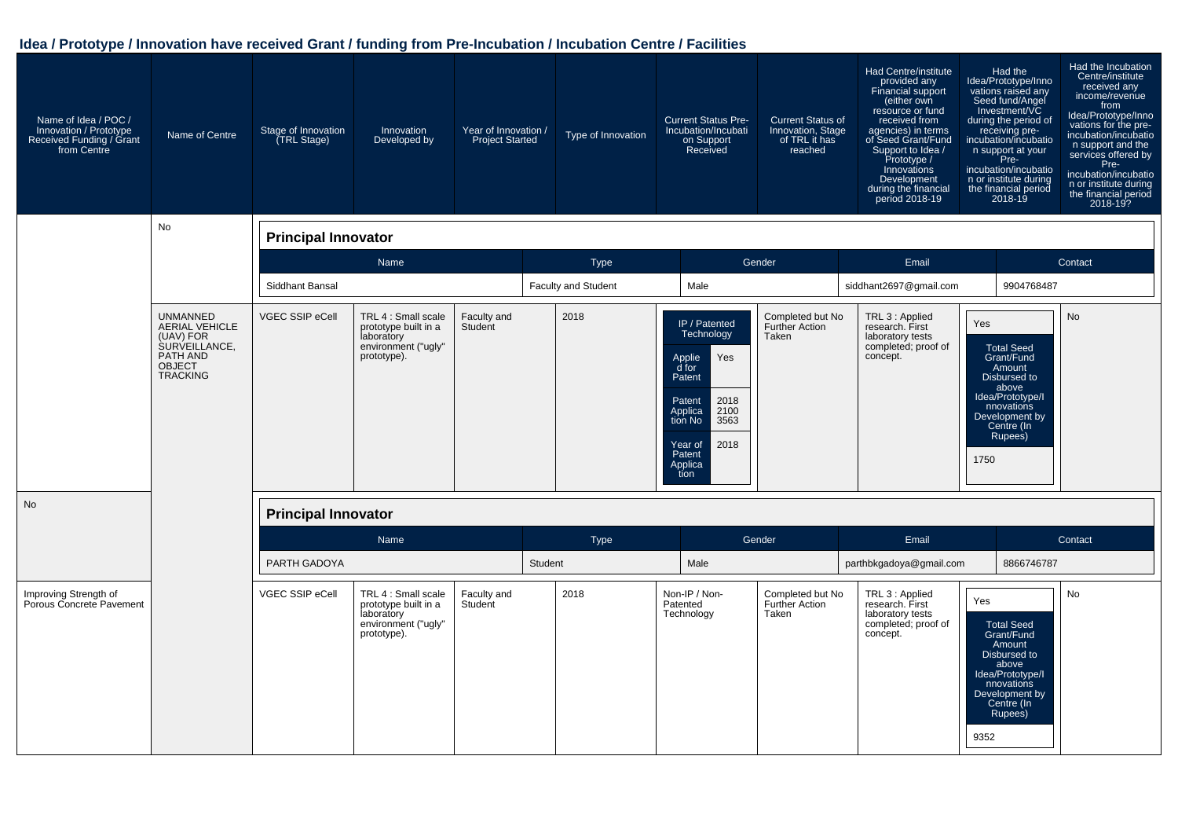| Name of Idea / POC /<br>Innovation / Prototype<br>Received Funding / Grant<br>from Centre | Name of Centre                                                                                                         | Stage of Innovation<br>(TRL Stage) | Innovation<br>Developed by                                                                      | Year of Innovation /<br><b>Project Started</b> |         | Type of Innovation         | <b>Current Status Pre-</b><br>Incubation/Incubati<br>on Support<br>Received                                                                                             | <b>Current Status of</b><br>Innovation, Stage<br>of TRL it has<br>reached | Had Centre/institute<br>provided any<br>Financial support<br>(either own<br>resource or fund<br>received from<br>agencies) in terms<br>of Seed Grant/Fund<br>Support to Idea /<br>Prototype /<br>Innovations<br>Development<br>during the financial<br>period 2018-19 |             | Had the<br>Idea/Prototype/Inno<br>vations raised any<br>Seed fund/Angel<br>Investment/VC<br>during the period of<br>receiving pre-<br>incubation/incubatio<br>n support at your<br>Pre-<br>incubation/incubatio<br>n or institute during<br>the financial period<br>2018-19 | Had the Incubation<br>Centre/institute<br>received any<br>income/revenue<br>from<br>Idea/Prototype/Inno<br>vations for the pre-<br>incubation/incubatio<br>n support and the<br>services offered by<br>Pre-<br>incubation/incubatio<br>n or institute during<br>the financial period<br>2018-19? |
|-------------------------------------------------------------------------------------------|------------------------------------------------------------------------------------------------------------------------|------------------------------------|-------------------------------------------------------------------------------------------------|------------------------------------------------|---------|----------------------------|-------------------------------------------------------------------------------------------------------------------------------------------------------------------------|---------------------------------------------------------------------------|-----------------------------------------------------------------------------------------------------------------------------------------------------------------------------------------------------------------------------------------------------------------------|-------------|-----------------------------------------------------------------------------------------------------------------------------------------------------------------------------------------------------------------------------------------------------------------------------|--------------------------------------------------------------------------------------------------------------------------------------------------------------------------------------------------------------------------------------------------------------------------------------------------|
|                                                                                           | No                                                                                                                     | <b>Principal Innovator</b>         |                                                                                                 |                                                |         |                            |                                                                                                                                                                         |                                                                           |                                                                                                                                                                                                                                                                       |             |                                                                                                                                                                                                                                                                             |                                                                                                                                                                                                                                                                                                  |
|                                                                                           |                                                                                                                        |                                    | Name                                                                                            |                                                |         | Type                       |                                                                                                                                                                         | Gender                                                                    | Email                                                                                                                                                                                                                                                                 |             |                                                                                                                                                                                                                                                                             | Contact                                                                                                                                                                                                                                                                                          |
|                                                                                           |                                                                                                                        | Siddhant Bansal                    |                                                                                                 |                                                |         | <b>Faculty and Student</b> | Male                                                                                                                                                                    |                                                                           | siddhant2697@gmail.com                                                                                                                                                                                                                                                |             | 9904768487                                                                                                                                                                                                                                                                  |                                                                                                                                                                                                                                                                                                  |
|                                                                                           | <b>UNMANNED</b><br><b>AERIAL VEHICLE</b><br>(UAV) FOR<br>SURVEILLANCE,<br>PATH AND<br><b>OBJECT</b><br><b>TRACKING</b> | VGEC SSIP eCell                    | TRL 4 : Small scale<br>prototype built in a<br>laboratory<br>environment ("ugly"<br>prototype). | Faculty and<br>Student                         |         | 2018                       | IP / Patented<br>Technology<br>Yes<br>Applie<br>d for<br>Patent<br>2018<br>Patent<br>Applica<br>2100<br>tion No<br>3563<br>2018<br>Year of<br>Patent<br>Applica<br>tion | Completed but No<br><b>Further Action</b><br>Taken                        | TRL 3 : Applied<br>research. First<br>laboratory tests<br>completed; proof of<br>concept.                                                                                                                                                                             | Yes<br>1750 | <b>Total Seed</b><br>Grant/Fund<br>Amount<br>Disbursed to<br>above<br>Idea/Prototype/I<br>nnovations<br>Development by<br>Centre (In<br>Rupees)                                                                                                                             | No                                                                                                                                                                                                                                                                                               |
| No                                                                                        |                                                                                                                        | <b>Principal Innovator</b>         |                                                                                                 |                                                |         |                            |                                                                                                                                                                         |                                                                           |                                                                                                                                                                                                                                                                       |             |                                                                                                                                                                                                                                                                             |                                                                                                                                                                                                                                                                                                  |
|                                                                                           |                                                                                                                        |                                    | Name                                                                                            |                                                |         | Type                       |                                                                                                                                                                         | Gender                                                                    | Email                                                                                                                                                                                                                                                                 |             |                                                                                                                                                                                                                                                                             | Contact                                                                                                                                                                                                                                                                                          |
|                                                                                           |                                                                                                                        | PARTH GADOYA                       |                                                                                                 |                                                | Student |                            | Male                                                                                                                                                                    |                                                                           | parthbkgadoya@gmail.com                                                                                                                                                                                                                                               |             | 8866746787                                                                                                                                                                                                                                                                  |                                                                                                                                                                                                                                                                                                  |
| Improving Strength of<br>Porous Concrete Pavement                                         |                                                                                                                        | VGEC SSIP eCell                    | TRL 4 : Small scale<br>prototype built in a<br>laboratory<br>environment ("ugly"<br>prototype). | Faculty and<br>Student                         |         | 2018                       | Non-IP / Non-<br>Patented<br>Technology                                                                                                                                 | Completed but No<br><b>Further Action</b><br>Taken                        | TRL 3 : Applied<br>research. First<br>laboratory tests<br>completed; proof of<br>concept.                                                                                                                                                                             | Yes<br>9352 | <b>Total Seed</b><br>Grant/Fund<br>Amount<br>Disbursed to<br>above<br>Idea/Prototype/I<br>nnovations<br>Development by<br>Centre (In<br>Rupees)                                                                                                                             | <b>No</b>                                                                                                                                                                                                                                                                                        |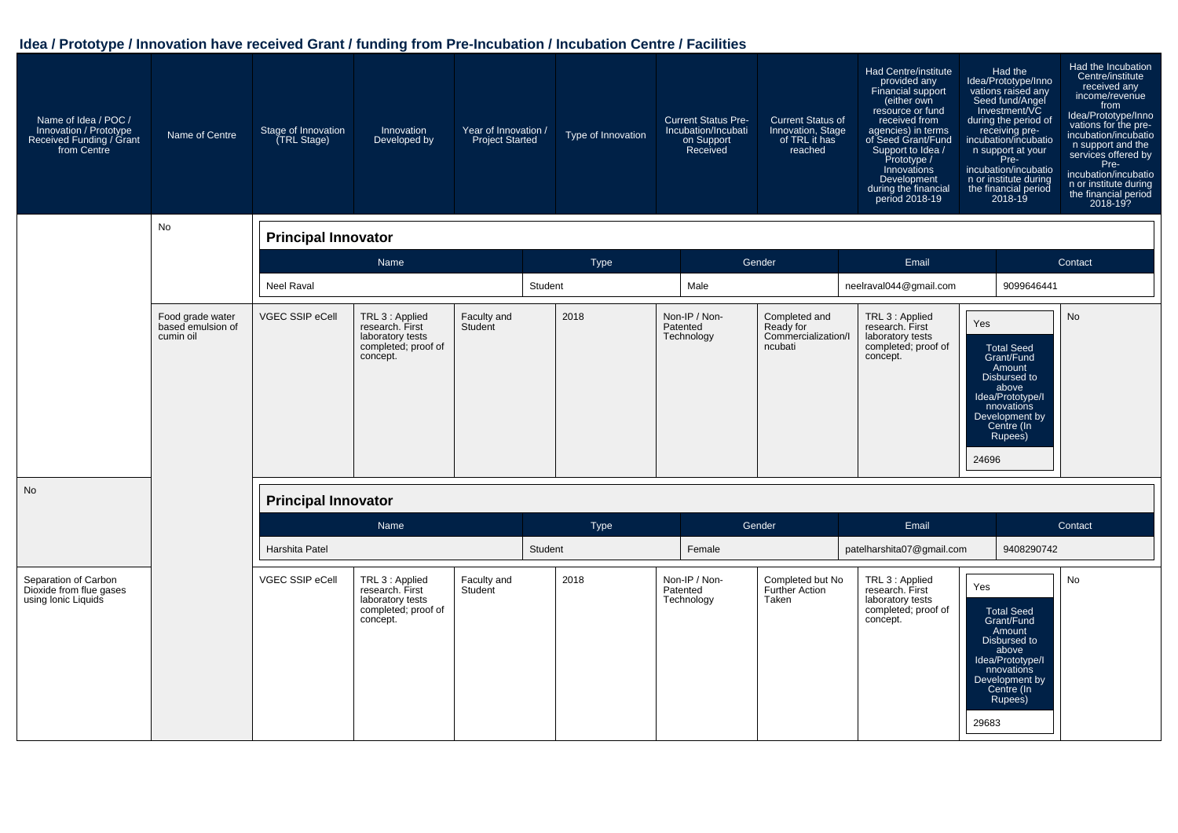| Name of Idea / POC /<br>Innovation / Prototype<br>Received Funding / Grant<br>from Centre | Name of Centre                                     | Stage of Innovation<br>(TRL Stage) | Innovation<br>Developed by                                                                | Year of Innovation /<br><b>Project Started</b> |         | Type of Innovation | <b>Current Status Pre-</b><br>Incubation/Incubati<br>on Support<br>Received | <b>Current Status of</b><br>Innovation, Stage<br>of TRL it has<br>reached | Had Centre/institute<br>provided any<br>Financial support<br>(either own<br>resource or fund<br>received from<br>agencies) in terms<br>of Seed Grant/Fund<br>Support to Idea /<br>Prototype /<br>Innovations<br>Development<br>during the financial<br>period 2018-19 | Had the<br>ldea/Prototype/Inno<br>vations raised any<br>Seed fund/Angel<br>Investment/VC<br>during the period of<br>receiving pre-<br>incubation/incubatio<br>n support at your<br>Pre-<br>incubation/incubatio<br>n or institute during<br>the financial period<br>2018-19 | Had the Incubation<br>Centre/institute<br>received any<br>income/revenue<br>from<br>Idea/Prototype/Inno<br>vations for the pre-<br>incubation/incubatio<br>n support and the<br>services offered by<br>Pre-<br>incubation/incubatio<br>n or institute during<br>the financial period<br>2018-19? |
|-------------------------------------------------------------------------------------------|----------------------------------------------------|------------------------------------|-------------------------------------------------------------------------------------------|------------------------------------------------|---------|--------------------|-----------------------------------------------------------------------------|---------------------------------------------------------------------------|-----------------------------------------------------------------------------------------------------------------------------------------------------------------------------------------------------------------------------------------------------------------------|-----------------------------------------------------------------------------------------------------------------------------------------------------------------------------------------------------------------------------------------------------------------------------|--------------------------------------------------------------------------------------------------------------------------------------------------------------------------------------------------------------------------------------------------------------------------------------------------|
|                                                                                           | No                                                 | <b>Principal Innovator</b>         |                                                                                           |                                                |         |                    |                                                                             |                                                                           |                                                                                                                                                                                                                                                                       |                                                                                                                                                                                                                                                                             |                                                                                                                                                                                                                                                                                                  |
|                                                                                           |                                                    |                                    | Name                                                                                      |                                                |         | <b>Type</b>        |                                                                             | Gender                                                                    | Email                                                                                                                                                                                                                                                                 |                                                                                                                                                                                                                                                                             | Contact                                                                                                                                                                                                                                                                                          |
|                                                                                           |                                                    | <b>Neel Raval</b>                  |                                                                                           |                                                | Student |                    | Male                                                                        |                                                                           | neelraval044@gmail.com                                                                                                                                                                                                                                                | 9099646441                                                                                                                                                                                                                                                                  |                                                                                                                                                                                                                                                                                                  |
|                                                                                           | Food grade water<br>based emulsion of<br>cumin oil | <b>VGEC SSIP eCell</b>             | TRL 3 : Applied<br>research. First<br>laboratory tests<br>completed; proof of<br>concept. | Faculty and<br>Student                         |         | 2018               | Non-IP / Non-<br>Patented<br>Technology                                     | Completed and<br>Ready for<br>Commercialization/I<br>ncubati              | TRL 3 : Applied<br>research. First<br>laboratory tests<br>completed; proof of<br>concept.                                                                                                                                                                             | Yes<br><b>Total Seed</b><br>Grant/Fund<br>Amount<br>Disbursed to<br>above<br>Idea/Prototype/I<br>nnovations<br>Development by<br>Centre (In<br>Rupees)<br>24696                                                                                                             | <b>No</b>                                                                                                                                                                                                                                                                                        |
| <b>No</b>                                                                                 |                                                    | <b>Principal Innovator</b>         |                                                                                           |                                                |         |                    |                                                                             |                                                                           |                                                                                                                                                                                                                                                                       |                                                                                                                                                                                                                                                                             |                                                                                                                                                                                                                                                                                                  |
|                                                                                           |                                                    |                                    | Name                                                                                      |                                                |         | <b>Type</b>        |                                                                             | Gender                                                                    | Email                                                                                                                                                                                                                                                                 |                                                                                                                                                                                                                                                                             | Contact                                                                                                                                                                                                                                                                                          |
|                                                                                           |                                                    | Harshita Patel                     |                                                                                           |                                                | Student |                    | Female                                                                      |                                                                           | patelharshita07@gmail.com                                                                                                                                                                                                                                             | 9408290742                                                                                                                                                                                                                                                                  |                                                                                                                                                                                                                                                                                                  |
| Separation of Carbon<br>Dioxide from flue gases<br>using Ionic Liquids                    |                                                    | <b>VGEC SSIP eCell</b>             | TRL 3 : Applied<br>research. First<br>laboratory tests<br>completed; proof of<br>concept. | Faculty and<br>Student                         |         | 2018               | Non-IP / Non-<br>Patented<br>Technology                                     | Completed but No<br><b>Further Action</b><br>Taken                        | TRL 3 : Applied<br>research. First<br>laboratory tests<br>completed; proof of<br>concept.                                                                                                                                                                             | Yes<br><b>Total Seed</b><br>Grant/Fund<br>Amount<br>Disbursed to<br>above<br>Idea/Prototype/I<br>nnovations<br>Development by<br>Centre (In<br>Rupees)<br>29683                                                                                                             | <b>No</b>                                                                                                                                                                                                                                                                                        |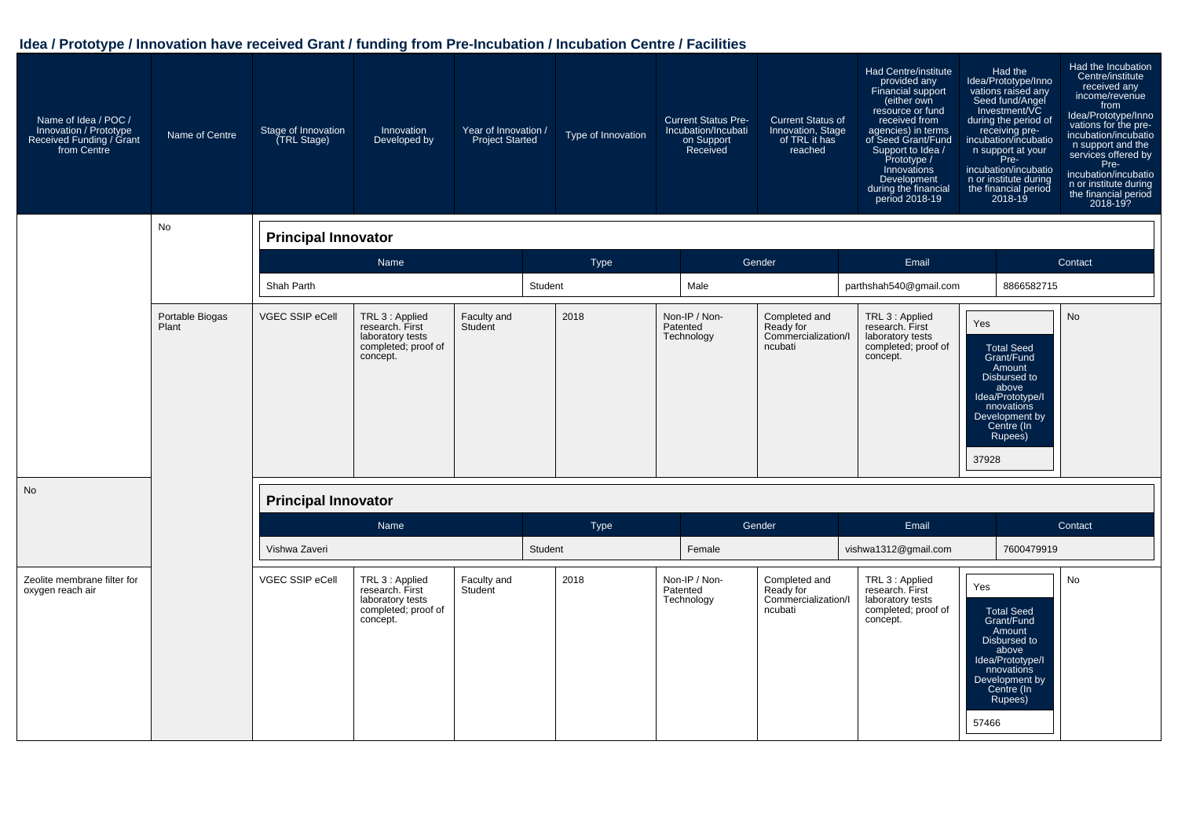| Name of Idea / POC /<br>Innovation / Prototype<br>Received Funding / Grant<br>from Centre | Name of Centre           | Stage of Innovation<br>(TRL Stage) | Innovation<br>Developed by                                                                | Year of Innovation /<br><b>Project Started</b> | Type of Innovation | <b>Current Status Pre-</b><br>Incubation/Incubati<br>on Support<br>Received | <b>Current Status of</b><br>Innovation, Stage<br>of TRL it has<br>reached | Had Centre/institute<br>provided any<br>Financial support<br>(either own<br>resource or fund<br>received from<br>agencies) in terms<br>of Seed Grant/Fund<br>Support to Idea /<br>Prototype /<br>Innovations<br>Development<br>during the financial<br>period 2018-19 | Had the<br>ldea/Prototype/Inno<br>vations raised any<br>Seed fund/Angel<br>Investment/VC<br>during the period of<br>receiving pre-<br>incubation/incubatio<br>n support at your<br>Pre-<br>incubation/incubatio<br>n or institute during<br>the financial period<br>2018-19 | Had the Incubation<br>Centre/institute<br>received any<br>income/revenue<br>from<br>Idea/Prototype/Inno<br>vations for the pre-<br>incubation/incubatio<br>n support and the<br>services offered by<br>Pre-<br>incubation/incubatio<br>n or institute during<br>the financial period<br>2018-19? |
|-------------------------------------------------------------------------------------------|--------------------------|------------------------------------|-------------------------------------------------------------------------------------------|------------------------------------------------|--------------------|-----------------------------------------------------------------------------|---------------------------------------------------------------------------|-----------------------------------------------------------------------------------------------------------------------------------------------------------------------------------------------------------------------------------------------------------------------|-----------------------------------------------------------------------------------------------------------------------------------------------------------------------------------------------------------------------------------------------------------------------------|--------------------------------------------------------------------------------------------------------------------------------------------------------------------------------------------------------------------------------------------------------------------------------------------------|
|                                                                                           | No                       | <b>Principal Innovator</b>         |                                                                                           |                                                |                    |                                                                             |                                                                           |                                                                                                                                                                                                                                                                       |                                                                                                                                                                                                                                                                             |                                                                                                                                                                                                                                                                                                  |
|                                                                                           |                          |                                    | Name                                                                                      |                                                | Type               |                                                                             | Gender                                                                    | Email                                                                                                                                                                                                                                                                 |                                                                                                                                                                                                                                                                             | Contact                                                                                                                                                                                                                                                                                          |
|                                                                                           |                          | Shah Parth                         |                                                                                           |                                                | Student            | Male                                                                        |                                                                           | parthshah540@gmail.com                                                                                                                                                                                                                                                | 8866582715                                                                                                                                                                                                                                                                  |                                                                                                                                                                                                                                                                                                  |
|                                                                                           | Portable Biogas<br>Plant | VGEC SSIP eCell                    | TRL 3 : Applied<br>research. First<br>laboratory tests<br>completed; proof of<br>concept. | Faculty and<br>Student                         | 2018               | Non-IP / Non-<br>Patented<br>Technology                                     | Completed and<br>Ready for<br>Commercialization/I<br>ncubati              | TRL 3 : Applied<br>research. First<br>laboratory tests<br>completed; proof of<br>concept.                                                                                                                                                                             | Yes<br><b>Total Seed</b><br>Grant/Fund<br>Amount<br>Disbursed to<br>above<br>Idea/Prototype/I<br>nnovations<br>Development by<br>Centre (In<br>Rupees)<br>37928                                                                                                             | <b>No</b>                                                                                                                                                                                                                                                                                        |
| <b>No</b>                                                                                 |                          | <b>Principal Innovator</b>         |                                                                                           |                                                |                    |                                                                             |                                                                           |                                                                                                                                                                                                                                                                       |                                                                                                                                                                                                                                                                             |                                                                                                                                                                                                                                                                                                  |
|                                                                                           |                          |                                    | Name                                                                                      |                                                | Type               |                                                                             | Gender                                                                    | Email                                                                                                                                                                                                                                                                 |                                                                                                                                                                                                                                                                             | Contact                                                                                                                                                                                                                                                                                          |
|                                                                                           |                          | Vishwa Zaveri                      |                                                                                           |                                                | Student            | Female                                                                      |                                                                           | vishwa1312@gmail.com                                                                                                                                                                                                                                                  | 7600479919                                                                                                                                                                                                                                                                  |                                                                                                                                                                                                                                                                                                  |
| Zeolite membrane filter for<br>oxygen reach air                                           |                          | VGEC SSIP eCell                    | TRL 3 : Applied<br>research. First<br>laboratory tests<br>completed; proof of<br>concept. | Faculty and<br>Student                         | 2018               | Non-IP / Non-<br>Patented<br>Technology                                     | Completed and<br>Ready for<br>Commercialization/I<br>ncubati              | TRL 3 : Applied<br>research. First<br>laboratory tests<br>completed; proof of<br>concept.                                                                                                                                                                             | Yes<br><b>Total Seed</b><br>Grant/Fund<br>Amount<br>Disbursed to<br>above<br>Idea/Prototype/I<br>nnovations<br>Development by<br>Centre (In<br>Rupees)<br>57466                                                                                                             | <b>No</b>                                                                                                                                                                                                                                                                                        |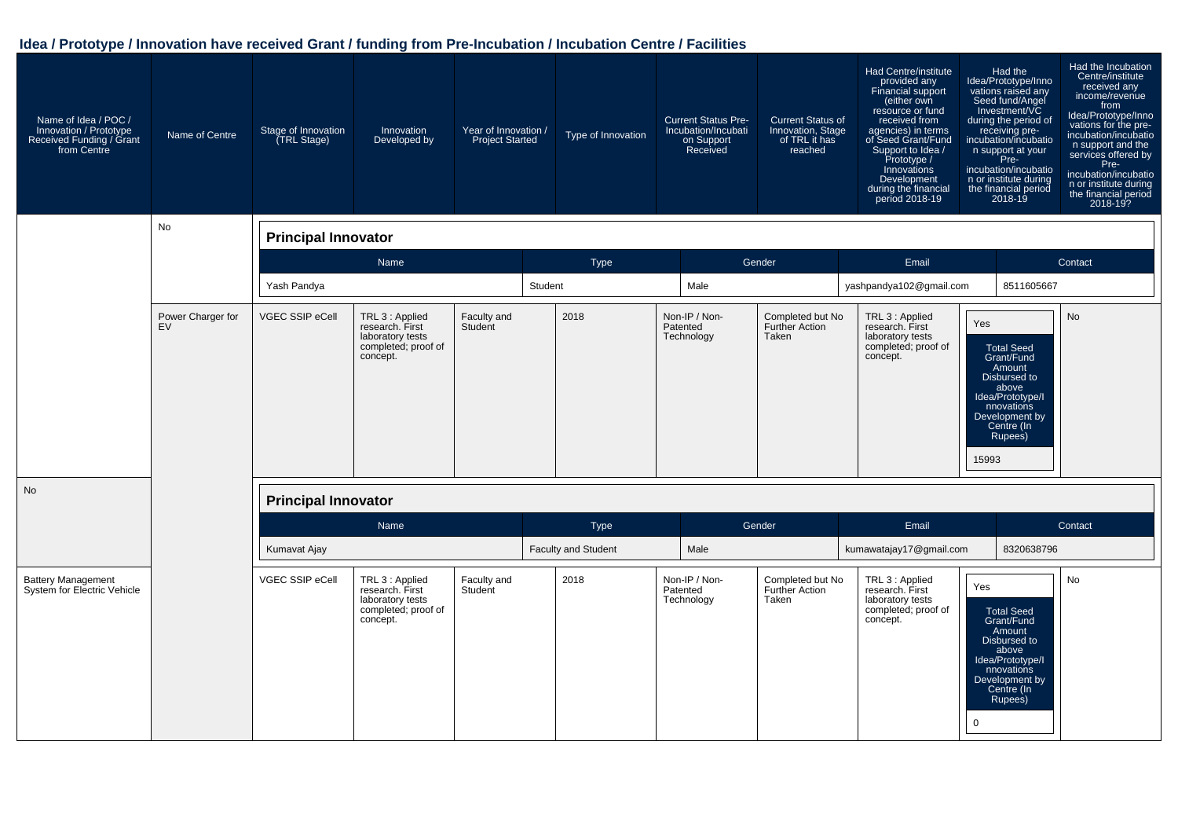| Name of Idea / POC /<br>Innovation / Prototype<br>Received Funding / Grant<br>from Centre | Name of Centre          | Stage of Innovation<br>(TRL Stage) | Innovation<br>Developed by                                                                | Year of Innovation /<br><b>Project Started</b> | Type of Innovation         | <b>Current Status Pre-</b><br>Incubation/Incubati<br>on Support<br>Received | <b>Current Status of</b><br>Innovation, Stage<br>of TRL it has<br>reached | Had Centre/institute<br>provided any<br>Financial support<br>(either own<br>resource or fund<br>received from<br>agencies) in terms<br>of Seed Grant/Fund<br>Support to Idea /<br>Prototype /<br>Innovations<br>Development<br>during the financial<br>period 2018-19 | Had the<br>ldea/Prototype/Inno<br>vations raised any<br>Seed fund/Angel<br>Investment/VC<br>during the period of<br>receiving pre-<br>incubation/incubatio<br>n support at your<br>Pre-<br>incubation/incubatio<br>n or institute during<br>the financial period<br>2018-19 | Had the Incubation<br>Centre/institute<br>received any<br>income/revenue<br>from<br>Idea/Prototype/Inno<br>vations for the pre-<br>incubation/incubatio<br>n support and the<br>services offered by<br>Pre-<br>incubation/incubatio<br>n or institute during<br>the financial period<br>2018-19? |
|-------------------------------------------------------------------------------------------|-------------------------|------------------------------------|-------------------------------------------------------------------------------------------|------------------------------------------------|----------------------------|-----------------------------------------------------------------------------|---------------------------------------------------------------------------|-----------------------------------------------------------------------------------------------------------------------------------------------------------------------------------------------------------------------------------------------------------------------|-----------------------------------------------------------------------------------------------------------------------------------------------------------------------------------------------------------------------------------------------------------------------------|--------------------------------------------------------------------------------------------------------------------------------------------------------------------------------------------------------------------------------------------------------------------------------------------------|
|                                                                                           | No                      | <b>Principal Innovator</b>         |                                                                                           |                                                |                            |                                                                             |                                                                           |                                                                                                                                                                                                                                                                       |                                                                                                                                                                                                                                                                             |                                                                                                                                                                                                                                                                                                  |
|                                                                                           |                         |                                    | Name                                                                                      |                                                | <b>Type</b>                |                                                                             | Gender                                                                    | Email                                                                                                                                                                                                                                                                 |                                                                                                                                                                                                                                                                             | Contact                                                                                                                                                                                                                                                                                          |
|                                                                                           |                         | Yash Pandya                        |                                                                                           |                                                | Student                    | Male                                                                        |                                                                           | yashpandya102@gmail.com                                                                                                                                                                                                                                               | 8511605667                                                                                                                                                                                                                                                                  |                                                                                                                                                                                                                                                                                                  |
|                                                                                           | Power Charger for<br>EV | VGEC SSIP eCell                    | TRL 3 : Applied<br>research. First<br>laboratory tests<br>completed; proof of<br>concept. | Faculty and<br>Student                         | 2018                       | Non-IP / Non-<br>Patented<br>Technology                                     | Completed but No<br>Further Action<br>Taken                               | TRL 3 : Applied<br>research. First<br>laboratory tests<br>completed; proof of<br>concept.                                                                                                                                                                             | Yes<br><b>Total Seed</b><br>Grant/Fund<br>Amount<br>Disbursed to<br>above<br>Idea/Prototype/I<br>nnovations<br>Development by<br>Centre (In<br>Rupees)<br>15993                                                                                                             | <b>No</b>                                                                                                                                                                                                                                                                                        |
| <b>No</b>                                                                                 |                         | <b>Principal Innovator</b>         |                                                                                           |                                                |                            |                                                                             |                                                                           |                                                                                                                                                                                                                                                                       |                                                                                                                                                                                                                                                                             |                                                                                                                                                                                                                                                                                                  |
|                                                                                           |                         |                                    | Name                                                                                      |                                                | <b>Type</b>                |                                                                             | Gender                                                                    | Email                                                                                                                                                                                                                                                                 |                                                                                                                                                                                                                                                                             | Contact                                                                                                                                                                                                                                                                                          |
|                                                                                           |                         | Kumavat Ajay                       |                                                                                           |                                                | <b>Faculty and Student</b> | Male                                                                        |                                                                           | kumawatajay17@gmail.com                                                                                                                                                                                                                                               | 8320638796                                                                                                                                                                                                                                                                  |                                                                                                                                                                                                                                                                                                  |
| <b>Battery Management</b><br>System for Electric Vehicle                                  |                         | VGEC SSIP eCell                    | TRL 3 : Applied<br>research. First<br>laboratory tests<br>completed; proof of<br>concept. | Faculty and<br>Student                         | 2018                       | Non-IP / Non-<br>Patented<br>Technology                                     | Completed but No<br><b>Further Action</b><br>Taken                        | TRL 3 : Applied<br>research. First<br>laboratory tests<br>completed; proof of<br>concept.<br>$\mathbf 0$                                                                                                                                                              | Yes<br><b>Total Seed</b><br>Grant/Fund<br>Amount<br>Disbursed to<br>above<br>Idea/Prototype/I<br>nnovations<br>Development by<br>Centre (In<br>Rupees)                                                                                                                      | <b>No</b>                                                                                                                                                                                                                                                                                        |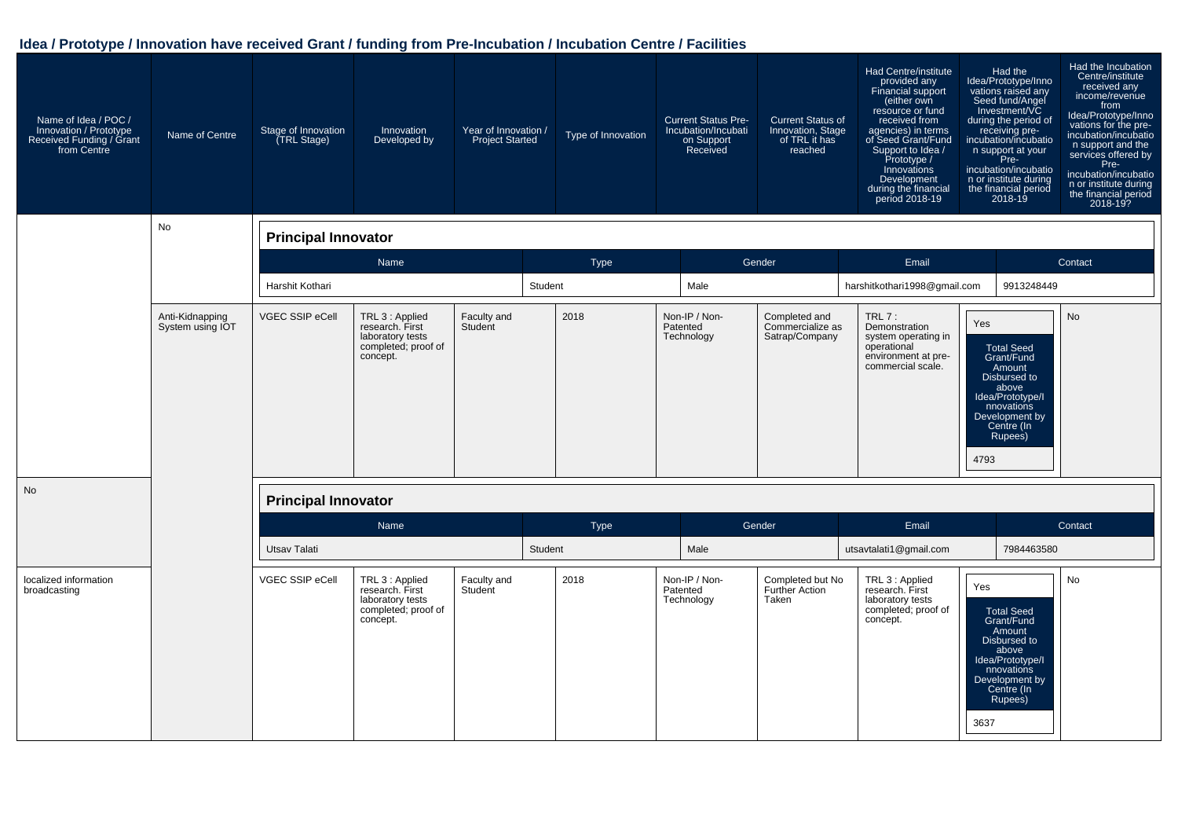| Name of Idea / POC /<br>Innovation / Prototype<br>Received Funding / Grant<br>from Centre | Name of Centre                      | Stage of Innovation<br>(TRL Stage) | Innovation<br>Developed by                                                                | Year of Innovation /<br><b>Project Started</b> |         | Type of Innovation | <b>Current Status Pre-</b><br>Incubation/Incubati<br>on Support<br>Received | <b>Current Status of</b><br>Innovation, Stage<br>of TRL it has<br>reached | Had Centre/institute<br>provided any<br><b>Financial support</b><br>(either own<br>resource or fund<br>received from<br>agencies) in terms<br>of Seed Grant/Fund<br>Support to Idea /<br>Prototype /<br>Innovations<br>Development<br>during the financial<br>period 2018-19 | Had the<br>Idea/Prototype/Inno<br>vations raised any<br>Seed fund/Angel<br>Investment/VC<br>during the period of<br>receiving pre-<br>incubation/incubatio<br>n support at your<br>Free<br>Pre-<br>incubation/incubatio<br>n or institute during<br>the financial period<br>$2018 - 19$ | Had the Incubation<br>Centre/institute<br>received any<br>income/revenue<br>from<br>Idea/Prototype/Inno<br>vations for the pre-<br>incubation/incubatio<br>n support and the<br>services offered by<br>Pre-<br>incubation/incubatio<br>n or institute during<br>the financial period<br>2018-19? |
|-------------------------------------------------------------------------------------------|-------------------------------------|------------------------------------|-------------------------------------------------------------------------------------------|------------------------------------------------|---------|--------------------|-----------------------------------------------------------------------------|---------------------------------------------------------------------------|------------------------------------------------------------------------------------------------------------------------------------------------------------------------------------------------------------------------------------------------------------------------------|-----------------------------------------------------------------------------------------------------------------------------------------------------------------------------------------------------------------------------------------------------------------------------------------|--------------------------------------------------------------------------------------------------------------------------------------------------------------------------------------------------------------------------------------------------------------------------------------------------|
|                                                                                           | No                                  | <b>Principal Innovator</b>         |                                                                                           |                                                |         |                    |                                                                             |                                                                           |                                                                                                                                                                                                                                                                              |                                                                                                                                                                                                                                                                                         |                                                                                                                                                                                                                                                                                                  |
|                                                                                           |                                     |                                    | Name                                                                                      |                                                |         | <b>Type</b>        |                                                                             | Gender                                                                    | Email                                                                                                                                                                                                                                                                        |                                                                                                                                                                                                                                                                                         | Contact                                                                                                                                                                                                                                                                                          |
|                                                                                           |                                     | Harshit Kothari                    |                                                                                           |                                                | Student |                    | Male                                                                        |                                                                           | harshitkothari1998@gmail.com                                                                                                                                                                                                                                                 | 9913248449                                                                                                                                                                                                                                                                              |                                                                                                                                                                                                                                                                                                  |
|                                                                                           | Anti-Kidnapping<br>System using IOT | VGEC SSIP eCell                    | TRL 3 : Applied<br>research. First<br>laboratory tests<br>completed; proof of<br>concept. | Faculty and<br>Student                         |         | 2018               | Non-IP / Non-<br>Patented<br>Technology                                     | Completed and<br>Commercialize as<br>Satrap/Company                       | $TRL7$ :<br>Demonstration<br>system operating in<br>operational<br>environment at pre-<br>commercial scale.                                                                                                                                                                  | Yes<br><b>Total Seed</b><br>Grant/Fund<br>Amount<br>Disbursed to<br>above<br>Idea/Prototype/I<br>nnovations<br>Development by<br>Centre (In<br>Rupees)<br>4793                                                                                                                          | <b>No</b>                                                                                                                                                                                                                                                                                        |
| <b>No</b>                                                                                 |                                     | <b>Principal Innovator</b>         |                                                                                           |                                                |         |                    |                                                                             |                                                                           |                                                                                                                                                                                                                                                                              |                                                                                                                                                                                                                                                                                         |                                                                                                                                                                                                                                                                                                  |
|                                                                                           |                                     |                                    | Name                                                                                      |                                                |         | Type               |                                                                             | Gender                                                                    | Email                                                                                                                                                                                                                                                                        |                                                                                                                                                                                                                                                                                         | Contact                                                                                                                                                                                                                                                                                          |
|                                                                                           |                                     | <b>Utsav Talati</b>                |                                                                                           |                                                | Student |                    | Male                                                                        |                                                                           | utsavtalati1@gmail.com                                                                                                                                                                                                                                                       | 7984463580                                                                                                                                                                                                                                                                              |                                                                                                                                                                                                                                                                                                  |
| localized information<br>broadcasting                                                     |                                     | VGEC SSIP eCell                    | TRL 3 : Applied<br>research. First<br>laboratory tests<br>completed; proof of<br>concept. | Faculty and<br>Student                         |         | 2018               | Non-IP / Non-<br>Patented<br>Technology                                     | Completed but No<br><b>Further Action</b><br>Taken                        | TRL 3 : Applied<br>research. First<br>laboratory tests<br>completed; proof of<br>concept.                                                                                                                                                                                    | Yes<br><b>Total Seed</b><br>Grant/Fund<br>Amount<br>Disbursed to<br>above<br>Idea/Prototype/I<br>nnovations<br>Development by<br>Centre (In<br>Rupees)<br>3637                                                                                                                          | <b>No</b>                                                                                                                                                                                                                                                                                        |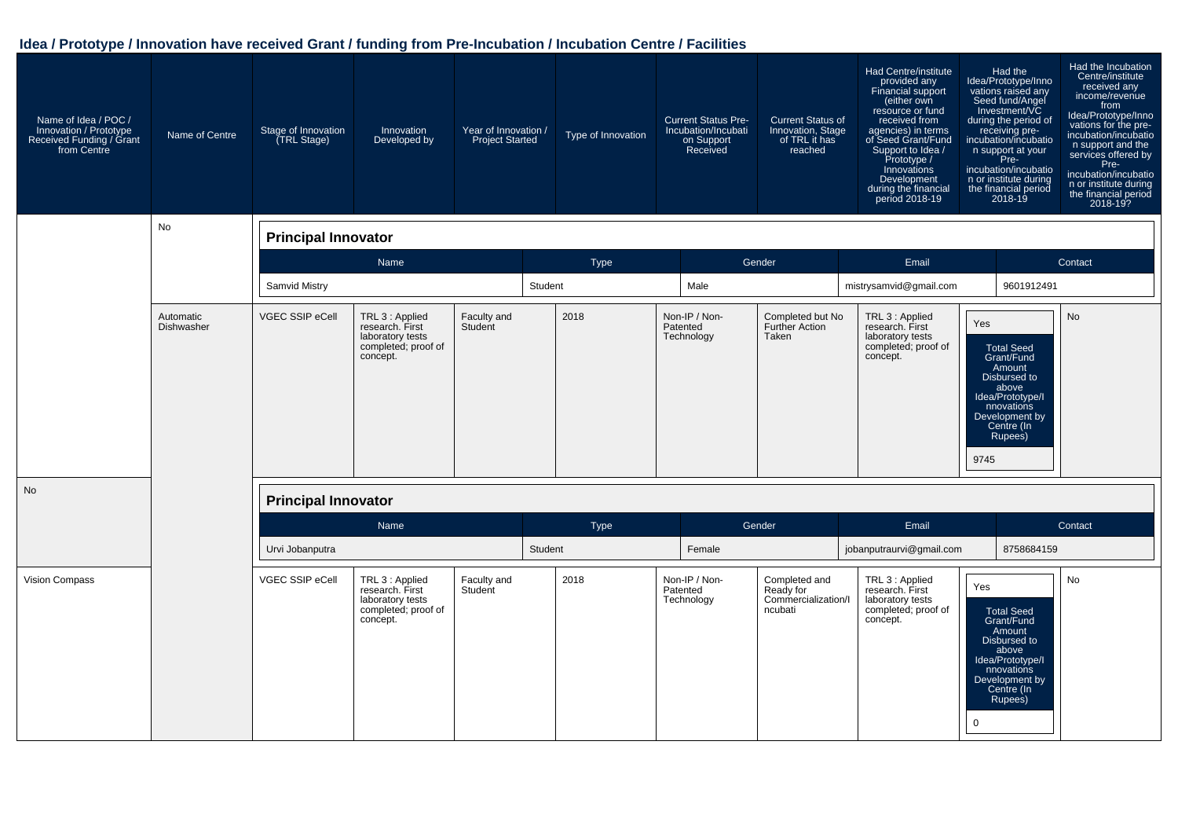| Name of Idea / POC /<br>Innovation / Prototype<br>Received Funding / Grant<br>from Centre | Name of Centre          | Stage of Innovation<br>(TRL Stage) | Innovation<br>Developed by                                                                | Year of Innovation /<br><b>Project Started</b> | Type of Innovation | <b>Current Status Pre-</b><br>Incubation/Incubati<br>on Support<br>Received | <b>Current Status of</b><br>Innovation, Stage<br>of TRL it has<br>reached | Had Centre/institute<br>provided any<br>Financial support<br>(either own<br>resource or fund<br>received from<br>agencies) in terms<br>of Seed Grant/Fund<br>Support to Idea /<br>Prototype /<br>Innovations<br>Development<br>during the financial<br>period 2018-19 | Had the<br>Idea/Prototype/Inno<br>vations raised any<br>Seed fund/Angel<br>Investment/VC<br>during the period of<br>receiving pre-<br>incubation/incubatio<br>n support at your<br>Pre-<br>incubation/incubatio<br>n or institute during<br>the financial period<br>$2018 - 19$ | Had the Incubation<br>Centre/institute<br>received any<br>income/revenue<br>from<br>Idea/Prototype/Inno<br>vations for the pre-<br>incubation/incubatio<br>n support and the<br>services offered by<br>Pre-<br>incubation/incubatio<br>n or institute during<br>the financial period<br>2018-19? |
|-------------------------------------------------------------------------------------------|-------------------------|------------------------------------|-------------------------------------------------------------------------------------------|------------------------------------------------|--------------------|-----------------------------------------------------------------------------|---------------------------------------------------------------------------|-----------------------------------------------------------------------------------------------------------------------------------------------------------------------------------------------------------------------------------------------------------------------|---------------------------------------------------------------------------------------------------------------------------------------------------------------------------------------------------------------------------------------------------------------------------------|--------------------------------------------------------------------------------------------------------------------------------------------------------------------------------------------------------------------------------------------------------------------------------------------------|
|                                                                                           | <b>No</b>               | <b>Principal Innovator</b>         |                                                                                           |                                                |                    |                                                                             |                                                                           |                                                                                                                                                                                                                                                                       |                                                                                                                                                                                                                                                                                 |                                                                                                                                                                                                                                                                                                  |
|                                                                                           |                         |                                    | Name                                                                                      |                                                | <b>Type</b>        |                                                                             | Gender                                                                    | Email                                                                                                                                                                                                                                                                 |                                                                                                                                                                                                                                                                                 | Contact                                                                                                                                                                                                                                                                                          |
|                                                                                           |                         | Samvid Mistry                      |                                                                                           |                                                | Student            | Male                                                                        |                                                                           | mistrysamvid@gmail.com                                                                                                                                                                                                                                                | 9601912491                                                                                                                                                                                                                                                                      |                                                                                                                                                                                                                                                                                                  |
|                                                                                           | Automatic<br>Dishwasher | VGEC SSIP eCell                    | TRL 3 : Applied<br>research. First<br>laboratory tests<br>completed; proof of<br>concept. | Faculty and<br>Student                         | 2018               | Non-IP / Non-<br>Patented<br>Technology                                     | Completed but No<br><b>Further Action</b><br>Taken                        | TRL 3 : Applied<br>research. First<br>laboratory tests<br>completed; proof of<br>concept.                                                                                                                                                                             | Yes<br><b>Total Seed</b><br>Grant/Fund<br>Amount<br>Disbursed to<br>above<br>Idea/Prototype/I<br>nnovations<br>Development by<br>Centre (In<br>Rupees)<br>9745                                                                                                                  | <b>No</b>                                                                                                                                                                                                                                                                                        |
| <b>No</b>                                                                                 |                         | <b>Principal Innovator</b>         |                                                                                           |                                                |                    |                                                                             |                                                                           |                                                                                                                                                                                                                                                                       |                                                                                                                                                                                                                                                                                 |                                                                                                                                                                                                                                                                                                  |
|                                                                                           |                         |                                    | Name                                                                                      |                                                | <b>Type</b>        |                                                                             | Gender                                                                    | Email                                                                                                                                                                                                                                                                 |                                                                                                                                                                                                                                                                                 | Contact                                                                                                                                                                                                                                                                                          |
|                                                                                           |                         | Urvi Jobanputra                    |                                                                                           |                                                | Student            | Female                                                                      |                                                                           | jobanputraurvi@gmail.com                                                                                                                                                                                                                                              | 8758684159                                                                                                                                                                                                                                                                      |                                                                                                                                                                                                                                                                                                  |
| Vision Compass                                                                            |                         | VGEC SSIP eCell                    | TRL 3 : Applied<br>research. First<br>laboratory tests<br>completed; proof of<br>concept. | Faculty and<br>Student                         | 2018               | Non-IP / Non-<br>Patented<br>Technology                                     | Completed and<br>Ready for<br>Commercialization/I<br>ncubati              | TRL 3 : Applied<br>research. First<br>laboratory tests<br>completed; proof of<br>concept.<br>0                                                                                                                                                                        | Yes<br><b>Total Seed</b><br>Grant/Fund<br>Amount<br>Disbursed to<br>above<br>Idea/Prototype/I<br>nnovations<br>Development by<br>Centre (In<br>Rupees)                                                                                                                          | <b>No</b>                                                                                                                                                                                                                                                                                        |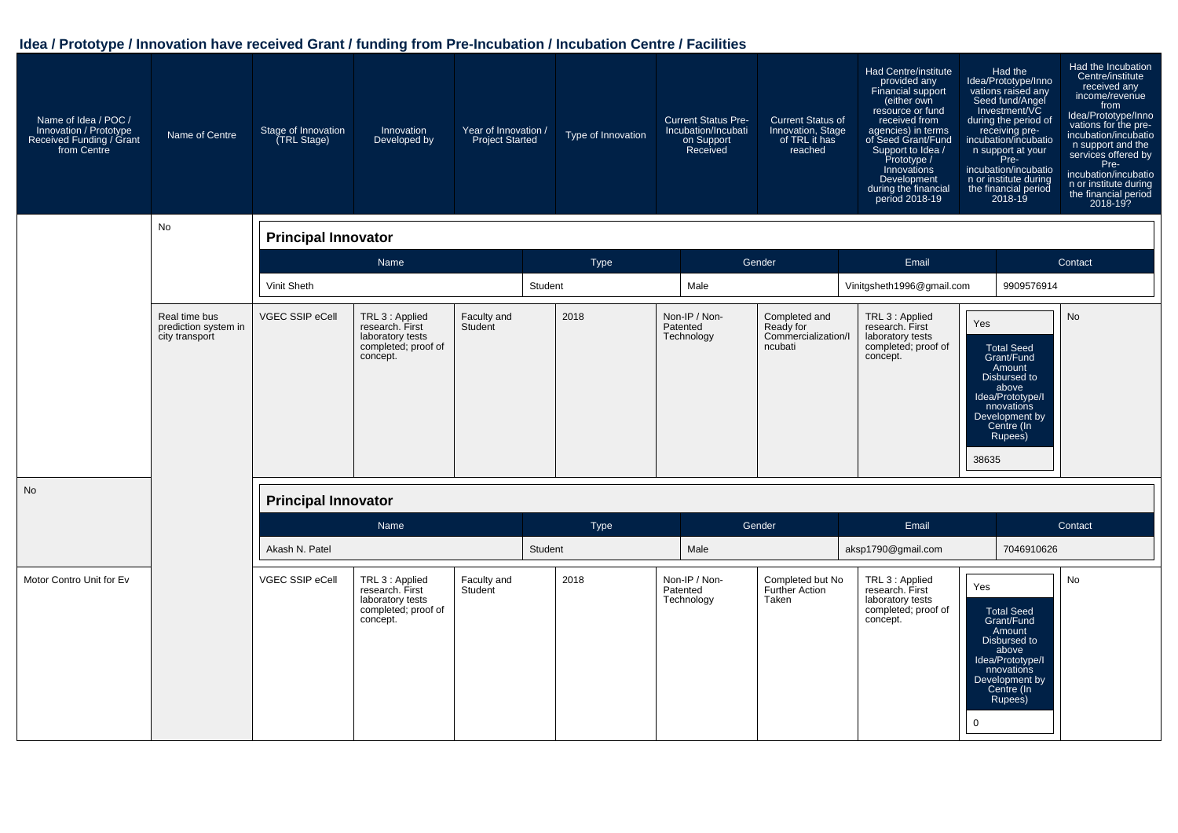| Name of Idea / POC /<br>Innovation / Prototype<br>Received Funding / Grant<br>from Centre | Name of Centre                                          | Stage of Innovation<br>(TRL Stage) | Innovation<br>Developed by                                                                | Year of Innovation /<br><b>Project Started</b> | Type of Innovation | <b>Current Status Pre-</b><br>Incubation/Incubati<br>on Support<br>Received | <b>Current Status of</b><br>Innovation, Stage<br>of TRL it has<br>reached | Had Centre/institute<br>provided any<br>Financial support<br>(either own<br>resource or fund<br>received from<br>agencies) in terms<br>of Seed Grant/Fund<br>Support to Idea /<br>Prototype /<br>Innovations<br>Development<br>during the financial<br>period 2018-19 | Had the<br>ldea/Prototype/Inno<br>vations raised any<br>Seed fund/Angel<br>Investment/VC<br>during the period of<br>receiving pre-<br>incubation/incubatio<br>n support at your<br>Pre-<br>incubation/incubatio<br>n or institute during<br>the financial period<br>2018-19 | Had the Incubation<br>Centre/institute<br>received any<br>income/revenue<br>from<br>Idea/Prototype/Inno<br>vations for the pre-<br>incubation/incubatio<br>n support and the<br>services offered by<br>Pre-<br>incubation/incubatio<br>n or institute during<br>the financial period<br>2018-19? |
|-------------------------------------------------------------------------------------------|---------------------------------------------------------|------------------------------------|-------------------------------------------------------------------------------------------|------------------------------------------------|--------------------|-----------------------------------------------------------------------------|---------------------------------------------------------------------------|-----------------------------------------------------------------------------------------------------------------------------------------------------------------------------------------------------------------------------------------------------------------------|-----------------------------------------------------------------------------------------------------------------------------------------------------------------------------------------------------------------------------------------------------------------------------|--------------------------------------------------------------------------------------------------------------------------------------------------------------------------------------------------------------------------------------------------------------------------------------------------|
|                                                                                           | No                                                      | <b>Principal Innovator</b>         |                                                                                           |                                                |                    |                                                                             |                                                                           |                                                                                                                                                                                                                                                                       |                                                                                                                                                                                                                                                                             |                                                                                                                                                                                                                                                                                                  |
|                                                                                           |                                                         |                                    | Name                                                                                      |                                                | Type               |                                                                             | Gender                                                                    | Email                                                                                                                                                                                                                                                                 |                                                                                                                                                                                                                                                                             | Contact                                                                                                                                                                                                                                                                                          |
|                                                                                           |                                                         | Vinit Sheth                        |                                                                                           |                                                | Student            | Male                                                                        |                                                                           | Vinitgsheth1996@gmail.com                                                                                                                                                                                                                                             | 9909576914                                                                                                                                                                                                                                                                  |                                                                                                                                                                                                                                                                                                  |
|                                                                                           | Real time bus<br>prediction system in<br>city transport | VGEC SSIP eCell                    | TRL 3 : Applied<br>research. First<br>laboratory tests<br>completed; proof of<br>concept. | Faculty and<br>Student                         | 2018               | Non-IP / Non-<br>Patented<br>Technology                                     | Completed and<br>Ready for<br>Commercialization/I<br>ncubati              | TRL 3 : Applied<br>research. First<br>laboratory tests<br>completed; proof of<br>concept.                                                                                                                                                                             | Yes<br><b>Total Seed</b><br>Grant/Fund<br>Amount<br>Disbursed to<br>above<br>Idea/Prototype/I<br>nnovations<br>Development by<br>Centre (In<br>Rupees)<br>38635                                                                                                             | <b>No</b>                                                                                                                                                                                                                                                                                        |
| <b>No</b>                                                                                 |                                                         | <b>Principal Innovator</b>         |                                                                                           |                                                |                    |                                                                             |                                                                           |                                                                                                                                                                                                                                                                       |                                                                                                                                                                                                                                                                             |                                                                                                                                                                                                                                                                                                  |
|                                                                                           |                                                         |                                    | Name                                                                                      |                                                | Type               |                                                                             | Gender                                                                    | Email                                                                                                                                                                                                                                                                 |                                                                                                                                                                                                                                                                             | Contact                                                                                                                                                                                                                                                                                          |
|                                                                                           |                                                         | Akash N. Patel                     |                                                                                           |                                                | Student            | Male                                                                        |                                                                           | aksp1790@gmail.com                                                                                                                                                                                                                                                    | 7046910626                                                                                                                                                                                                                                                                  |                                                                                                                                                                                                                                                                                                  |
| Motor Contro Unit for Ev                                                                  |                                                         | VGEC SSIP eCell                    | TRL 3 : Applied<br>research. First<br>laboratory tests<br>completed; proof of<br>concept. | Faculty and<br>Student                         | 2018               | Non-IP / Non-<br>Patented<br>Technology                                     | Completed but No<br><b>Further Action</b><br>Taken                        | TRL 3 : Applied<br>research. First<br>laboratory tests<br>completed; proof of<br>concept.                                                                                                                                                                             | Yes<br><b>Total Seed</b><br>Grant/Fund<br>Amount<br>Disbursed to<br>above<br>Idea/Prototype/I<br>nnovations<br>Development by<br>Centre (In<br>Rupees)<br>$\mathbf 0$                                                                                                       | <b>No</b>                                                                                                                                                                                                                                                                                        |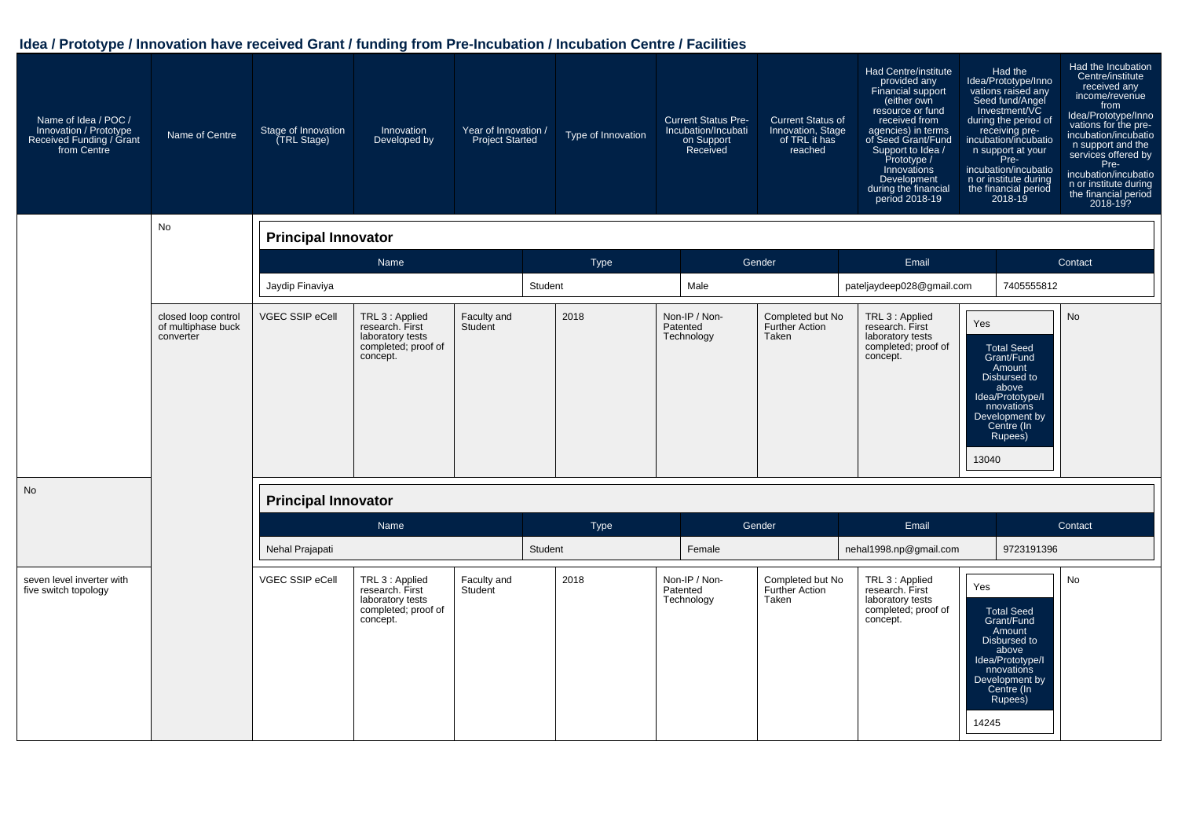| Name of Idea / POC /<br>Innovation / Prototype<br>Received Funding / Grant<br>from Centre | Name of Centre                                         | Stage of Innovation<br>(TRL Stage) | Innovation<br>Developed by                                                                | Year of Innovation /<br><b>Project Started</b> |         | Type of Innovation | <b>Current Status Pre-</b><br>Incubation/Incubati<br>on Support<br>Received | <b>Current Status of</b><br>Innovation, Stage<br>of TRL it has<br>reached | Had Centre/institute<br>provided any<br>Financial support<br>(either own<br>resource or fund<br>received from<br>agencies) in terms<br>of Seed Grant/Fund<br>Support to Idea /<br>Prototype /<br>Innovations<br>Development<br>during the financial<br>period 2018-19 | Had the<br>ldea/Prototype/Inno<br>vations raised any<br>Seed fund/Angel<br>Investment/VC<br>during the period of<br>receiving pre-<br>incubation/incubatio<br>n support at your<br>Pre-<br>incubation/incubatio<br>n or institute during<br>the financial period<br>2018-19 | Had the Incubation<br>Centre/institute<br>received any<br>income/revenue<br>from<br>Idea/Prototype/Inno<br>vations for the pre-<br>incubation/incubatio<br>n support and the<br>services offered by<br>Pre-<br>incubation/incubatio<br>n or institute during<br>the financial period<br>2018-19? |
|-------------------------------------------------------------------------------------------|--------------------------------------------------------|------------------------------------|-------------------------------------------------------------------------------------------|------------------------------------------------|---------|--------------------|-----------------------------------------------------------------------------|---------------------------------------------------------------------------|-----------------------------------------------------------------------------------------------------------------------------------------------------------------------------------------------------------------------------------------------------------------------|-----------------------------------------------------------------------------------------------------------------------------------------------------------------------------------------------------------------------------------------------------------------------------|--------------------------------------------------------------------------------------------------------------------------------------------------------------------------------------------------------------------------------------------------------------------------------------------------|
|                                                                                           | No                                                     | <b>Principal Innovator</b>         |                                                                                           |                                                |         |                    |                                                                             |                                                                           |                                                                                                                                                                                                                                                                       |                                                                                                                                                                                                                                                                             |                                                                                                                                                                                                                                                                                                  |
|                                                                                           |                                                        |                                    | Name                                                                                      |                                                |         | <b>Type</b>        |                                                                             | Gender                                                                    | Email                                                                                                                                                                                                                                                                 |                                                                                                                                                                                                                                                                             | Contact                                                                                                                                                                                                                                                                                          |
|                                                                                           |                                                        | Jaydip Finaviya                    |                                                                                           |                                                | Student |                    | Male                                                                        |                                                                           | pateljaydeep028@gmail.com                                                                                                                                                                                                                                             | 7405555812                                                                                                                                                                                                                                                                  |                                                                                                                                                                                                                                                                                                  |
|                                                                                           | closed loop control<br>of multiphase buck<br>converter | <b>VGEC SSIP eCell</b>             | TRL 3 : Applied<br>research. First<br>laboratory tests<br>completed; proof of<br>concept. | Faculty and<br>Student                         |         | 2018               | Non-IP / Non-<br>Patented<br>Technology                                     | Completed but No<br>Further Action<br>Taken                               | TRL 3 : Applied<br>research. First<br>laboratory tests<br>completed; proof of<br>concept.                                                                                                                                                                             | Yes<br><b>Total Seed</b><br>Grant/Fund<br>Amount<br>Disbursed to<br>above<br>Idea/Prototype/I<br>nnovations<br>Development by<br>Centre (In<br>Rupees)<br>13040                                                                                                             | <b>No</b>                                                                                                                                                                                                                                                                                        |
| <b>No</b>                                                                                 |                                                        | <b>Principal Innovator</b>         |                                                                                           |                                                |         |                    |                                                                             |                                                                           |                                                                                                                                                                                                                                                                       |                                                                                                                                                                                                                                                                             |                                                                                                                                                                                                                                                                                                  |
|                                                                                           |                                                        |                                    | Name                                                                                      |                                                |         | <b>Type</b>        |                                                                             | Gender                                                                    | Email                                                                                                                                                                                                                                                                 |                                                                                                                                                                                                                                                                             | Contact                                                                                                                                                                                                                                                                                          |
|                                                                                           |                                                        | Nehal Prajapati                    |                                                                                           |                                                | Student |                    | Female                                                                      |                                                                           | nehal1998.np@gmail.com                                                                                                                                                                                                                                                | 9723191396                                                                                                                                                                                                                                                                  |                                                                                                                                                                                                                                                                                                  |
| seven level inverter with<br>five switch topology                                         |                                                        | <b>VGEC SSIP eCell</b>             | TRL 3 : Applied<br>research. First<br>laboratory tests<br>completed; proof of<br>concept. | Faculty and<br>Student                         |         | 2018               | Non-IP / Non-<br>Patented<br>Technology                                     | Completed but No<br><b>Further Action</b><br>Taken                        | TRL 3 : Applied<br>research. First<br>laboratory tests<br>completed; proof of<br>concept.                                                                                                                                                                             | Yes<br><b>Total Seed</b><br>Grant/Fund<br>Amount<br>Disbursed to<br>above<br>Idea/Prototype/I<br>nnovations<br>Development by<br>Centre (In<br>Rupees)<br>14245                                                                                                             | <b>No</b>                                                                                                                                                                                                                                                                                        |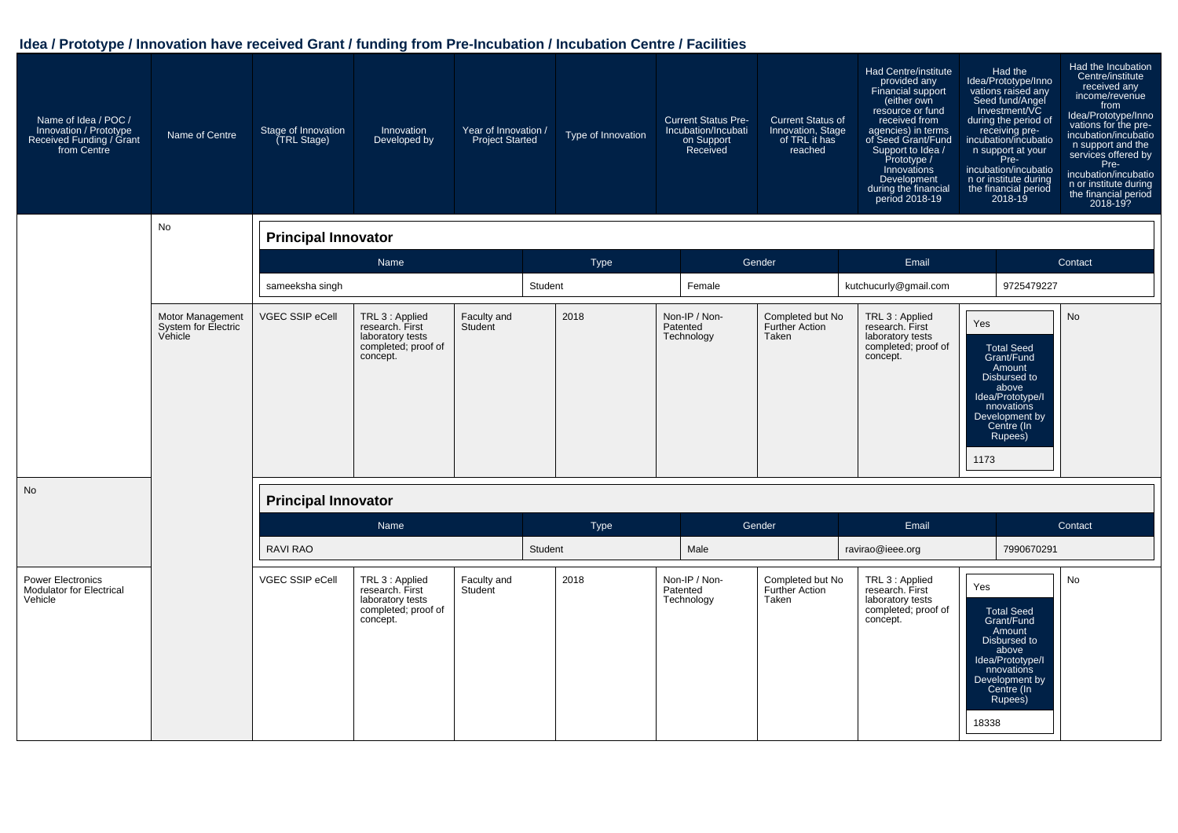| Name of Idea / POC /<br>Innovation / Prototype<br>Received Funding / Grant<br>from Centre | Name of Centre                                     | Stage of Innovation<br>(TRL Stage) | Innovation<br>Developed by                                                                | Year of Innovation /<br><b>Project Started</b> | Type of Innovation | <b>Current Status Pre-</b><br>Incubation/Incubati<br>on Support<br>Received | <b>Current Status of</b><br>Innovation, Stage<br>of TRL it has<br>reached | Had Centre/institute<br>provided any<br>Financial support<br>(either own<br>resource or fund<br>received from<br>agencies) in terms<br>of Seed Grant/Fund<br>Support to Idea /<br>Prototype /<br>Innovations<br>Development<br>during the financial<br>period 2018-19 | Had the<br>Idea/Prototype/Inno<br>vations raised any<br>Seed fund/Angel<br>Investment/VC<br>during the period of<br>receiving pre-<br>incubation/incubatio<br>n support at your<br>Pre-<br>incubation/incubatio<br>n or institute during<br>the financial period<br>2018-19 | Had the Incubation<br>Centre/institute<br>received any<br>income/revenue<br>from<br>Idea/Prototype/Inno<br>vations for the pre-<br>incubation/incubatio<br>n support and the<br>services offered by<br>Pre-<br>incubation/incubatio<br>n or institute during<br>the financial period<br>2018-19? |
|-------------------------------------------------------------------------------------------|----------------------------------------------------|------------------------------------|-------------------------------------------------------------------------------------------|------------------------------------------------|--------------------|-----------------------------------------------------------------------------|---------------------------------------------------------------------------|-----------------------------------------------------------------------------------------------------------------------------------------------------------------------------------------------------------------------------------------------------------------------|-----------------------------------------------------------------------------------------------------------------------------------------------------------------------------------------------------------------------------------------------------------------------------|--------------------------------------------------------------------------------------------------------------------------------------------------------------------------------------------------------------------------------------------------------------------------------------------------|
|                                                                                           | No                                                 | <b>Principal Innovator</b>         |                                                                                           |                                                |                    |                                                                             |                                                                           |                                                                                                                                                                                                                                                                       |                                                                                                                                                                                                                                                                             |                                                                                                                                                                                                                                                                                                  |
|                                                                                           |                                                    |                                    | Name                                                                                      |                                                | <b>Type</b>        |                                                                             | Gender                                                                    | Email                                                                                                                                                                                                                                                                 |                                                                                                                                                                                                                                                                             | Contact                                                                                                                                                                                                                                                                                          |
|                                                                                           |                                                    | sameeksha singh                    |                                                                                           |                                                | Student            | Female                                                                      |                                                                           | kutchucurly@gmail.com                                                                                                                                                                                                                                                 | 9725479227                                                                                                                                                                                                                                                                  |                                                                                                                                                                                                                                                                                                  |
|                                                                                           | Motor Management<br>System for Electric<br>Vehicle | VGEC SSIP eCell                    | TRL 3 : Applied<br>research. First<br>laboratory tests<br>completed; proof of<br>concept. | Faculty and<br>Student                         | 2018               | Non-IP / Non-<br>Patented<br>Technology                                     | Completed but No<br><b>Further Action</b><br>Taken                        | TRL 3 : Applied<br>research. First<br>laboratory tests<br>completed; proof of<br>concept.                                                                                                                                                                             | Yes<br><b>Total Seed</b><br>Grant/Fund<br>Amount<br>Disbursed to<br>above<br>Idea/Prototype/I<br>nnovations<br>Development by<br>Centre (In<br>Rupees)<br>1173                                                                                                              | No                                                                                                                                                                                                                                                                                               |
| No                                                                                        |                                                    | <b>Principal Innovator</b>         |                                                                                           |                                                |                    |                                                                             |                                                                           |                                                                                                                                                                                                                                                                       |                                                                                                                                                                                                                                                                             |                                                                                                                                                                                                                                                                                                  |
|                                                                                           |                                                    |                                    | Name                                                                                      |                                                | Type               |                                                                             | Gender                                                                    | Email                                                                                                                                                                                                                                                                 |                                                                                                                                                                                                                                                                             | Contact                                                                                                                                                                                                                                                                                          |
|                                                                                           |                                                    | <b>RAVI RAO</b>                    |                                                                                           |                                                | Student            | Male                                                                        |                                                                           | ravirao@ieee.org                                                                                                                                                                                                                                                      | 7990670291                                                                                                                                                                                                                                                                  |                                                                                                                                                                                                                                                                                                  |
| <b>Power Electronics</b><br><b>Modulator for Electrical</b><br>Vehicle                    |                                                    | VGEC SSIP eCell                    | TRL 3 : Applied<br>research. First<br>laboratory tests<br>completed; proof of<br>concept. | Faculty and<br>Student                         | 2018               | Non-IP / Non-<br>Patented<br>Technology                                     | Completed but No<br><b>Further Action</b><br>Taken                        | TRL 3 : Applied<br>research. First<br>laboratory tests<br>completed; proof of<br>concept.                                                                                                                                                                             | Yes<br><b>Total Seed</b><br>Grant/Fund<br>Amount<br>Disbursed to<br>above<br>Idea/Prototype/I<br>nnovations<br>Development by<br>Centre (In<br>Rupees)<br>18338                                                                                                             | No                                                                                                                                                                                                                                                                                               |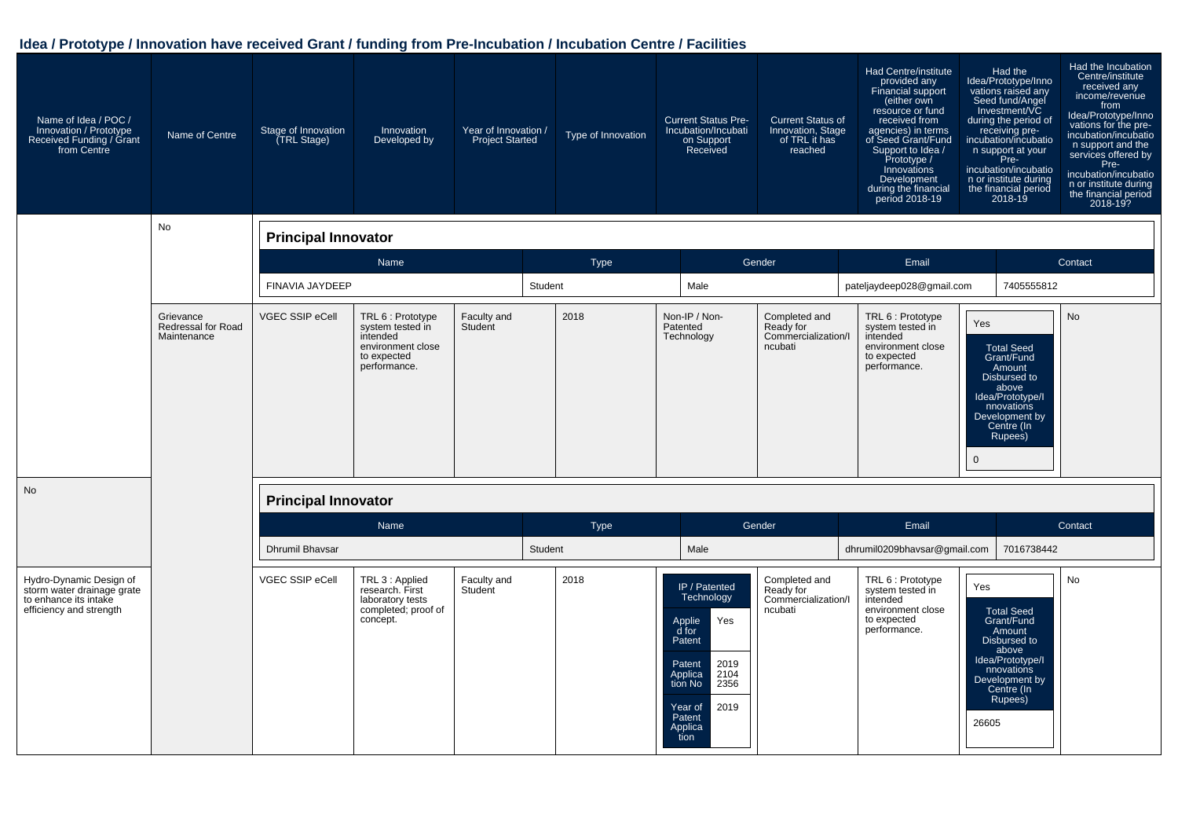| Name of Idea / POC /<br>Innovation / Prototype<br>Received Funding / Grant<br>from Centre                 | Name of Centre                                 | Stage of Innovation<br>(TRL Stage) | Innovation<br>Developed by                                                                            | Year of Innovation /<br><b>Project Started</b> | Type of Innovation | <b>Current Status Pre-</b><br>Incubation/Incubati<br>on Support<br>Received                                                                                             | <b>Current Status of</b><br>Innovation, Stage<br>of TRL it has<br>reached | Had Centre/institute<br>provided any<br><b>Financial support</b><br>(either own<br>resource or fund<br>received from<br>agencies) in terms<br>of Seed Grant/Fund<br>Support to Idea /<br>Prototype /<br>Innovations<br>Development<br>during the financial<br>period 2018-19 | Had the<br>Idea/Prototype/Inno<br>vations raised any<br>Seed fund/Angel<br>Investment/VC<br>during the period of<br>receiving pre-<br>incubation/incubatio<br>n support at your<br>Pre-<br>incubation/incubatio<br>n or institute during<br>the financial period<br>$2018 - 19$ | Had the Incubation<br>Centre/institute<br>received any<br>income/revenue<br>from<br>Idea/Prototype/Inno<br>vations for the pre-<br>incubation/incubatio<br>n support and the<br>services offered by<br>Pre-<br>incubation/incubatio<br>n or institute during<br>the financial period<br>2018-19? |
|-----------------------------------------------------------------------------------------------------------|------------------------------------------------|------------------------------------|-------------------------------------------------------------------------------------------------------|------------------------------------------------|--------------------|-------------------------------------------------------------------------------------------------------------------------------------------------------------------------|---------------------------------------------------------------------------|------------------------------------------------------------------------------------------------------------------------------------------------------------------------------------------------------------------------------------------------------------------------------|---------------------------------------------------------------------------------------------------------------------------------------------------------------------------------------------------------------------------------------------------------------------------------|--------------------------------------------------------------------------------------------------------------------------------------------------------------------------------------------------------------------------------------------------------------------------------------------------|
|                                                                                                           | No                                             | <b>Principal Innovator</b>         |                                                                                                       |                                                |                    |                                                                                                                                                                         |                                                                           |                                                                                                                                                                                                                                                                              |                                                                                                                                                                                                                                                                                 |                                                                                                                                                                                                                                                                                                  |
|                                                                                                           |                                                |                                    | Name                                                                                                  |                                                | <b>Type</b>        |                                                                                                                                                                         | Gender                                                                    | Email                                                                                                                                                                                                                                                                        |                                                                                                                                                                                                                                                                                 | Contact                                                                                                                                                                                                                                                                                          |
|                                                                                                           |                                                | FINAVIA JAYDEEP                    |                                                                                                       |                                                | Student            | Male                                                                                                                                                                    |                                                                           | pateljaydeep028@gmail.com                                                                                                                                                                                                                                                    | 7405555812                                                                                                                                                                                                                                                                      |                                                                                                                                                                                                                                                                                                  |
|                                                                                                           | Grievance<br>Redressal for Road<br>Maintenance | VGEC SSIP eCell                    | TRL 6 : Prototype<br>system tested in<br>intended<br>environment close<br>to expected<br>performance. | Faculty and<br>Student                         | 2018               | Non-IP / Non-<br>Patented<br>Technology                                                                                                                                 | Completed and<br>Ready for<br>Commercialization/I<br>ncubati              | TRL 6 : Prototype<br>system tested in<br>intended<br>environment close<br>to expected<br>performance.                                                                                                                                                                        | Yes<br><b>Total Seed</b><br>Grant/Fund<br>Amount<br>Disbursed to<br>above<br>Idea/Prototype/I<br>nnovations<br>Development by<br>Centre (In<br>Rupees)<br>$\mathbf 0$                                                                                                           | <b>No</b>                                                                                                                                                                                                                                                                                        |
| <b>No</b>                                                                                                 |                                                | <b>Principal Innovator</b>         |                                                                                                       |                                                |                    |                                                                                                                                                                         |                                                                           |                                                                                                                                                                                                                                                                              |                                                                                                                                                                                                                                                                                 |                                                                                                                                                                                                                                                                                                  |
|                                                                                                           |                                                |                                    | Name                                                                                                  |                                                | <b>Type</b>        |                                                                                                                                                                         | Gender                                                                    | Email                                                                                                                                                                                                                                                                        |                                                                                                                                                                                                                                                                                 | Contact                                                                                                                                                                                                                                                                                          |
|                                                                                                           |                                                | Dhrumil Bhavsar                    |                                                                                                       |                                                | Student            | Male                                                                                                                                                                    |                                                                           | dhrumil0209bhavsar@qmail.com                                                                                                                                                                                                                                                 | 7016738442                                                                                                                                                                                                                                                                      |                                                                                                                                                                                                                                                                                                  |
| Hydro-Dynamic Design of<br>storm water drainage grate<br>to enhance its intake<br>efficiency and strength |                                                | VGEC SSIP eCell                    | TRL 3 : Applied<br>research. First<br>laboratory tests<br>completed; proof of<br>concept.             | Faculty and<br>Student                         | 2018               | IP / Patented<br>Technology<br>Yes<br>Applie<br>d for<br>Patent<br>2019<br>Patent<br>2104<br>Applica<br>tion No<br>2356<br>2019<br>Year of<br>Patent<br>Applica<br>tion | Completed and<br>Ready for<br>Commercialization/I<br>ncubati              | TRL 6 : Prototype<br>system tested in<br>intended<br>environment close<br>to expected<br>performance.                                                                                                                                                                        | Yes<br>Total Seed<br>Grant/Fund<br>Amount<br>Disbursed to<br>above<br>Idea/Prototype/I<br>nnovations<br>Development by<br>Centre (In<br>Rupees)<br>26605                                                                                                                        | No                                                                                                                                                                                                                                                                                               |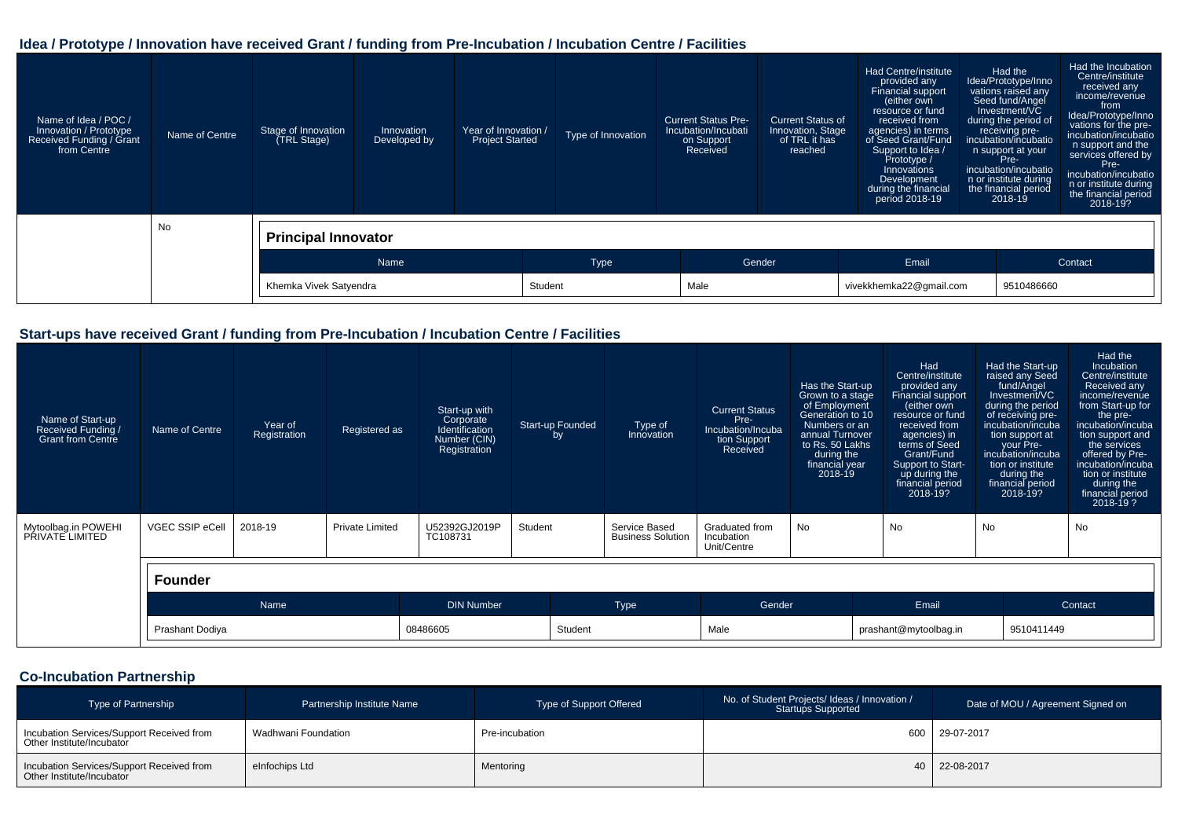| Name of Idea / POC /<br>Innovation / Prototype<br>Received Funding / Grant<br>from Centre | Name of Centre | Stage of Innovation<br>(TRL Stage) | Innovation<br>Developed by | Year of Innovation /<br><b>Project Started</b> | Type of Innovation | <b>Current Status Pre-</b><br>Incubation/Incubati<br>on Support<br>Received | <b>Current Status of</b><br>Innovation, Stage<br>of TRL it has<br>reached | Had Centre/institute<br>provided any<br>Financial support<br>(either own<br>resource or fund<br>received from<br>agencies) in terms<br>of Seed Grant/Fund<br>Support to Idea /<br>Prototype /<br>Innovations<br>Development<br>during the financial<br>period 2018-19 | Had the<br>Idea/Prototype/Inno<br>vations raised any<br>Seed fund/Angel<br>Investment/VC<br>during the period of<br>receiving pre-<br>incubation/incubatio<br>n support at your<br>Pre-<br>incubation/incubatio<br>n or institute during<br>the financial period<br>$2018 - 19$ | Had the Incubation<br>Centre/institute<br>received any<br>income/revenue<br>from<br>Idea/Prototype/Inno<br>vations for the pre-<br>incubation/incubatio<br>n support and the<br>services offered by<br>Pre-<br>incubation/incubatio<br>n or institute during<br>the financial period<br>2018-19? |
|-------------------------------------------------------------------------------------------|----------------|------------------------------------|----------------------------|------------------------------------------------|--------------------|-----------------------------------------------------------------------------|---------------------------------------------------------------------------|-----------------------------------------------------------------------------------------------------------------------------------------------------------------------------------------------------------------------------------------------------------------------|---------------------------------------------------------------------------------------------------------------------------------------------------------------------------------------------------------------------------------------------------------------------------------|--------------------------------------------------------------------------------------------------------------------------------------------------------------------------------------------------------------------------------------------------------------------------------------------------|
|                                                                                           | <b>No</b>      | <b>Principal Innovator</b>         |                            |                                                |                    |                                                                             |                                                                           |                                                                                                                                                                                                                                                                       |                                                                                                                                                                                                                                                                                 |                                                                                                                                                                                                                                                                                                  |
|                                                                                           |                |                                    | Name                       |                                                | Type               |                                                                             | Gender                                                                    | Email                                                                                                                                                                                                                                                                 |                                                                                                                                                                                                                                                                                 | Contact                                                                                                                                                                                                                                                                                          |
|                                                                                           |                |                                    | Khemka Vivek Satyendra     |                                                |                    | Male                                                                        |                                                                           |                                                                                                                                                                                                                                                                       | vivekkhemka22@gmail.com<br>9510486660                                                                                                                                                                                                                                           |                                                                                                                                                                                                                                                                                                  |

#### **Start-ups have received Grant / funding from Pre-Incubation / Incubation Centre / Facilities**

| Name of Start-up<br>Received Funding /<br><b>Grant from Centre</b> | Name of Centre  | Year of<br>Registration | Registered as          | Start-up with<br>Corporate<br>Identification<br>Number (CIN)<br>Registration | <b>Start-up Founded</b><br>by |         | Type of<br>Innovation                     | <b>Current Status</b><br>Pre-<br>Incubation/Incuba<br>tion Support<br>Received | Has the Start-up<br>Grown to a stage<br>of Employment<br>Generation to 10<br>Numbers or an<br>annual Turnover<br>to Rs. 50 Lakhs<br>during the<br>financial year<br>2018-19 | Had<br>Centre/institute<br>provided any<br>Financial support<br>(either own<br>resource or fund<br>received from<br>agencies) in<br>terms of Seed<br>Grant/Fund<br>Support to Start-<br>up during the<br>financial period<br>$2018 - 19?$ | Had the Start-up<br>raised any Seed<br>fund/Angel<br>Investment/VC<br>during the period<br>of receiving pre-<br>incubation/incuba<br>tion support at<br>incubation/incuba<br>tion or institute<br>during the<br>financial period<br>2018-19? | your Pre-  | Had the<br><b>Incubation</b><br>Centre/institute<br>Received any<br>income/revenue<br>from Start-up for<br>the pre-<br>incubation/incuba<br>tion support and<br>the services<br>offered by Pre-<br>incubation/incuba<br>tion or institute<br>during the<br>financial period<br>2018-19? |
|--------------------------------------------------------------------|-----------------|-------------------------|------------------------|------------------------------------------------------------------------------|-------------------------------|---------|-------------------------------------------|--------------------------------------------------------------------------------|-----------------------------------------------------------------------------------------------------------------------------------------------------------------------------|-------------------------------------------------------------------------------------------------------------------------------------------------------------------------------------------------------------------------------------------|----------------------------------------------------------------------------------------------------------------------------------------------------------------------------------------------------------------------------------------------|------------|-----------------------------------------------------------------------------------------------------------------------------------------------------------------------------------------------------------------------------------------------------------------------------------------|
| Mytoolbag.in POWEHI<br>PŘIVATE LIMITED                             | VGEC SSIP eCell | 2018-19                 | <b>Private Limited</b> | U52392GJ2019P<br>TC108731                                                    | Student                       |         | Service Based<br><b>Business Solution</b> | Graduated from<br>Incubation<br>Unit/Centre                                    | <b>No</b>                                                                                                                                                                   | No                                                                                                                                                                                                                                        | No                                                                                                                                                                                                                                           |            | No                                                                                                                                                                                                                                                                                      |
|                                                                    | <b>Founder</b>  |                         |                        |                                                                              |                               |         |                                           |                                                                                |                                                                                                                                                                             |                                                                                                                                                                                                                                           |                                                                                                                                                                                                                                              |            |                                                                                                                                                                                                                                                                                         |
|                                                                    |                 | <b>Name</b>             |                        | <b>DIN Number</b>                                                            |                               |         | Type                                      | Gender                                                                         |                                                                                                                                                                             | Email                                                                                                                                                                                                                                     |                                                                                                                                                                                                                                              |            | Contact                                                                                                                                                                                                                                                                                 |
|                                                                    | Prashant Dodiya |                         |                        | 08486605                                                                     |                               | Student |                                           | Male                                                                           |                                                                                                                                                                             | prashant@mytoolbag.in                                                                                                                                                                                                                     |                                                                                                                                                                                                                                              | 9510411449 |                                                                                                                                                                                                                                                                                         |

#### **Co-Incubation Partnership**

| <b>Type of Partnership</b>                                             | Partnership Institute Name | Type of Support Offered | No. of Student Projects/ Ideas / Innovation /<br><b>Startups Supported</b> | Date of MOU / Agreement Signed on |
|------------------------------------------------------------------------|----------------------------|-------------------------|----------------------------------------------------------------------------|-----------------------------------|
| Incubation Services/Support Received from<br>Other Institute/Incubator | Wadhwani Foundation        | Pre-incubation          |                                                                            | 600 29-07-2017                    |
| Incubation Services/Support Received from<br>Other Institute/Incubator | eInfochips Ltd             | Mentoring               |                                                                            | 40 22-08-2017                     |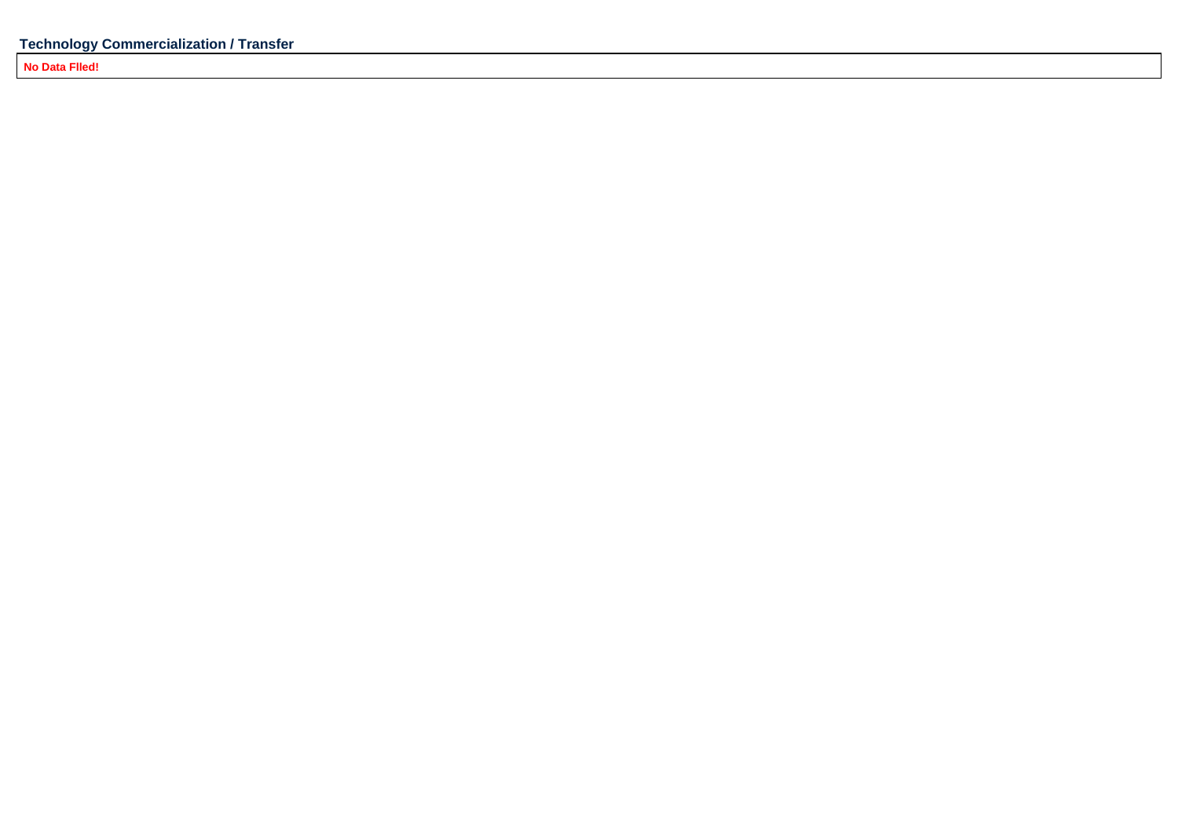**No Data Flled!**